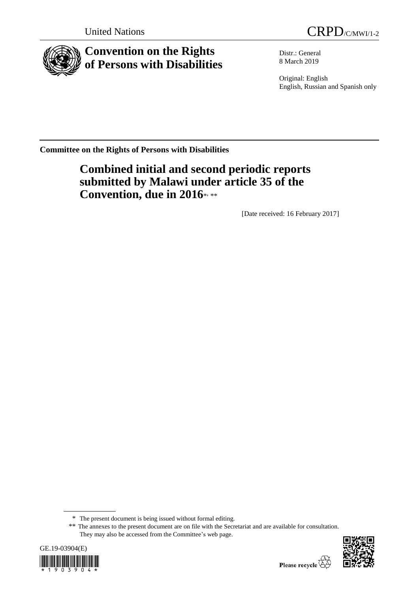



# **Convention on the Rights of Persons with Disabilities**

Distr.: General 8 March 2019

Original: English English, Russian and Spanish only

**Committee on the Rights of Persons with Disabilities**

# **Combined initial and second periodic reports submitted by Malawi under article 35 of the**  Convention, due in 2016\*,\*\*

[Date received: 16 February 2017]

<sup>\*\*</sup> The annexes to the present document are on file with the Secretariat and are available for consultation. They may also be accessed from the Committee's web page.





<sup>\*</sup> The present document is being issued without formal editing.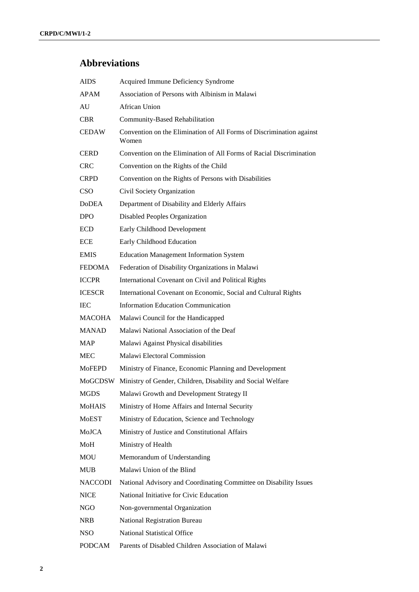# **Abbreviations**

| <b>AIDS</b>    | Acquired Immune Deficiency Syndrome                                           |
|----------------|-------------------------------------------------------------------------------|
| <b>APAM</b>    | Association of Persons with Albinism in Malawi                                |
| AU             | <b>African Union</b>                                                          |
| <b>CBR</b>     | Community-Based Rehabilitation                                                |
| <b>CEDAW</b>   | Convention on the Elimination of All Forms of Discrimination against<br>Women |
| <b>CERD</b>    | Convention on the Elimination of All Forms of Racial Discrimination           |
| <b>CRC</b>     | Convention on the Rights of the Child                                         |
| <b>CRPD</b>    | Convention on the Rights of Persons with Disabilities                         |
| <b>CSO</b>     | Civil Society Organization                                                    |
| <b>DoDEA</b>   | Department of Disability and Elderly Affairs                                  |
| <b>DPO</b>     | <b>Disabled Peoples Organization</b>                                          |
| <b>ECD</b>     | Early Childhood Development                                                   |
| <b>ECE</b>     | Early Childhood Education                                                     |
| <b>EMIS</b>    | <b>Education Management Information System</b>                                |
| <b>FEDOMA</b>  | Federation of Disability Organizations in Malawi                              |
| <b>ICCPR</b>   | International Covenant on Civil and Political Rights                          |
| <b>ICESCR</b>  | International Covenant on Economic, Social and Cultural Rights                |
| <b>IEC</b>     | <b>Information Education Communication</b>                                    |
| <b>MACOHA</b>  | Malawi Council for the Handicapped                                            |
| <b>MANAD</b>   | Malawi National Association of the Deaf                                       |
| <b>MAP</b>     | Malawi Against Physical disabilities                                          |
| <b>MEC</b>     | Malawi Electoral Commission                                                   |
| <b>MoFEPD</b>  | Ministry of Finance, Economic Planning and Development                        |
|                | MoGCDSW Ministry of Gender, Children, Disability and Social Welfare           |
| <b>MGDS</b>    | Malawi Growth and Development Strategy II                                     |
| <b>MoHAIS</b>  | Ministry of Home Affairs and Internal Security                                |
| <b>MoEST</b>   | Ministry of Education, Science and Technology                                 |
| MoJCA          | Ministry of Justice and Constitutional Affairs                                |
| MoH            | Ministry of Health                                                            |
| <b>MOU</b>     | Memorandum of Understanding                                                   |
| <b>MUB</b>     | Malawi Union of the Blind                                                     |
| <b>NACCODI</b> | National Advisory and Coordinating Committee on Disability Issues             |
| <b>NICE</b>    | National Initiative for Civic Education                                       |
| NGO            | Non-governmental Organization                                                 |
| <b>NRB</b>     | <b>National Registration Bureau</b>                                           |
| <b>NSO</b>     | <b>National Statistical Office</b>                                            |
| <b>PODCAM</b>  | Parents of Disabled Children Association of Malawi                            |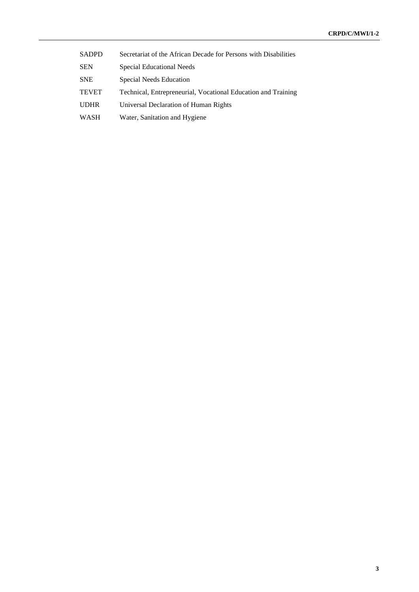| <b>SADPD</b> | Secretariat of the African Decade for Persons with Disabilities |
|--------------|-----------------------------------------------------------------|
| <b>SEN</b>   | Special Educational Needs                                       |
| <b>SNE</b>   | Special Needs Education                                         |
| <b>TEVET</b> | Technical, Entrepreneurial, Vocational Education and Training   |
| <b>UDHR</b>  | Universal Declaration of Human Rights                           |
| <b>WASH</b>  | Water, Sanitation and Hygiene                                   |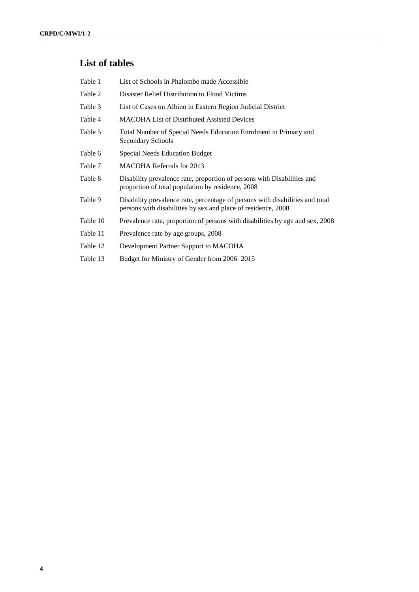# **List of tables**

| Table 1  | List of Schools in Phalombe made Accessible                                                                                                    |
|----------|------------------------------------------------------------------------------------------------------------------------------------------------|
| Table 2  | Disaster Relief Distribution to Flood Victims                                                                                                  |
| Table 3  | List of Cases on Albino in Eastern Region Judicial District                                                                                    |
| Table 4  | <b>MACOHA List of Distributed Assisted Devices</b>                                                                                             |
| Table 5  | Total Number of Special Needs Education Enrolment in Primary and<br><b>Secondary Schools</b>                                                   |
| Table 6  | <b>Special Needs Education Budget</b>                                                                                                          |
| Table 7  | <b>MACOHA Referrals for 2013</b>                                                                                                               |
| Table 8  | Disability prevalence rate, proportion of persons with Disabilities and<br>proportion of total population by residence, 2008                   |
| Table 9  | Disability prevalence rate, percentage of persons with disabilities and total<br>persons with disabilities by sex and place of residence, 2008 |
| Table 10 | Prevalence rate, proportion of persons with disabilities by age and sex, 2008                                                                  |
| Table 11 | Prevalence rate by age groups, 2008                                                                                                            |
| Table 12 | Development Partner Support to MACOHA                                                                                                          |
| Table 13 | Budget for Ministry of Gender from 2006–2015                                                                                                   |
|          |                                                                                                                                                |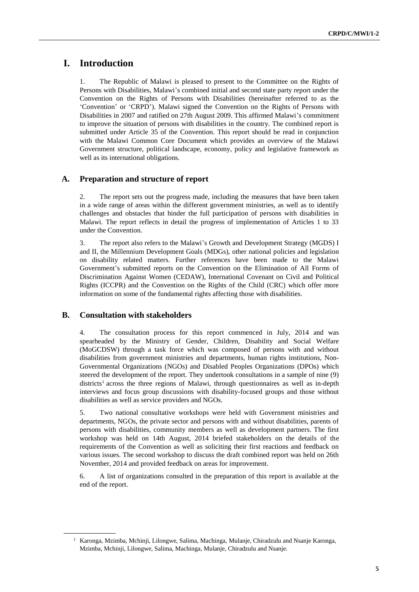# **I. Introduction**

1. The Republic of Malawi is pleased to present to the Committee on the Rights of Persons with Disabilities, Malawi's combined initial and second state party report under the Convention on the Rights of Persons with Disabilities (hereinafter referred to as the 'Convention' or 'CRPD'). Malawi signed the Convention on the Rights of Persons with Disabilities in 2007 and ratified on 27th August 2009. This affirmed Malawi's commitment to improve the situation of persons with disabilities in the country. The combined report is submitted under Article 35 of the Convention. This report should be read in conjunction with the Malawi Common Core Document which provides an overview of the Malawi Government structure, political landscape, economy, policy and legislative framework as well as its international obligations.

# **A. Preparation and structure of report**

2. The report sets out the progress made, including the measures that have been taken in a wide range of areas within the different government ministries, as well as to identify challenges and obstacles that hinder the full participation of persons with disabilities in Malawi. The report reflects in detail the progress of implementation of Articles 1 to 33 under the Convention.

3. The report also refers to the Malawi's Growth and Development Strategy (MGDS) I and II, the Millennium Development Goals (MDGs), other national policies and legislation on disability related matters. Further references have been made to the Malawi Government's submitted reports on the Convention on the Elimination of All Forms of Discrimination Against Women (CEDAW), International Covenant on Civil and Political Rights (ICCPR) and the Convention on the Rights of the Child (CRC) which offer more information on some of the fundamental rights affecting those with disabilities.

## **B. Consultation with stakeholders**

4. The consultation process for this report commenced in July, 2014 and was spearheaded by the Ministry of Gender, Children, Disability and Social Welfare (MoGCDSW) through a task force which was composed of persons with and without disabilities from government ministries and departments, human rights institutions, Non-Governmental Organizations (NGOs) and Disabled Peoples Organizations (DPOs) which steered the development of the report. They undertook consultations in a sample of nine (9) districts<sup>1</sup> across the three regions of Malawi, through questionnaires as well as in-depth interviews and focus group discussions with disability-focused groups and those without disabilities as well as service providers and NGOs.

5. Two national consultative workshops were held with Government ministries and departments, NGOs, the private sector and persons with and without disabilities, parents of persons with disabilities, community members as well as development partners. The first workshop was held on 14th August, 2014 briefed stakeholders on the details of the requirements of the Convention as well as soliciting their first reactions and feedback on various issues. The second workshop to discuss the draft combined report was held on 26th November, 2014 and provided feedback on areas for improvement.

6. A list of organizations consulted in the preparation of this report is available at the end of the report.

<sup>1</sup> Karonga, Mzimba, Mchinji, Lilongwe, Salima, Machinga, Mulanje, Chiradzulu and Nsanje Karonga, Mzimba, Mchinji, Lilongwe, Salima, Machinga, Mulanje, Chiradzulu and Nsanje.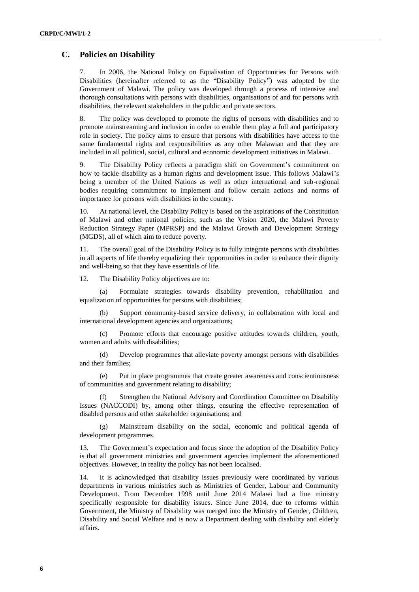## **C. Policies on Disability**

7. In 2006, the National Policy on Equalisation of Opportunities for Persons with Disabilities (hereinafter referred to as the "Disability Policy") was adopted by the Government of Malawi. The policy was developed through a process of intensive and thorough consultations with persons with disabilities, organisations of and for persons with disabilities, the relevant stakeholders in the public and private sectors.

8. The policy was developed to promote the rights of persons with disabilities and to promote mainstreaming and inclusion in order to enable them play a full and participatory role in society. The policy aims to ensure that persons with disabilities have access to the same fundamental rights and responsibilities as any other Malawian and that they are included in all political, social, cultural and economic development initiatives in Malawi.

9. The Disability Policy reflects a paradigm shift on Government's commitment on how to tackle disability as a human rights and development issue. This follows Malawi's being a member of the United Nations as well as other international and sub-regional bodies requiring commitment to implement and follow certain actions and norms of importance for persons with disabilities in the country.

10. At national level, the Disability Policy is based on the aspirations of the Constitution of Malawi and other national policies, such as the Vision 2020, the Malawi Poverty Reduction Strategy Paper (MPRSP) and the Malawi Growth and Development Strategy (MGDS), all of which aim to reduce poverty.

11. The overall goal of the Disability Policy is to fully integrate persons with disabilities in all aspects of life thereby equalizing their opportunities in order to enhance their dignity and well-being so that they have essentials of life.

12. The Disability Policy objectives are to:

(a) Formulate strategies towards disability prevention, rehabilitation and equalization of opportunities for persons with disabilities;

(b) Support community-based service delivery, in collaboration with local and international development agencies and organizations;

(c) Promote efforts that encourage positive attitudes towards children, youth, women and adults with disabilities;

(d) Develop programmes that alleviate poverty amongst persons with disabilities and their families;

(e) Put in place programmes that create greater awareness and conscientiousness of communities and government relating to disability;

(f) Strengthen the National Advisory and Coordination Committee on Disability Issues (NACCODI) by, among other things, ensuring the effective representation of disabled persons and other stakeholder organisations; and

(g) Mainstream disability on the social, economic and political agenda of development programmes.

13. The Government's expectation and focus since the adoption of the Disability Policy is that all government ministries and government agencies implement the aforementioned objectives. However, in reality the policy has not been localised.

14. It is acknowledged that disability issues previously were coordinated by various departments in various ministries such as Ministries of Gender, Labour and Community Development. From December 1998 until June 2014 Malawi had a line ministry specifically responsible for disability issues. Since June 2014, due to reforms within Government, the Ministry of Disability was merged into the Ministry of Gender, Children, Disability and Social Welfare and is now a Department dealing with disability and elderly affairs.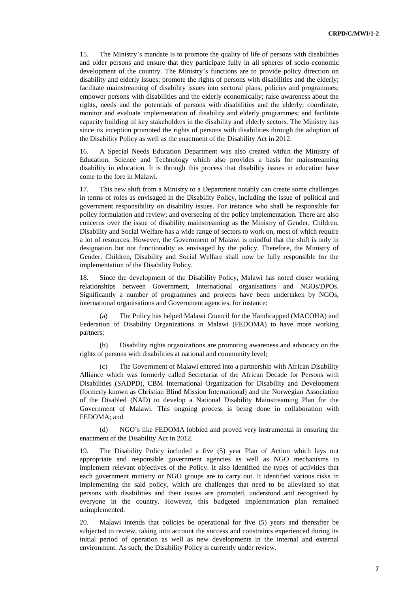15. The Ministry's mandate is to promote the quality of life of persons with disabilities and older persons and ensure that they participate fully in all spheres of socio-economic development of the country. The Ministry's functions are to provide policy direction on disability and elderly issues; promote the rights of persons with disabilities and the elderly; facilitate mainstreaming of disability issues into sectoral plans, policies and programmes; empower persons with disabilities and the elderly economically; raise awareness about the rights, needs and the potentials of persons with disabilities and the elderly; coordinate, monitor and evaluate implementation of disability and elderly programmes; and facilitate capacity building of key stakeholders in the disability and elderly sectors. The Ministry has since its inception promoted the rights of persons with disabilities through the adoption of the Disability Policy as well as the enactment of the Disability Act in 2012.

16. A Special Needs Education Department was also created within the Ministry of Education, Science and Technology which also provides a basis for mainstreaming disability in education. It is through this process that disability issues in education have come to the fore in Malawi.

17. This new shift from a Ministry to a Department notably can create some challenges in terms of roles as envisaged in the Disability Policy, including the issue of political and government responsibility on disability issues. For instance who shall be responsible for policy formulation and review; and overseeing of the policy implementation. There are also concerns over the issue of disability mainstreaming as the Ministry of Gender, Children, Disability and Social Welfare has a wide range of sectors to work on, most of which require a lot of resources. However, the Government of Malawi is mindful that the shift is only in designation but not functionality as envisaged by the policy. Therefore, the Ministry of Gender, Children, Disability and Social Welfare shall now be fully responsible for the implementation of the Disability Policy.

18. Since the development of the Disability Policy, Malawi has noted closer working relationships between Government, International organisations and NGOs/DPOs. Significantly a number of programmes and projects have been undertaken by NGOs, international organisations and Government agencies, for instance:

(a) The Policy has helped Malawi Council for the Handicapped (MACOHA) and Federation of Disability Organizations in Malawi (FEDOMA) to have more working partners;

(b) Disability rights organizations are promoting awareness and advocacy on the rights of persons with disabilities at national and community level;

(c) The Government of Malawi entered into a partnership with African Disability Alliance which was formerly called Secretariat of the African Decade for Persons with Disabilities (SADPD), CBM International Organization for Disability and Development (formerly known as Christian Blind Mission International) and the Norwegian Association of the Disabled (NAD) to develop a National Disability Mainstreaming Plan for the Government of Malawi. This ongoing process is being done in collaboration with FEDOMA; and

(d) NGO's like FEDOMA lobbied and proved very instrumental in ensuring the enactment of the Disability Act in 2012.

19. The Disability Policy included a five (5) year Plan of Action which lays out appropriate and responsible government agencies as well as NGO mechanisms to implement relevant objectives of the Policy. It also identified the types of activities that each government ministry or NGO groups are to carry out. It identified various risks in implementing the said policy, which are challenges that need to be alleviated so that persons with disabilities and their issues are promoted, understood and recognised by everyone in the country. However, this budgeted implementation plan remained unimplemented.

20. Malawi intends that policies be operational for five (5) years and thereafter be subjected to review, taking into account the success and constraints experienced during its initial period of operation as well as new developments in the internal and external environment. As such, the Disability Policy is currently under review.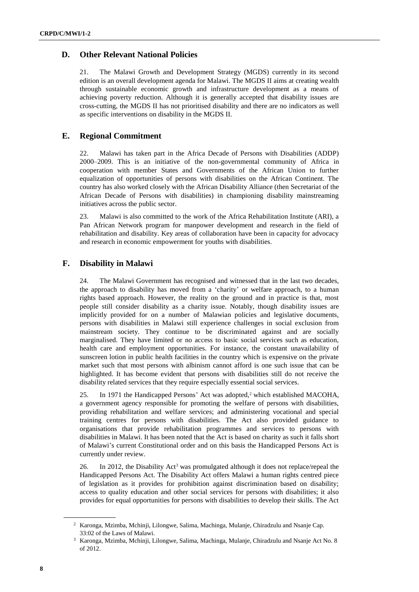# **D. Other Relevant National Policies**

21. The Malawi Growth and Development Strategy (MGDS) currently in its second edition is an overall development agenda for Malawi. The MGDS II aims at creating wealth through sustainable economic growth and infrastructure development as a means of achieving poverty reduction. Although it is generally accepted that disability issues are cross-cutting, the MGDS II has not prioritised disability and there are no indicators as well as specific interventions on disability in the MGDS II.

# **E. Regional Commitment**

22. Malawi has taken part in the Africa Decade of Persons with Disabilities (ADDP) 2000–2009. This is an initiative of the non-governmental community of Africa in cooperation with member States and Governments of the African Union to further equalization of opportunities of persons with disabilities on the African Continent. The country has also worked closely with the African Disability Alliance (then Secretariat of the African Decade of Persons with disabilities) in championing disability mainstreaming initiatives across the public sector.

23. Malawi is also committed to the work of the Africa Rehabilitation Institute (ARI), a Pan African Network program for manpower development and research in the field of rehabilitation and disability. Key areas of collaboration have been in capacity for advocacy and research in economic empowerment for youths with disabilities.

# **F. Disability in Malawi**

24. The Malawi Government has recognised and witnessed that in the last two decades, the approach to disability has moved from a 'charity' or welfare approach, to a human rights based approach. However, the reality on the ground and in practice is that, most people still consider disability as a charity issue. Notably, though disability issues are implicitly provided for on a number of Malawian policies and legislative documents, persons with disabilities in Malawi still experience challenges in social exclusion from mainstream society. They continue to be discriminated against and are socially marginalised. They have limited or no access to basic social services such as education, health care and employment opportunities. For instance, the constant unavailability of sunscreen lotion in public health facilities in the country which is expensive on the private market such that most persons with albinism cannot afford is one such issue that can be highlighted. It has become evident that persons with disabilities still do not receive the disability related services that they require especially essential social services.

25. In 1971 the Handicapped Persons' Act was adopted,<sup>2</sup> which established MACOHA, a government agency responsible for promoting the welfare of persons with disabilities, providing rehabilitation and welfare services; and administering vocational and special training centres for persons with disabilities. The Act also provided guidance to organisations that provide rehabilitation programmes and services to persons with disabilities in Malawi. It has been noted that the Act is based on charity as such it falls short of Malawi's current Constitutional order and on this basis the Handicapped Persons Act is currently under review.

26. In 2012, the Disability Act<sup>3</sup> was promulgated although it does not replace/repeal the Handicapped Persons Act. The Disability Act offers Malawi a human rights centred piece of legislation as it provides for prohibition against discrimination based on disability; access to quality education and other social services for persons with disabilities; it also provides for equal opportunities for persons with disabilities to develop their skills. The Act

<sup>2</sup> Karonga, Mzimba, Mchinji, Lilongwe, Salima, Machinga, Mulanje, Chiradzulu and Nsanje Cap. 33:02 of the Laws of Malawi.

<sup>3</sup> Karonga, Mzimba, Mchinji, Lilongwe, Salima, Machinga, Mulanje, Chiradzulu and Nsanje Act No. 8 of 2012.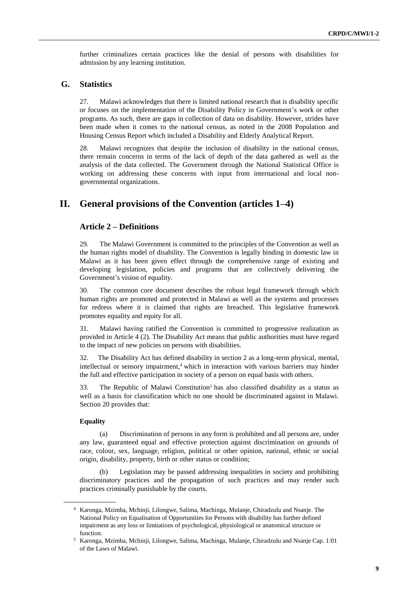further criminalizes certain practices like the denial of persons with disabilities for admission by any learning institution.

## **G. Statistics**

27. Malawi acknowledges that there is limited national research that is disability specific or focuses on the implementation of the Disability Policy in Government's work or other programs. As such, there are gaps in collection of data on disability. However, strides have been made when it comes to the national census, as noted in the 2008 Population and Housing Census Report which included a Disability and Elderly Analytical Report.

28. Malawi recognizes that despite the inclusion of disability in the national census, there remain concerns in terms of the lack of depth of the data gathered as well as the analysis of the data collected. The Government through the National Statistical Office is working on addressing these concerns with input from international and local nongovernmental organizations.

# **II. General provisions of the Convention (articles 1–4)**

## **Article 2 – Definitions**

29. The Malawi Government is committed to the principles of the Convention as well as the human rights model of disability. The Convention is legally binding in domestic law in Malawi as it has been given effect through the comprehensive range of existing and developing legislation, policies and programs that are collectively delivering the Government's vision of equality.

30. The common core document describes the robust legal framework through which human rights are promoted and protected in Malawi as well as the systems and processes for redress where it is claimed that rights are breached. This legislative framework promotes equality and equity for all.

31. Malawi having ratified the Convention is committed to progressive realization as provided in Article 4 (2). The Disability Act means that public authorities must have regard to the impact of new policies on persons with disabilities.

32. The Disability Act has defined disability in section 2 as a long-term physical, mental, intellectual or sensory impairment,<sup>4</sup> which in interaction with various barriers may hinder the full and effective participation in society of a person on equal basis with others.

33. The Republic of Malawi Constitution<sup>5</sup> has also classified disability as a status as well as a basis for classification which no one should be discriminated against in Malawi. Section 20 provides that:

#### **Equality**

(a) Discrimination of persons in any form is prohibited and all persons are, under any law, guaranteed equal and effective protection against discrimination on grounds of race, colour, sex, language, religion, political or other opinion, national, ethnic or social origin, disability, property, birth or other status or condition;

Legislation may be passed addressing inequalities in society and prohibiting discriminatory practices and the propagation of such practices and may render such practices criminally punishable by the courts.

<sup>4</sup> Karonga, Mzimba, Mchinji, Lilongwe, Salima, Machinga, Mulanje, Chiradzulu and Nsanje. The National Policy on Equalisation of Opportunities for Persons with disability has further defined impairment as any loss or limitations of psychological, physiological or anatomical structure or function.

<sup>5</sup> Karonga, Mzimba, Mchinji, Lilongwe, Salima, Machinga, Mulanje, Chiradzulu and Nsanje Cap. 1:01 of the Laws of Malawi.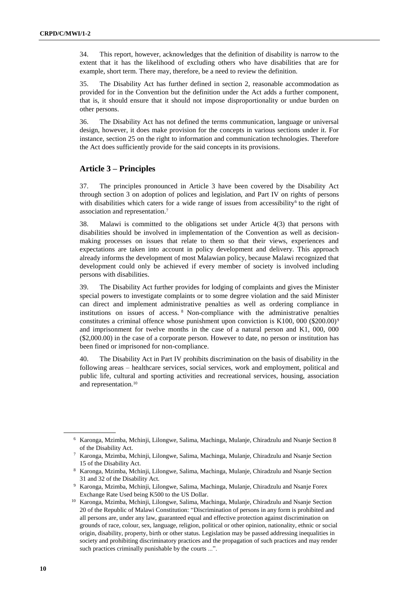34. This report, however, acknowledges that the definition of disability is narrow to the extent that it has the likelihood of excluding others who have disabilities that are for example, short term. There may, therefore, be a need to review the definition.

35. The Disability Act has further defined in section 2, reasonable accommodation as provided for in the Convention but the definition under the Act adds a further component, that is, it should ensure that it should not impose disproportionality or undue burden on other persons.

36. The Disability Act has not defined the terms communication, language or universal design, however, it does make provision for the concepts in various sections under it. For instance, section 25 on the right to information and communication technologies. Therefore the Act does sufficiently provide for the said concepts in its provisions.

## **Article 3 – Principles**

37. The principles pronounced in Article 3 have been covered by the Disability Act through section 3 on adoption of polices and legislation, and Part IV on rights of persons with disabilities which caters for a wide range of issues from accessibility<sup>6</sup> to the right of association and representation.<sup>7</sup>

38. Malawi is committed to the obligations set under Article 4(3) that persons with disabilities should be involved in implementation of the Convention as well as decisionmaking processes on issues that relate to them so that their views, experiences and expectations are taken into account in policy development and delivery. This approach already informs the development of most Malawian policy, because Malawi recognized that development could only be achieved if every member of society is involved including persons with disabilities.

39. The Disability Act further provides for lodging of complaints and gives the Minister special powers to investigate complaints or to some degree violation and the said Minister can direct and implement administrative penalties as well as ordering compliance in institutions on issues of access. <sup>8</sup> Non-compliance with the administrative penalties constitutes a criminal offence whose punishment upon conviction is  $K100, 000 (\$200.00)°$ and imprisonment for twelve months in the case of a natural person and K1, 000, 000 (\$2,000.00) in the case of a corporate person. However to date, no person or institution has been fined or imprisoned for non-compliance.

40. The Disability Act in Part IV prohibits discrimination on the basis of disability in the following areas – healthcare services, social services, work and employment, political and public life, cultural and sporting activities and recreational services, housing, association and representation.<sup>10</sup>

<sup>6</sup> Karonga, Mzimba, Mchinji, Lilongwe, Salima, Machinga, Mulanje, Chiradzulu and Nsanje Section 8 of the Disability Act.

<sup>7</sup> Karonga, Mzimba, Mchinji, Lilongwe, Salima, Machinga, Mulanje, Chiradzulu and Nsanje Section 15 of the Disability Act.

<sup>8</sup> Karonga, Mzimba, Mchinji, Lilongwe, Salima, Machinga, Mulanje, Chiradzulu and Nsanje Section 31 and 32 of the Disability Act.

<sup>9</sup> Karonga, Mzimba, Mchinji, Lilongwe, Salima, Machinga, Mulanje, Chiradzulu and Nsanje Forex Exchange Rate Used being K500 to the US Dollar.

<sup>10</sup> Karonga, Mzimba, Mchinji, Lilongwe, Salima, Machinga, Mulanje, Chiradzulu and Nsanje Section 20 of the Republic of Malawi Constitution: "Discrimination of persons in any form is prohibited and all persons are, under any law, guaranteed equal and effective protection against discrimination on grounds of race, colour, sex, language, religion, political or other opinion, nationality, ethnic or social origin, disability, property, birth or other status. Legislation may be passed addressing inequalities in society and prohibiting discriminatory practices and the propagation of such practices and may render such practices criminally punishable by the courts ...".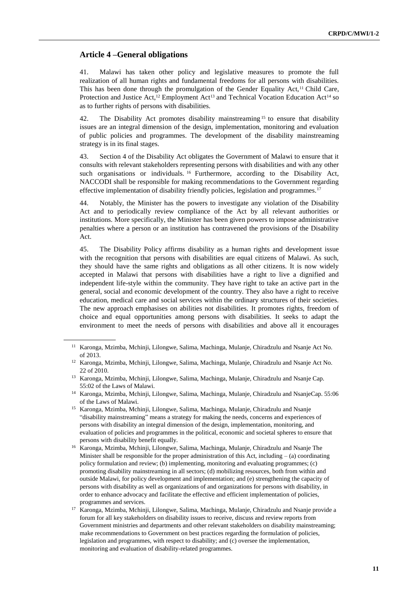#### **Article 4 –General obligations**

41. Malawi has taken other policy and legislative measures to promote the full realization of all human rights and fundamental freedoms for all persons with disabilities. This has been done through the promulgation of the Gender Equality Act,<sup>11</sup> Child Care, Protection and Justice Act,<sup>12</sup> Employment Act<sup>13</sup> and Technical Vocation Education Act<sup>14</sup> so as to further rights of persons with disabilities.

42. The Disability Act promotes disability mainstreaming<sup>15</sup> to ensure that disability issues are an integral dimension of the design, implementation, monitoring and evaluation of public policies and programmes. The development of the disability mainstreaming strategy is in its final stages.

43. Section 4 of the Disability Act obligates the Government of Malawi to ensure that it consults with relevant stakeholders representing persons with disabilities and with any other such organisations or individuals. <sup>16</sup> Furthermore, according to the Disability Act, NACCODI shall be responsible for making recommendations to the Government regarding effective implementation of disability friendly policies, legislation and programmes.<sup>17</sup>

44. Notably, the Minister has the powers to investigate any violation of the Disability Act and to periodically review compliance of the Act by all relevant authorities or institutions. More specifically, the Minister has been given powers to impose administrative penalties where a person or an institution has contravened the provisions of the Disability Act.

45. The Disability Policy affirms disability as a human rights and development issue with the recognition that persons with disabilities are equal citizens of Malawi. As such, they should have the same rights and obligations as all other citizens. It is now widely accepted in Malawi that persons with disabilities have a right to live a dignified and independent life-style within the community. They have right to take an active part in the general, social and economic development of the country. They also have a right to receive education, medical care and social services within the ordinary structures of their societies. The new approach emphasises on abilities not disabilities. It promotes rights, freedom of choice and equal opportunities among persons with disabilities. It seeks to adapt the environment to meet the needs of persons with disabilities and above all it encourages

<sup>11</sup> Karonga, Mzimba, Mchinji, Lilongwe, Salima, Machinga, Mulanje, Chiradzulu and Nsanje Act No. of 2013.

<sup>12</sup> Karonga, Mzimba, Mchinji, Lilongwe, Salima, Machinga, Mulanje, Chiradzulu and Nsanje Act No. 22 of 2010.

<sup>13</sup> Karonga, Mzimba, Mchinji, Lilongwe, Salima, Machinga, Mulanje, Chiradzulu and Nsanje Cap. 55:02 of the Laws of Malawi.

<sup>14</sup> Karonga, Mzimba, Mchinji, Lilongwe, Salima, Machinga, Mulanje, Chiradzulu and NsanjeCap. 55:06 of the Laws of Malawi.

<sup>&</sup>lt;sup>15</sup> Karonga, Mzimba, Mchinji, Lilongwe, Salima, Machinga, Mulanje, Chiradzulu and Nsanje "disability mainstreaming" means a strategy for making the needs, concerns and experiences of persons with disability an integral dimension of the design, implementation, monitoring, and evaluation of policies and programmes in the political, economic and societal spheres to ensure that persons with disability benefit equally.

<sup>16</sup> Karonga, Mzimba, Mchinji, Lilongwe, Salima, Machinga, Mulanje, Chiradzulu and Nsanje The Minister shall be responsible for the proper administration of this Act, including  $-$  (a) coordinating policy formulation and review; (b) implementing, monitoring and evaluating programmes; (c) promoting disability mainstreaming in all sectors; (d) mobilizing resources, both from within and outside Malawi, for policy development and implementation; and (e) strengthening the capacity of persons with disability as well as organizations of and organizations for persons with disability, in order to enhance advocacy and facilitate the effective and efficient implementation of policies, programmes and services.

<sup>17</sup> Karonga, Mzimba, Mchinji, Lilongwe, Salima, Machinga, Mulanje, Chiradzulu and Nsanje provide a forum for all key stakeholders on disability issues to receive, discuss and review reports from Government ministries and departments and other relevant stakeholders on disability mainstreaming; make recommendations to Government on best practices regarding the formulation of policies, legislation and programmes, with respect to disability; and (c) oversee the implementation, monitoring and evaluation of disability-related programmes.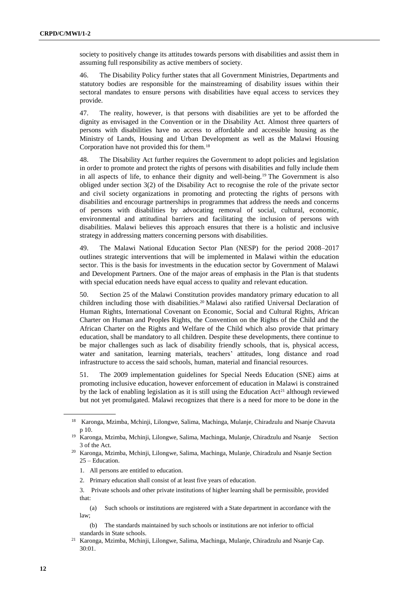society to positively change its attitudes towards persons with disabilities and assist them in assuming full responsibility as active members of society.

46. The Disability Policy further states that all Government Ministries, Departments and statutory bodies are responsible for the mainstreaming of disability issues within their sectoral mandates to ensure persons with disabilities have equal access to services they provide.

47. The reality, however, is that persons with disabilities are yet to be afforded the dignity as envisaged in the Convention or in the Disability Act. Almost three quarters of persons with disabilities have no access to affordable and accessible housing as the Ministry of Lands, Housing and Urban Development as well as the Malawi Housing Corporation have not provided this for them.<sup>18</sup>

48. The Disability Act further requires the Government to adopt policies and legislation in order to promote and protect the rights of persons with disabilities and fully include them in all aspects of life, to enhance their dignity and well-being.<sup>19</sup> The Government is also obliged under section 3(2) of the Disability Act to recognise the role of the private sector and civil society organizations in promoting and protecting the rights of persons with disabilities and encourage partnerships in programmes that address the needs and concerns of persons with disabilities by advocating removal of social, cultural, economic, environmental and attitudinal barriers and facilitating the inclusion of persons with disabilities. Malawi believes this approach ensures that there is a holistic and inclusive strategy in addressing matters concerning persons with disabilities.

49. The Malawi National Education Sector Plan (NESP) for the period 2008–2017 outlines strategic interventions that will be implemented in Malawi within the education sector. This is the basis for investments in the education sector by Government of Malawi and Development Partners. One of the major areas of emphasis in the Plan is that students with special education needs have equal access to quality and relevant education.

50. Section 25 of the Malawi Constitution provides mandatory primary education to all children including those with disabilities.<sup>20</sup> Malawi also ratified Universal Declaration of Human Rights, International Covenant on Economic, Social and Cultural Rights, African Charter on Human and Peoples Rights, the Convention on the Rights of the Child and the African Charter on the Rights and Welfare of the Child which also provide that primary education, shall be mandatory to all children. Despite these developments, there continue to be major challenges such as lack of disability friendly schools, that is, physical access, water and sanitation, learning materials, teachers' attitudes, long distance and road infrastructure to access the said schools, human, material and financial resources.

51. The 2009 implementation guidelines for Special Needs Education (SNE) aims at promoting inclusive education, however enforcement of education in Malawi is constrained by the lack of enabling legislation as it is still using the Education  $Act^{21}$  although reviewed but not yet promulgated. Malawi recognizes that there is a need for more to be done in the

- 1. All persons are entitled to education.
- 2. Primary education shall consist of at least five years of education.

(a) Such schools or institutions are registered with a State department in accordance with the law;

(b) The standards maintained by such schools or institutions are not inferior to official standards in State schools.

<sup>18</sup> Karonga, Mzimba, Mchinji, Lilongwe, Salima, Machinga, Mulanje, Chiradzulu and Nsanje Chavuta p 10.

<sup>&</sup>lt;sup>19</sup> Karonga, Mzimba, Mchinji, Lilongwe, Salima, Machinga, Mulanje, Chiradzulu and Nsanje Section 3 of the Act.

<sup>20</sup> Karonga, Mzimba, Mchinji, Lilongwe, Salima, Machinga, Mulanje, Chiradzulu and Nsanje Section 25 – Education.

<sup>3.</sup> Private schools and other private institutions of higher learning shall be permissible, provided that:

<sup>21</sup> Karonga, Mzimba, Mchinji, Lilongwe, Salima, Machinga, Mulanje, Chiradzulu and Nsanje Cap. 30:01.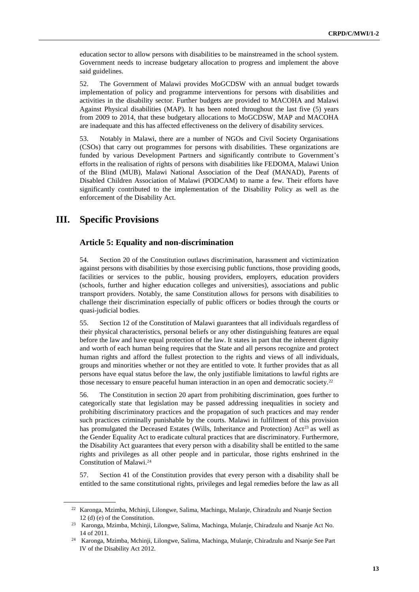education sector to allow persons with disabilities to be mainstreamed in the school system. Government needs to increase budgetary allocation to progress and implement the above said guidelines.

52. The Government of Malawi provides MoGCDSW with an annual budget towards implementation of policy and programme interventions for persons with disabilities and activities in the disability sector. Further budgets are provided to MACOHA and Malawi Against Physical disabilities (MAP). It has been noted throughout the last five (5) years from 2009 to 2014, that these budgetary allocations to MoGCDSW, MAP and MACOHA are inadequate and this has affected effectiveness on the delivery of disability services.

53. Notably in Malawi, there are a number of NGOs and Civil Society Organisations (CSOs) that carry out programmes for persons with disabilities. These organizations are funded by various Development Partners and significantly contribute to Government's efforts in the realisation of rights of persons with disabilities like FEDOMA, Malawi Union of the Blind (MUB), Malawi National Association of the Deaf (MANAD), Parents of Disabled Children Association of Malawi (PODCAM) to name a few. Their efforts have significantly contributed to the implementation of the Disability Policy as well as the enforcement of the Disability Act.

# **III. Specific Provisions**

#### **Article 5: Equality and non-discrimination**

54. Section 20 of the Constitution outlaws discrimination, harassment and victimization against persons with disabilities by those exercising public functions, those providing goods, facilities or services to the public, housing providers, employers, education providers (schools, further and higher education colleges and universities), associations and public transport providers. Notably, the same Constitution allows for persons with disabilities to challenge their discrimination especially of public officers or bodies through the courts or quasi-judicial bodies.

55. Section 12 of the Constitution of Malawi guarantees that all individuals regardless of their physical characteristics, personal beliefs or any other distinguishing features are equal before the law and have equal protection of the law. It states in part that the inherent dignity and worth of each human being requires that the State and all persons recognize and protect human rights and afford the fullest protection to the rights and views of all individuals, groups and minorities whether or not they are entitled to vote. It further provides that as all persons have equal status before the law, the only justifiable limitations to lawful rights are those necessary to ensure peaceful human interaction in an open and democratic society.<sup>22</sup>

56. The Constitution in section 20 apart from prohibiting discrimination, goes further to categorically state that legislation may be passed addressing inequalities in society and prohibiting discriminatory practices and the propagation of such practices and may render such practices criminally punishable by the courts. Malawi in fulfilment of this provision has promulgated the Deceased Estates (Wills, Inheritance and Protection) Act<sup>23</sup> as well as the Gender Equality Act to eradicate cultural practices that are discriminatory. Furthermore, the Disability Act guarantees that every person with a disability shall be entitled to the same rights and privileges as all other people and in particular, those rights enshrined in the Constitution of Malawi.<sup>24</sup>

57. Section 41 of the Constitution provides that every person with a disability shall be entitled to the same constitutional rights, privileges and legal remedies before the law as all

<sup>22</sup> Karonga, Mzimba, Mchinji, Lilongwe, Salima, Machinga, Mulanje, Chiradzulu and Nsanje Section 12 (d) (e) of the Constitution.

<sup>23</sup> Karonga, Mzimba, Mchinji, Lilongwe, Salima, Machinga, Mulanje, Chiradzulu and Nsanje Act No. 14 of 2011.

<sup>24</sup> Karonga, Mzimba, Mchinji, Lilongwe, Salima, Machinga, Mulanje, Chiradzulu and Nsanje See Part IV of the Disability Act 2012.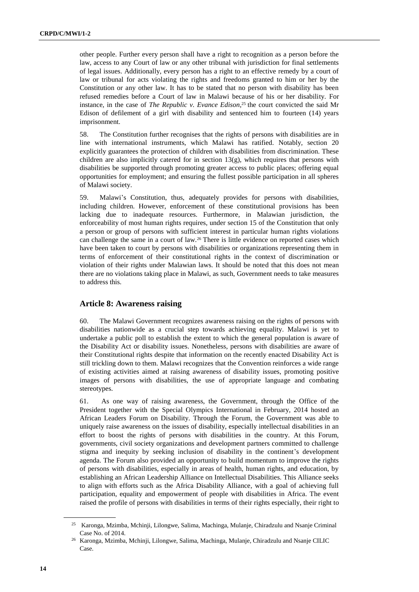other people. Further every person shall have a right to recognition as a person before the law, access to any Court of law or any other tribunal with jurisdiction for final settlements of legal issues. Additionally, every person has a right to an effective remedy by a court of law or tribunal for acts violating the rights and freedoms granted to him or her by the Constitution or any other law. It has to be stated that no person with disability has been refused remedies before a Court of law in Malawi because of his or her disability. For instance, in the case of *The Republic v. Evance Edison*, <sup>25</sup> the court convicted the said Mr Edison of defilement of a girl with disability and sentenced him to fourteen (14) years imprisonment.

58. The Constitution further recognises that the rights of persons with disabilities are in line with international instruments, which Malawi has ratified. Notably, section 20 explicitly guarantees the protection of children with disabilities from discrimination. These children are also implicitly catered for in section  $13(g)$ , which requires that persons with disabilities be supported through promoting greater access to public places; offering equal opportunities for employment; and ensuring the fullest possible participation in all spheres of Malawi society.

59. Malawi's Constitution, thus, adequately provides for persons with disabilities, including children. However, enforcement of these constitutional provisions has been lacking due to inadequate resources. Furthermore, in Malawian jurisdiction, the enforceability of most human rights requires, under section 15 of the Constitution that only a person or group of persons with sufficient interest in particular human rights violations can challenge the same in a court of law.<sup>26</sup> There is little evidence on reported cases which have been taken to court by persons with disabilities or organizations representing them in terms of enforcement of their constitutional rights in the context of discrimination or violation of their rights under Malawian laws. It should be noted that this does not mean there are no violations taking place in Malawi, as such, Government needs to take measures to address this.

#### **Article 8: Awareness raising**

60. The Malawi Government recognizes awareness raising on the rights of persons with disabilities nationwide as a crucial step towards achieving equality. Malawi is yet to undertake a public poll to establish the extent to which the general population is aware of the Disability Act or disability issues. Nonetheless, persons with disabilities are aware of their Constitutional rights despite that information on the recently enacted Disability Act is still trickling down to them. Malawi recognizes that the Convention reinforces a wide range of existing activities aimed at raising awareness of disability issues, promoting positive images of persons with disabilities, the use of appropriate language and combating stereotypes.

61. As one way of raising awareness, the Government, through the Office of the President together with the Special Olympics International in February, 2014 hosted an African Leaders Forum on Disability. Through the Forum, the Government was able to uniquely raise awareness on the issues of disability, especially intellectual disabilities in an effort to boost the rights of persons with disabilities in the country. At this Forum, governments, civil society organizations and development partners committed to challenge stigma and inequity by seeking inclusion of disability in the continent's development agenda. The Forum also provided an opportunity to build momentum to improve the rights of persons with disabilities, especially in areas of health, human rights, and education, by establishing an African Leadership Alliance on Intellectual Disabilities. This Alliance seeks to align with efforts such as the Africa Disability Alliance, with a goal of achieving full participation, equality and empowerment of people with disabilities in Africa. The event raised the profile of persons with disabilities in terms of their rights especially, their right to

<sup>25</sup> Karonga, Mzimba, Mchinji, Lilongwe, Salima, Machinga, Mulanje, Chiradzulu and Nsanje Criminal Case No. of 2014.

<sup>26</sup> Karonga, Mzimba, Mchinji, Lilongwe, Salima, Machinga, Mulanje, Chiradzulu and Nsanje CILIC Case.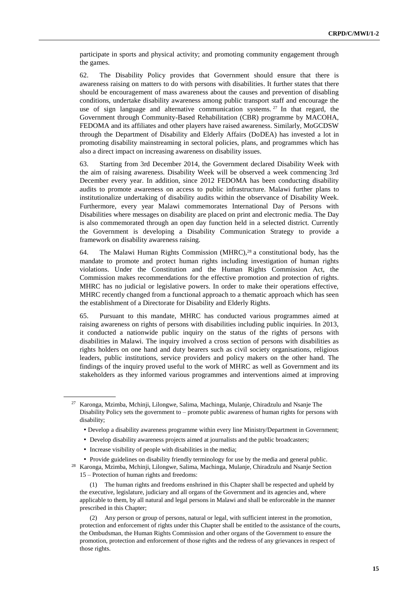participate in sports and physical activity; and promoting community engagement through the games.

62. The Disability Policy provides that Government should ensure that there is awareness raising on matters to do with persons with disabilities. It further states that there should be encouragement of mass awareness about the causes and prevention of disabling conditions, undertake disability awareness among public transport staff and encourage the use of sign language and alternative communication systems.  $27$  In that regard, the Government through Community-Based Rehabilitation (CBR) programme by MACOHA, FEDOMA and its affiliates and other players have raised awareness. Similarly, MoGCDSW through the Department of Disability and Elderly Affairs (DoDEA) has invested a lot in promoting disability mainstreaming in sectoral policies, plans, and programmes which has also a direct impact on increasing awareness on disability issues.

63. Starting from 3rd December 2014, the Government declared Disability Week with the aim of raising awareness. Disability Week will be observed a week commencing 3rd December every year. In addition, since 2012 FEDOMA has been conducting disability audits to promote awareness on access to public infrastructure. Malawi further plans to institutionalize undertaking of disability audits within the observance of Disability Week. Furthermore, every year Malawi commemorates International Day of Persons with Disabilities where messages on disability are placed on print and electronic media. The Day is also commemorated through an open day function held in a selected district. Currently the Government is developing a Disability Communication Strategy to provide a framework on disability awareness raising.

64. The Malawi Human Rights Commission (MHRC),<sup>28</sup> a constitutional body, has the mandate to promote and protect human rights including investigation of human rights violations. Under the Constitution and the Human Rights Commission Act, the Commission makes recommendations for the effective promotion and protection of rights. MHRC has no judicial or legislative powers. In order to make their operations effective, MHRC recently changed from a functional approach to a thematic approach which has seen the establishment of a Directorate for Disability and Elderly Rights.

65. Pursuant to this mandate, MHRC has conducted various programmes aimed at raising awareness on rights of persons with disabilities including public inquiries. In 2013, it conducted a nationwide public inquiry on the status of the rights of persons with disabilities in Malawi. The inquiry involved a cross section of persons with disabilities as rights holders on one hand and duty bearers such as civil society organisations, religious leaders, public institutions, service providers and policy makers on the other hand. The findings of the inquiry proved useful to the work of MHRC as well as Government and its stakeholders as they informed various programmes and interventions aimed at improving

- Develop a disability awareness programme within every line Ministry/Department in Government;
- Develop disability awareness projects aimed at journalists and the public broadcasters;
- Increase visibility of people with disabilities in the media;

• Provide guidelines on disability friendly terminology for use by the media and general public. <sup>28</sup> Karonga, Mzimba, Mchinji, Lilongwe, Salima, Machinga, Mulanje, Chiradzulu and Nsanje Section

15 – Protection of human rights and freedoms:

(1) The human rights and freedoms enshrined in this Chapter shall be respected and upheld by the executive, legislature, judiciary and all organs of the Government and its agencies and, where applicable to them, by all natural and legal persons in Malawi and shall be enforceable in the manner prescribed in this Chapter;

(2) Any person or group of persons, natural or legal, with sufficient interest in the promotion, protection and enforcement of rights under this Chapter shall be entitled to the assistance of the courts, the Ombudsman, the Human Rights Commission and other organs of the Government to ensure the promotion, protection and enforcement of those rights and the redress of any grievances in respect of those rights.

<sup>27</sup> Karonga, Mzimba, Mchinji, Lilongwe, Salima, Machinga, Mulanje, Chiradzulu and Nsanje The Disability Policy sets the government to – promote public awareness of human rights for persons with disability;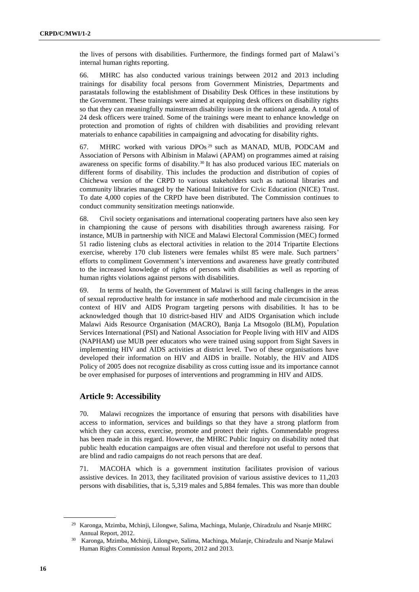the lives of persons with disabilities. Furthermore, the findings formed part of Malawi's internal human rights reporting.

66. MHRC has also conducted various trainings between 2012 and 2013 including trainings for disability focal persons from Government Ministries, Departments and parastatals following the establishment of Disability Desk Offices in these institutions by the Government. These trainings were aimed at equipping desk officers on disability rights so that they can meaningfully mainstream disability issues in the national agenda. A total of 24 desk officers were trained. Some of the trainings were meant to enhance knowledge on protection and promotion of rights of children with disabilities and providing relevant materials to enhance capabilities in campaigning and advocating for disability rights.

67. MHRC worked with various DPOs <sup>29</sup> such as MANAD, MUB, PODCAM and Association of Persons with Albinism in Malawi (APAM) on programmes aimed at raising awareness on specific forms of disability.<sup>30</sup> It has also produced various IEC materials on different forms of disability. This includes the production and distribution of copies of Chichewa version of the CRPD to various stakeholders such as national libraries and community libraries managed by the National Initiative for Civic Education (NICE) Trust. To date 4,000 copies of the CRPD have been distributed. The Commission continues to conduct community sensitization meetings nationwide.

68. Civil society organisations and international cooperating partners have also seen key in championing the cause of persons with disabilities through awareness raising. For instance, MUB in partnership with NICE and Malawi Electoral Commission (MEC) formed 51 radio listening clubs as electoral activities in relation to the 2014 Tripartite Elections exercise, whereby 170 club listeners were females whilst 85 were male. Such partners' efforts to compliment Government's interventions and awareness have greatly contributed to the increased knowledge of rights of persons with disabilities as well as reporting of human rights violations against persons with disabilities.

69. In terms of health, the Government of Malawi is still facing challenges in the areas of sexual reproductive health for instance in safe motherhood and male circumcision in the context of HIV and AIDS Program targeting persons with disabilities. It has to be acknowledged though that 10 district-based HIV and AIDS Organisation which include Malawi Aids Resource Organisation (MACRO), Banja La Mtsogolo (BLM), Population Services International (PSI) and National Association for People living with HIV and AIDS (NAPHAM) use MUB peer educators who were trained using support from Sight Savers in implementing HIV and AIDS activities at district level. Two of these organisations have developed their information on HIV and AIDS in braille. Notably, the HIV and AIDS Policy of 2005 does not recognize disability as cross cutting issue and its importance cannot be over emphasised for purposes of interventions and programming in HIV and AIDS.

#### **Article 9: Accessibility**

70. Malawi recognizes the importance of ensuring that persons with disabilities have access to information, services and buildings so that they have a strong platform from which they can access, exercise, promote and protect their rights. Commendable progress has been made in this regard. However, the MHRC Public Inquiry on disability noted that public health education campaigns are often visual and therefore not useful to persons that are blind and radio campaigns do not reach persons that are deaf.

71. MACOHA which is a government institution facilitates provision of various assistive devices. In 2013, they facilitated provision of various assistive devices to 11,203 persons with disabilities, that is, 5,319 males and 5,884 females. This was more than double

<sup>29</sup> Karonga, Mzimba, Mchinji, Lilongwe, Salima, Machinga, Mulanje, Chiradzulu and Nsanje MHRC Annual Report, 2012.

<sup>30</sup> Karonga, Mzimba, Mchinji, Lilongwe, Salima, Machinga, Mulanje, Chiradzulu and Nsanje Malawi Human Rights Commission Annual Reports, 2012 and 2013.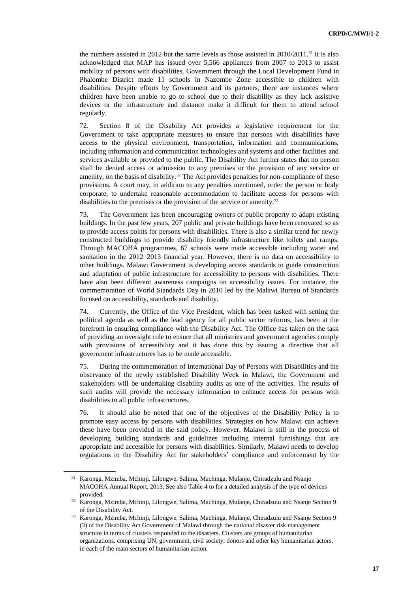the numbers assisted in 2012 but the same levels as those assisted in 2010/2011.<sup>31</sup> It is also acknowledged that MAP has issued over 5,566 appliances from 2007 to 2013 to assist mobility of persons with disabilities. Government through the Local Development Fund in Phalombe District made 11 schools in Nazombe Zone accessible to children with disabilities. Despite efforts by Government and its partners, there are instances where children have been unable to go to school due to their disability as they lack assistive devices or the infrastructure and distance make it difficult for them to attend school regularly.

72. Section 8 of the Disability Act provides a legislative requirement for the Government to take appropriate measures to ensure that persons with disabilities have access to the physical environment, transportation, information and communications, including information and communication technologies and systems and other facilities and services available or provided to the public. The Disability Act further states that no person shall be denied access or admission to any premises or the provision of any service or amenity, on the basis of disability.<sup>32</sup> The Act provides penalties for non-compliance of these provisions. A court may, in addition to any penalties mentioned, order the person or body corporate, to undertake reasonable accommodation to facilitate access for persons with disabilities to the premises or the provision of the service or amenity.<sup>33</sup>

73. The Government has been encouraging owners of public property to adapt existing buildings. In the past few years, 207 public and private buildings have been renovated so as to provide access points for persons with disabilities. There is also a similar trend for newly constructed buildings to provide disability friendly infrastructure like toilets and ramps. Through MACOHA programmes, 67 schools were made accessible including water and sanitation in the 2012–2013 financial year. However, there is no data on accessibility to other buildings. Malawi Government is developing access standards to guide construction and adaptation of public infrastructure for accessibility to persons with disabilities. There have also been different awareness campaigns on accessibility issues. For instance, the commemoration of World Standards Day in 2010 led by the Malawi Bureau of Standards focused on accessibility, standards and disability.

74. Currently, the Office of the Vice President, which has been tasked with setting the political agenda as well as the lead agency for all public sector reforms, has been at the forefront in ensuring compliance with the Disability Act. The Office has taken on the task of providing an oversight role to ensure that all ministries and government agencies comply with provisions of accessibility and it has done this by issuing a directive that all government infrastructures has to be made accessible.

75. During the commemoration of International Day of Persons with Disabilities and the observance of the newly established Disability Week in Malawi, the Government and stakeholders will be undertaking disability audits as one of the activities. The results of such audits will provide the necessary information to enhance access for persons with disabilities to all public infrastructures.

76. It should also be noted that one of the objectives of the Disability Policy is to promote easy access by persons with disabilities. Strategies on how Malawi can achieve these have been provided in the said policy. However, Malawi is still in the process of developing building standards and guidelines including internal furnishings that are appropriate and accessible for persons with disabilities. Similarly, Malawi needs to develop regulations to the Disability Act for stakeholders' compliance and enforcement by the

<sup>31</sup> Karonga, Mzimba, Mchinji, Lilongwe, Salima, Machinga, Mulanje, Chiradzulu and Nsanje MACOHA Annual Report, 2013. See also Table 4 to for a detailed analysis of the type of devices provided.

<sup>32</sup> Karonga, Mzimba, Mchinji, Lilongwe, Salima, Machinga, Mulanje, Chiradzulu and Nsanje Section 9 of the Disability Act.

<sup>33</sup> Karonga, Mzimba, Mchinji, Lilongwe, Salima, Machinga, Mulanje, Chiradzulu and Nsanje Section 9 (3) of the Disability Act Government of Malawi through the national disaster risk management structure in terms of clusters responded to the disasters. Clusters are groups of humanitarian organizations, comprising UN, government, civil society, donors and other key humanitarian actors, in each of the main sectors of humanitarian action.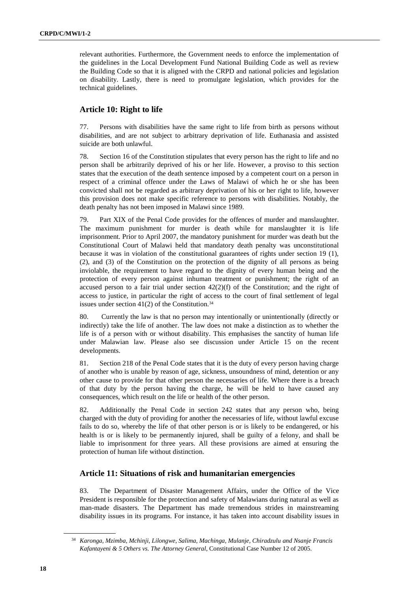relevant authorities. Furthermore, the Government needs to enforce the implementation of the guidelines in the Local Development Fund National Building Code as well as review the Building Code so that it is aligned with the CRPD and national policies and legislation on disability. Lastly, there is need to promulgate legislation, which provides for the technical guidelines.

## **Article 10: Right to life**

77. Persons with disabilities have the same right to life from birth as persons without disabilities, and are not subject to arbitrary deprivation of life. Euthanasia and assisted suicide are both unlawful.

78. Section 16 of the Constitution stipulates that every person has the right to life and no person shall be arbitrarily deprived of his or her life. However, a proviso to this section states that the execution of the death sentence imposed by a competent court on a person in respect of a criminal offence under the Laws of Malawi of which he or she has been convicted shall not be regarded as arbitrary deprivation of his or her right to life, however this provision does not make specific reference to persons with disabilities. Notably, the death penalty has not been imposed in Malawi since 1989.

79. Part XIX of the Penal Code provides for the offences of murder and manslaughter. The maximum punishment for murder is death while for manslaughter it is life imprisonment. Prior to April 2007, the mandatory punishment for murder was death but the Constitutional Court of Malawi held that mandatory death penalty was unconstitutional because it was in violation of the constitutional guarantees of rights under section 19 (1), (2), and (3) of the Constitution on the protection of the dignity of all persons as being inviolable, the requirement to have regard to the dignity of every human being and the protection of every person against inhuman treatment or punishment; the right of an accused person to a fair trial under section  $42(2)(f)$  of the Constitution; and the right of access to justice, in particular the right of access to the court of final settlement of legal issues under section  $41(2)$  of the Constitution.<sup>34</sup>

80. Currently the law is that no person may intentionally or unintentionally (directly or indirectly) take the life of another. The law does not make a distinction as to whether the life is of a person with or without disability. This emphasises the sanctity of human life under Malawian law. Please also see discussion under Article 15 on the recent developments.

81. Section 218 of the Penal Code states that it is the duty of every person having charge of another who is unable by reason of age, sickness, unsoundness of mind, detention or any other cause to provide for that other person the necessaries of life. Where there is a breach of that duty by the person having the charge, he will be held to have caused any consequences, which result on the life or health of the other person.

82. Additionally the Penal Code in section 242 states that any person who, being charged with the duty of providing for another the necessaries of life, without lawful excuse fails to do so, whereby the life of that other person is or is likely to be endangered, or his health is or is likely to be permanently injured, shall be guilty of a felony, and shall be liable to imprisonment for three years. All these provisions are aimed at ensuring the protection of human life without distinction.

## **Article 11: Situations of risk and humanitarian emergencies**

83. The Department of Disaster Management Affairs, under the Office of the Vice President is responsible for the protection and safety of Malawians during natural as well as man-made disasters. The Department has made tremendous strides in mainstreaming disability issues in its programs. For instance, it has taken into account disability issues in

<sup>34</sup> *Karonga, Mzimba, Mchinji, Lilongwe, Salima, Machinga, Mulanje, Chiradzulu and Nsanje Francis Kafantayeni & 5 Others vs. The Attorney General*, Constitutional Case Number 12 of 2005.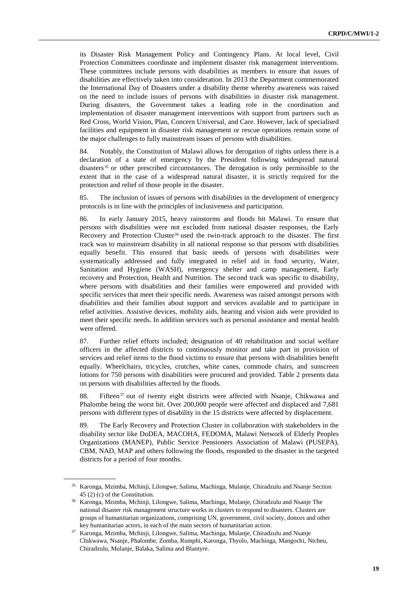its Disaster Risk Management Policy and Contingency Plans. At local level, Civil Protection Committees coordinate and implement disaster risk management interventions. These committees include persons with disabilities as members to ensure that issues of disabilities are effectively taken into consideration. In 2013 the Department commemorated the International Day of Disasters under a disability theme whereby awareness was raised on the need to include issues of persons with disabilities in disaster risk management. During disasters, the Government takes a leading role in the coordination and implementation of disaster management interventions with support from partners such as Red Cross, World Vision, Plan, Concern Universal, and Care. However, lack of specialised facilities and equipment in disaster risk management or rescue operations remain some of the major challenges to fully mainstream issues of persons with disabilities.

84. Notably, the Constitution of Malawi allows for derogation of rights unless there is a declaration of a state of emergency by the President following widespread natural disasters<sup>35</sup> or other prescribed circumstances. The derogation is only permissible to the extent that in the case of a widespread natural disaster, it is strictly required for the protection and relief of those people in the disaster.

85. The inclusion of issues of persons with disabilities in the development of emergency protocols is in line with the principles of inclusiveness and participation.

86. In early January 2015, heavy rainstorms and floods hit Malawi. To ensure that persons with disabilities were not excluded from national disaster responses, the Early Recovery and Protection Cluster<sup>36</sup> used the twin-track approach to the disaster. The first track was to mainstream disability in all national response so that persons with disabilities equally benefit. This ensured that basic needs of persons with disabilities were systematically addressed and fully integrated in relief aid in food security, Water, Sanitation and Hygiene (WASH), emergency shelter and camp management, Early recovery and Protection, Health and Nutrition. The second track was specific to disability, where persons with disabilities and their families were empowered and provided with specific services that meet their specific needs. Awareness was raised amongst persons with disabilities and their families about support and services available and to participate in relief activities. Assistive devices, mobility aids, hearing and vision aids were provided to meet their specific needs. In addition services such as personal assistance and mental health were offered.

87. Further relief efforts included; designation of 40 rehabilitation and social welfare officers in the affected districts to continuously monitor and take part in provision of services and relief items to the flood victims to ensure that persons with disabilities benefit equally. Wheelchairs, tricycles, crutches, white canes, commode chairs, and sunscreen lotions for 750 persons with disabilities were procured and provided. Table 2 presents data on persons with disabilities affected by the floods.

88. Fifteen<sup>37</sup> out of twenty eight districts were affected with Nsanje, Chikwawa and Phalombe being the worst hit. Over 200,000 people were affected and displaced and 7,681 persons with different types of disability in the 15 districts were affected by displacement.

89. The Early Recovery and Protection Cluster in collaboration with stakeholders in the disability sector like DoDEA, MACOHA, FEDOMA, Malawi Network of Elderly Peoples Organizations (MANEP), Public Service Pensioners Association of Malawi (PUSEPA), CBM, NAD, MAP and others following the floods, responded to the disaster in the targeted districts for a period of four months.

<sup>35</sup> Karonga, Mzimba, Mchinji, Lilongwe, Salima, Machinga, Mulanje, Chiradzulu and Nsanje Section 45 (2) (c) of the Constitution.

<sup>36</sup> Karonga, Mzimba, Mchinji, Lilongwe, Salima, Machinga, Mulanje, Chiradzulu and Nsanje The national disaster risk management structure works in clusters to respond to disasters. Clusters are groups of humanitarian organizations, comprising UN, government, civil society, donors and other key humanitarian actors, in each of the main sectors of humanitarian action.

<sup>37</sup> Karonga, Mzimba, Mchinji, Lilongwe, Salima, Machinga, Mulanje, Chiradzulu and Nsanje Chikwawa, Nsanje, Phalombe, Zomba, Rumphi, Karonga, Thyolo, Machinga, Mangochi, Ntcheu, Chiradzulu, Mulanje, Balaka, Salima and Blantyre.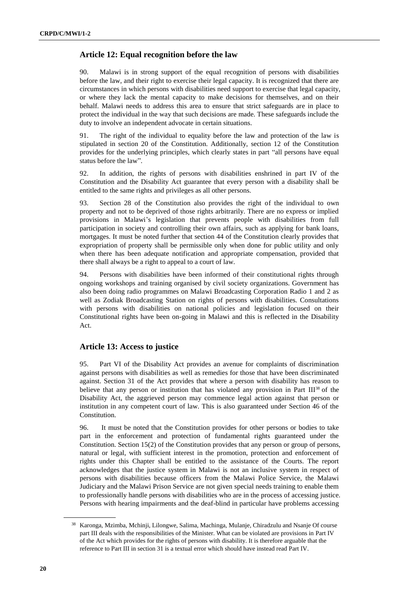## **Article 12: Equal recognition before the law**

90. Malawi is in strong support of the equal recognition of persons with disabilities before the law, and their right to exercise their legal capacity. It is recognized that there are circumstances in which persons with disabilities need support to exercise that legal capacity, or where they lack the mental capacity to make decisions for themselves, and on their behalf. Malawi needs to address this area to ensure that strict safeguards are in place to protect the individual in the way that such decisions are made. These safeguards include the duty to involve an independent advocate in certain situations.

91. The right of the individual to equality before the law and protection of the law is stipulated in section 20 of the Constitution. Additionally, section 12 of the Constitution provides for the underlying principles, which clearly states in part "all persons have equal status before the law".

92. In addition, the rights of persons with disabilities enshrined in part IV of the Constitution and the Disability Act guarantee that every person with a disability shall be entitled to the same rights and privileges as all other persons.

93. Section 28 of the Constitution also provides the right of the individual to own property and not to be deprived of those rights arbitrarily. There are no express or implied provisions in Malawi's legislation that prevents people with disabilities from full participation in society and controlling their own affairs, such as applying for bank loans, mortgages. It must be noted further that section 44 of the Constitution clearly provides that expropriation of property shall be permissible only when done for public utility and only when there has been adequate notification and appropriate compensation, provided that there shall always be a right to appeal to a court of law.

94. Persons with disabilities have been informed of their constitutional rights through ongoing workshops and training organised by civil society organizations. Government has also been doing radio programmes on Malawi Broadcasting Corporation Radio 1 and 2 as well as Zodiak Broadcasting Station on rights of persons with disabilities. Consultations with persons with disabilities on national policies and legislation focused on their Constitutional rights have been on-going in Malawi and this is reflected in the Disability Act.

#### **Article 13: Access to justice**

95. Part VI of the Disability Act provides an avenue for complaints of discrimination against persons with disabilities as well as remedies for those that have been discriminated against. Section 31 of the Act provides that where a person with disability has reason to believe that any person or institution that has violated any provision in Part III<sup>38</sup> of the Disability Act, the aggrieved person may commence legal action against that person or institution in any competent court of law. This is also guaranteed under Section 46 of the Constitution.

96. It must be noted that the Constitution provides for other persons or bodies to take part in the enforcement and protection of fundamental rights guaranteed under the Constitution. Section 15(2) of the Constitution provides that any person or group of persons, natural or legal, with sufficient interest in the promotion, protection and enforcement of rights under this Chapter shall be entitled to the assistance of the Courts. The report acknowledges that the justice system in Malawi is not an inclusive system in respect of persons with disabilities because officers from the Malawi Police Service, the Malawi Judiciary and the Malawi Prison Service are not given special needs training to enable them to professionally handle persons with disabilities who are in the process of accessing justice. Persons with hearing impairments and the deaf-blind in particular have problems accessing

<sup>38</sup> Karonga, Mzimba, Mchinji, Lilongwe, Salima, Machinga, Mulanje, Chiradzulu and Nsanje Of course part III deals with the responsibilities of the Minister. What can be violated are provisions in Part IV of the Act which provides for the rights of persons with disability. It is therefore arguable that the reference to Part III in section 31 is a textual error which should have instead read Part IV.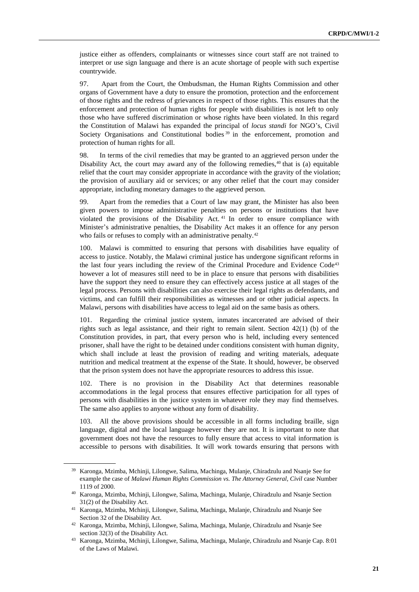justice either as offenders, complainants or witnesses since court staff are not trained to interpret or use sign language and there is an acute shortage of people with such expertise countrywide.

97. Apart from the Court, the Ombudsman, the Human Rights Commission and other organs of Government have a duty to ensure the promotion, protection and the enforcement of those rights and the redress of grievances in respect of those rights. This ensures that the enforcement and protection of human rights for people with disabilities is not left to only those who have suffered discrimination or whose rights have been violated. In this regard the Constitution of Malawi has expanded the principal of *locus standi* for NGO's, Civil Society Organisations and Constitutional bodies<sup>39</sup> in the enforcement, promotion and protection of human rights for all.

98. In terms of the civil remedies that may be granted to an aggrieved person under the Disability Act, the court may award any of the following remedies, $40$  that is (a) equitable relief that the court may consider appropriate in accordance with the gravity of the violation; the provision of auxiliary aid or services; or any other relief that the court may consider appropriate, including monetary damages to the aggrieved person.

99. Apart from the remedies that a Court of law may grant, the Minister has also been given powers to impose administrative penalties on persons or institutions that have violated the provisions of the Disability Act. <sup>41</sup> In order to ensure compliance with Minister's administrative penalties, the Disability Act makes it an offence for any person who fails or refuses to comply with an administrative penalty.<sup>42</sup>

100. Malawi is committed to ensuring that persons with disabilities have equality of access to justice. Notably, the Malawi criminal justice has undergone significant reforms in the last four years including the review of the Criminal Procedure and Evidence Code<sup>43</sup> however a lot of measures still need to be in place to ensure that persons with disabilities have the support they need to ensure they can effectively access justice at all stages of the legal process. Persons with disabilities can also exercise their legal rights as defendants, and victims, and can fulfill their responsibilities as witnesses and or other judicial aspects. In Malawi, persons with disabilities have access to legal aid on the same basis as others.

101. Regarding the criminal justice system, inmates incarcerated are advised of their rights such as legal assistance, and their right to remain silent. Section 42(1) (b) of the Constitution provides, in part, that every person who is held, including every sentenced prisoner, shall have the right to be detained under conditions consistent with human dignity, which shall include at least the provision of reading and writing materials, adequate nutrition and medical treatment at the expense of the State. It should, however, be observed that the prison system does not have the appropriate resources to address this issue.

102. There is no provision in the Disability Act that determines reasonable accommodations in the legal process that ensures effective participation for all types of persons with disabilities in the justice system in whatever role they may find themselves. The same also applies to anyone without any form of disability.

103. All the above provisions should be accessible in all forms including braille, sign language, digital and the local language however they are not. It is important to note that government does not have the resources to fully ensure that access to vital information is accessible to persons with disabilities. It will work towards ensuring that persons with

<sup>39</sup> Karonga, Mzimba, Mchinji, Lilongwe, Salima, Machinga, Mulanje, Chiradzulu and Nsanje See for example the case of *Malawi Human Rights Commission vs. The Attorney General, Civil* case Number 1119 of 2000.

<sup>40</sup> Karonga, Mzimba, Mchinji, Lilongwe, Salima, Machinga, Mulanje, Chiradzulu and Nsanje Section 31(2) of the Disability Act.

<sup>41</sup> Karonga, Mzimba, Mchinji, Lilongwe, Salima, Machinga, Mulanje, Chiradzulu and Nsanje See Section 32 of the Disability Act.

<sup>42</sup> Karonga, Mzimba, Mchinji, Lilongwe, Salima, Machinga, Mulanje, Chiradzulu and Nsanje See section 32(3) of the Disability Act.

<sup>43</sup> Karonga, Mzimba, Mchinji, Lilongwe, Salima, Machinga, Mulanje, Chiradzulu and Nsanje Cap. 8:01 of the Laws of Malawi.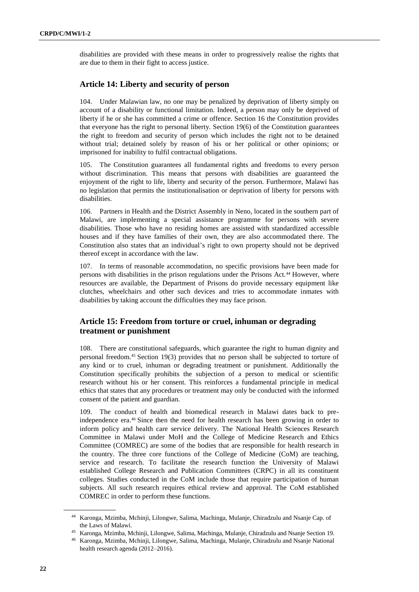disabilities are provided with these means in order to progressively realise the rights that are due to them in their fight to access justice.

# **Article 14: Liberty and security of person**

104. Under Malawian law, no one may be penalized by deprivation of liberty simply on account of a disability or functional limitation. Indeed, a person may only be deprived of liberty if he or she has committed a crime or offence. Section 16 the Constitution provides that everyone has the right to personal liberty. Section 19(6) of the Constitution guarantees the right to freedom and security of person which includes the right not to be detained without trial; detained solely by reason of his or her political or other opinions; or imprisoned for inability to fulfil contractual obligations.

105. The Constitution guarantees all fundamental rights and freedoms to every person without discrimination. This means that persons with disabilities are guaranteed the enjoyment of the right to life, liberty and security of the person. Furthermore, Malawi has no legislation that permits the institutionalisation or deprivation of liberty for persons with disabilities.

106. Partners in Health and the District Assembly in Neno, located in the southern part of Malawi, are implementing a special assistance programme for persons with severe disabilities. Those who have no residing homes are assisted with standardized accessible houses and if they have families of their own, they are also accommodated there. The Constitution also states that an individual's right to own property should not be deprived thereof except in accordance with the law.

107. In terms of reasonable accommodation, no specific provisions have been made for persons with disabilities in the prison regulations under the Prisons Act.<sup>44</sup> However, where resources are available, the Department of Prisons do provide necessary equipment like clutches, wheelchairs and other such devices and tries to accommodate inmates with disabilities by taking account the difficulties they may face prison.

# **Article 15: Freedom from torture or cruel, inhuman or degrading treatment or punishment**

108. There are constitutional safeguards, which guarantee the right to human dignity and personal freedom.<sup>45</sup> Section 19(3) provides that no person shall be subjected to torture of any kind or to cruel, inhuman or degrading treatment or punishment. Additionally the Constitution specifically prohibits the subjection of a person to medical or scientific research without his or her consent. This reinforces a fundamental principle in medical ethics that states that any procedures or treatment may only be conducted with the informed consent of the patient and guardian.

109. The conduct of health and biomedical research in Malawi dates back to preindependence era.<sup>46</sup> Since then the need for health research has been growing in order to inform policy and health care service delivery. The National Health Sciences Research Committee in Malawi under MoH and the College of Medicine Research and Ethics Committee (COMREC) are some of the bodies that are responsible for health research in the country. The three core functions of the College of Medicine (CoM) are teaching, service and research. To facilitate the research function the University of Malawi established College Research and Publication Committees (CRPC) in all its constituent colleges. Studies conducted in the CoM include those that require participation of human subjects. All such research requires ethical review and approval. The CoM established COMREC in order to perform these functions.

<sup>44</sup> Karonga, Mzimba, Mchinji, Lilongwe, Salima, Machinga, Mulanje, Chiradzulu and Nsanje Cap. of the Laws of Malawi.

<sup>45</sup> Karonga, Mzimba, Mchinji, Lilongwe, Salima, Machinga, Mulanje, Chiradzulu and Nsanje Section 19.

<sup>46</sup> Karonga, Mzimba, Mchinji, Lilongwe, Salima, Machinga, Mulanje, Chiradzulu and Nsanje National health research agenda (2012–2016).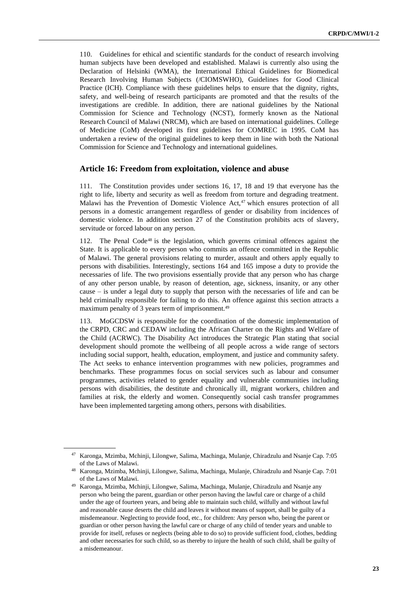110. Guidelines for ethical and scientific standards for the conduct of research involving human subjects have been developed and established. Malawi is currently also using the Declaration of Helsinki (WMA), the International Ethical Guidelines for Biomedical Research Involving Human Subjects (/CIOMSWHO), Guidelines for Good Clinical Practice (ICH). Compliance with these guidelines helps to ensure that the dignity, rights, safety, and well-being of research participants are promoted and that the results of the investigations are credible. In addition, there are national guidelines by the National Commission for Science and Technology (NCST), formerly known as the National Research Council of Malawi (NRCM), which are based on international guidelines. College of Medicine (CoM) developed its first guidelines for COMREC in 1995. CoM has undertaken a review of the original guidelines to keep them in line with both the National Commission for Science and Technology and international guidelines.

#### **Article 16: Freedom from exploitation, violence and abuse**

111. The Constitution provides under sections 16, 17, 18 and 19 that everyone has the right to life, liberty and security as well as freedom from torture and degrading treatment. Malawi has the Prevention of Domestic Violence Act,<sup>47</sup> which ensures protection of all persons in a domestic arrangement regardless of gender or disability from incidences of domestic violence. In addition section 27 of the Constitution prohibits acts of slavery, servitude or forced labour on any person.

112. The Penal Code<sup>48</sup> is the legislation, which governs criminal offences against the State. It is applicable to every person who commits an offence committed in the Republic of Malawi. The general provisions relating to murder, assault and others apply equally to persons with disabilities. Interestingly, sections 164 and 165 impose a duty to provide the necessaries of life. The two provisions essentially provide that any person who has charge of any other person unable, by reason of detention, age, sickness, insanity, or any other cause – is under a legal duty to supply that person with the necessaries of life and can be held criminally responsible for failing to do this. An offence against this section attracts a maximum penalty of 3 years term of imprisonment.<sup>49</sup>

113. MoGCDSW is responsible for the coordination of the domestic implementation of the CRPD, CRC and CEDAW including the African Charter on the Rights and Welfare of the Child (ACRWC). The Disability Act introduces the Strategic Plan stating that social development should promote the wellbeing of all people across a wide range of sectors including social support, health, education, employment, and justice and community safety. The Act seeks to enhance intervention programmes with new policies, programmes and benchmarks. These programmes focus on social services such as labour and consumer programmes, activities related to gender equality and vulnerable communities including persons with disabilities, the destitute and chronically ill, migrant workers, children and families at risk, the elderly and women. Consequently social cash transfer programmes have been implemented targeting among others, persons with disabilities.

<sup>47</sup> Karonga, Mzimba, Mchinji, Lilongwe, Salima, Machinga, Mulanje, Chiradzulu and Nsanje Cap. 7:05 of the Laws of Malawi.

<sup>48</sup> Karonga, Mzimba, Mchinji, Lilongwe, Salima, Machinga, Mulanje, Chiradzulu and Nsanje Cap. 7:01 of the Laws of Malawi.

<sup>49</sup> Karonga, Mzimba, Mchinji, Lilongwe, Salima, Machinga, Mulanje, Chiradzulu and Nsanje any person who being the parent, guardian or other person having the lawful care or charge of a child under the age of fourteen years, and being able to maintain such child, wilfully and without lawful and reasonable cause deserts the child and leaves it without means of support, shall be guilty of a misdemeanour. Neglecting to provide food, etc., for children: Any person who, being the parent or guardian or other person having the lawful care or charge of any child of tender years and unable to provide for itself, refuses or neglects (being able to do so) to provide sufficient food, clothes, bedding and other necessaries for such child, so as thereby to injure the health of such child, shall be guilty of a misdemeanour.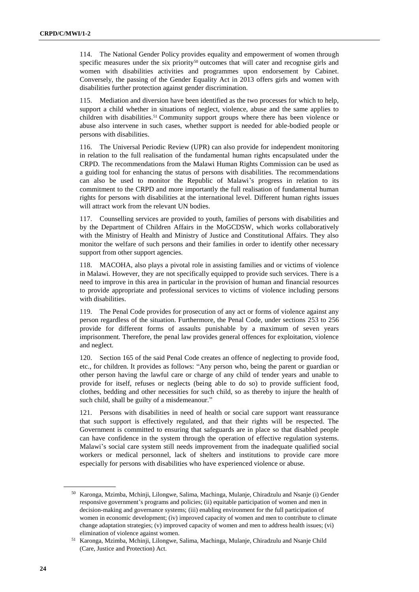114. The National Gender Policy provides equality and empowerment of women through specific measures under the six priority<sup>50</sup> outcomes that will cater and recognise girls and women with disabilities activities and programmes upon endorsement by Cabinet. Conversely, the passing of the Gender Equality Act in 2013 offers girls and women with disabilities further protection against gender discrimination.

115. Mediation and diversion have been identified as the two processes for which to help, support a child whether in situations of neglect, violence, abuse and the same applies to children with disabilities.<sup>51</sup> Community support groups where there has been violence or abuse also intervene in such cases, whether support is needed for able-bodied people or persons with disabilities.

116. The Universal Periodic Review (UPR) can also provide for independent monitoring in relation to the full realisation of the fundamental human rights encapsulated under the CRPD. The recommendations from the Malawi Human Rights Commission can be used as a guiding tool for enhancing the status of persons with disabilities. The recommendations can also be used to monitor the Republic of Malawi's progress in relation to its commitment to the CRPD and more importantly the full realisation of fundamental human rights for persons with disabilities at the international level. Different human rights issues will attract work from the relevant UN bodies.

117. Counselling services are provided to youth, families of persons with disabilities and by the Department of Children Affairs in the MoGCDSW, which works collaboratively with the Ministry of Health and Ministry of Justice and Constitutional Affairs. They also monitor the welfare of such persons and their families in order to identify other necessary support from other support agencies.

118. MACOHA, also plays a pivotal role in assisting families and or victims of violence in Malawi. However, they are not specifically equipped to provide such services. There is a need to improve in this area in particular in the provision of human and financial resources to provide appropriate and professional services to victims of violence including persons with disabilities.

119. The Penal Code provides for prosecution of any act or forms of violence against any person regardless of the situation. Furthermore, the Penal Code, under sections 253 to 256 provide for different forms of assaults punishable by a maximum of seven years imprisonment. Therefore, the penal law provides general offences for exploitation, violence and neglect.

120. Section 165 of the said Penal Code creates an offence of neglecting to provide food, etc., for children. It provides as follows: "Any person who, being the parent or guardian or other person having the lawful care or charge of any child of tender years and unable to provide for itself, refuses or neglects (being able to do so) to provide sufficient food, clothes, bedding and other necessities for such child, so as thereby to injure the health of such child, shall be guilty of a misdemeanour."

121. Persons with disabilities in need of health or social care support want reassurance that such support is effectively regulated, and that their rights will be respected. The Government is committed to ensuring that safeguards are in place so that disabled people can have confidence in the system through the operation of effective regulation systems. Malawi's social care system still needs improvement from the inadequate qualified social workers or medical personnel, lack of shelters and institutions to provide care more especially for persons with disabilities who have experienced violence or abuse.

<sup>50</sup> Karonga, Mzimba, Mchinji, Lilongwe, Salima, Machinga, Mulanje, Chiradzulu and Nsanje (i) Gender responsive government's programs and policies; (ii) equitable participation of women and men in decision-making and governance systems; (iii) enabling environment for the full participation of women in economic development; (iv) improved capacity of women and men to contribute to climate change adaptation strategies; (v) improved capacity of women and men to address health issues; (vi) elimination of violence against women.

<sup>51</sup> Karonga, Mzimba, Mchinji, Lilongwe, Salima, Machinga, Mulanje, Chiradzulu and Nsanje Child (Care, Justice and Protection) Act.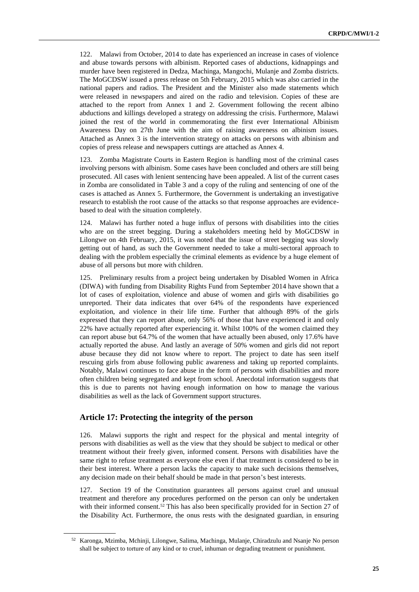122. Malawi from October, 2014 to date has experienced an increase in cases of violence and abuse towards persons with albinism. Reported cases of abductions, kidnappings and murder have been registered in Dedza, Machinga, Mangochi, Mulanje and Zomba districts. The MoGCDSW issued a press release on 5th February, 2015 which was also carried in the national papers and radios. The President and the Minister also made statements which were released in newspapers and aired on the radio and television. Copies of these are attached to the report from Annex 1 and 2. Government following the recent albino abductions and killings developed a strategy on addressing the crisis. Furthermore, Malawi joined the rest of the world in commemorating the first ever International Albinism Awareness Day on 27th June with the aim of raising awareness on albinism issues. Attached as Annex 3 is the intervention strategy on attacks on persons with albinism and copies of press release and newspapers cuttings are attached as Annex 4.

123. Zomba Magistrate Courts in Eastern Region is handling most of the criminal cases involving persons with albinism. Some cases have been concluded and others are still being prosecuted. All cases with lenient sentencing have been appealed. A list of the current cases in Zomba are consolidated in Table 3 and a copy of the ruling and sentencing of one of the cases is attached as Annex 5. Furthermore, the Government is undertaking an investigative research to establish the root cause of the attacks so that response approaches are evidencebased to deal with the situation completely.

124. Malawi has further noted a huge influx of persons with disabilities into the cities who are on the street begging. During a stakeholders meeting held by MoGCDSW in Lilongwe on 4th February, 2015, it was noted that the issue of street begging was slowly getting out of hand, as such the Government needed to take a multi-sectoral approach to dealing with the problem especially the criminal elements as evidence by a huge element of abuse of all persons but more with children.

125. Preliminary results from a project being undertaken by Disabled Women in Africa (DIWA) with funding from Disability Rights Fund from September 2014 have shown that a lot of cases of exploitation, violence and abuse of women and girls with disabilities go unreported. Their data indicates that over 64% of the respondents have experienced exploitation, and violence in their life time. Further that although 89% of the girls expressed that they can report abuse, only 56% of those that have experienced it and only 22% have actually reported after experiencing it. Whilst 100% of the women claimed they can report abuse but 64.7% of the women that have actually been abused, only 17.6% have actually reported the abuse. And lastly an average of 50% women and girls did not report abuse because they did not know where to report. The project to date has seen itself rescuing girls from abuse following public awareness and taking up reported complaints. Notably, Malawi continues to face abuse in the form of persons with disabilities and more often children being segregated and kept from school. Anecdotal information suggests that this is due to parents not having enough information on how to manage the various disabilities as well as the lack of Government support structures.

#### **Article 17: Protecting the integrity of the person**

126. Malawi supports the right and respect for the physical and mental integrity of persons with disabilities as well as the view that they should be subject to medical or other treatment without their freely given, informed consent. Persons with disabilities have the same right to refuse treatment as everyone else even if that treatment is considered to be in their best interest. Where a person lacks the capacity to make such decisions themselves, any decision made on their behalf should be made in that person's best interests.

127. Section 19 of the Constitution guarantees all persons against cruel and unusual treatment and therefore any procedures performed on the person can only be undertaken with their informed consent.<sup>52</sup> This has also been specifically provided for in Section 27 of the Disability Act. Furthermore, the onus rests with the designated guardian, in ensuring

<sup>52</sup> Karonga, Mzimba, Mchinji, Lilongwe, Salima, Machinga, Mulanje, Chiradzulu and Nsanje No person shall be subject to torture of any kind or to cruel, inhuman or degrading treatment or punishment.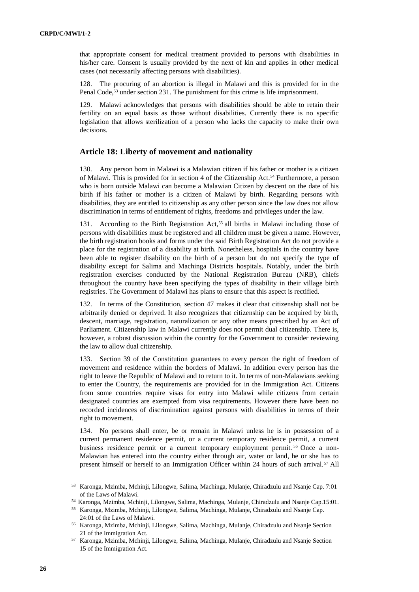that appropriate consent for medical treatment provided to persons with disabilities in his/her care. Consent is usually provided by the next of kin and applies in other medical cases (not necessarily affecting persons with disabilities).

128. The procuring of an abortion is illegal in Malawi and this is provided for in the Penal Code, <sup>53</sup> under section 231. The punishment for this crime is life imprisonment.

129. Malawi acknowledges that persons with disabilities should be able to retain their fertility on an equal basis as those without disabilities. Currently there is no specific legislation that allows sterilization of a person who lacks the capacity to make their own decisions.

#### **Article 18: Liberty of movement and nationality**

130. Any person born in Malawi is a Malawian citizen if his father or mother is a citizen of Malawi. This is provided for in section 4 of the Citizenship Act.<sup>54</sup> Furthermore, a person who is born outside Malawi can become a Malawian Citizen by descent on the date of his birth if his father or mother is a citizen of Malawi by birth. Regarding persons with disabilities, they are entitled to citizenship as any other person since the law does not allow discrimination in terms of entitlement of rights, freedoms and privileges under the law.

131. According to the Birth Registration Act,<sup>55</sup> all births in Malawi including those of persons with disabilities must be registered and all children must be given a name. However, the birth registration books and forms under the said Birth Registration Act do not provide a place for the registration of a disability at birth. Nonetheless, hospitals in the country have been able to register disability on the birth of a person but do not specify the type of disability except for Salima and Machinga Districts hospitals. Notably, under the birth registration exercises conducted by the National Registration Bureau (NRB), chiefs throughout the country have been specifying the types of disability in their village birth registries. The Government of Malawi has plans to ensure that this aspect is rectified.

132. In terms of the Constitution, section 47 makes it clear that citizenship shall not be arbitrarily denied or deprived. It also recognizes that citizenship can be acquired by birth, descent, marriage, registration, naturalization or any other means prescribed by an Act of Parliament. Citizenship law in Malawi currently does not permit dual citizenship. There is, however, a robust discussion within the country for the Government to consider reviewing the law to allow dual citizenship.

133. Section 39 of the Constitution guarantees to every person the right of freedom of movement and residence within the borders of Malawi. In addition every person has the right to leave the Republic of Malawi and to return to it. In terms of non-Malawians seeking to enter the Country, the requirements are provided for in the Immigration Act. Citizens from some countries require visas for entry into Malawi while citizens from certain designated countries are exempted from visa requirements. However there have been no recorded incidences of discrimination against persons with disabilities in terms of their right to movement.

134. No persons shall enter, be or remain in Malawi unless he is in possession of a current permanent residence permit, or a current temporary residence permit, a current business residence permit or a current temporary employment permit. <sup>56</sup> Once a non-Malawian has entered into the country either through air, water or land, he or she has to present himself or herself to an Immigration Officer within 24 hours of such arrival.<sup>57</sup> All

<sup>53</sup> Karonga, Mzimba, Mchinji, Lilongwe, Salima, Machinga, Mulanje, Chiradzulu and Nsanje Cap. 7:01 of the Laws of Malawi.

<sup>54</sup> Karonga, Mzimba, Mchinji, Lilongwe, Salima, Machinga, Mulanje, Chiradzulu and Nsanje Cap.15:01.

<sup>55</sup> Karonga, Mzimba, Mchinji, Lilongwe, Salima, Machinga, Mulanje, Chiradzulu and Nsanje Cap. 24:01 of the Laws of Malawi.

<sup>56</sup> Karonga, Mzimba, Mchinji, Lilongwe, Salima, Machinga, Mulanje, Chiradzulu and Nsanje Section 21 of the Immigration Act.

<sup>57</sup> Karonga, Mzimba, Mchinji, Lilongwe, Salima, Machinga, Mulanje, Chiradzulu and Nsanje Section 15 of the Immigration Act.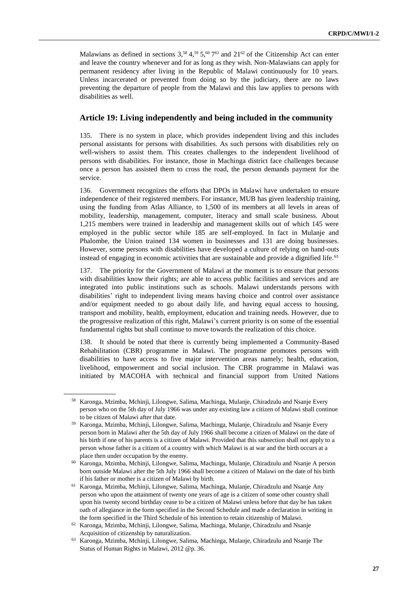Malawians as defined in sections  $3$ ,<sup>58</sup>  $4$ ,<sup>59</sup> 5,<sup>60</sup> 7<sup>61</sup> and  $21^{\circ2}$  of the Citizenship Act can enter and leave the country whenever and for as long as they wish. Non-Malawians can apply for permanent residency after living in the Republic of Malawi continuously for 10 years. Unless incarcerated or prevented from doing so by the judiciary, there are no laws preventing the departure of people from the Malawi and this law applies to persons with disabilities as well.

#### **Article 19: Living independently and being included in the community**

135. There is no system in place, which provides independent living and this includes personal assistants for persons with disabilities. As such persons with disabilities rely on well-wishers to assist them. This creates challenges to the independent livelihood of persons with disabilities. For instance, those in Machinga district face challenges because once a person has assisted them to cross the road, the person demands payment for the service.

136. Government recognizes the efforts that DPOs in Malawi have undertaken to ensure independence of their registered members. For instance, MUB has given leadership training, using the funding from Atlas Alliance, to 1,500 of its members at all levels in areas of mobility, leadership, management, computer, literacy and small scale business. About 1,215 members were trained in leadership and management skills out of which 145 were employed in the public sector while 185 are self-employed. In fact in Mulanje and Phalombe, the Union trained 134 women in businesses and 131 are doing businesses. However, some persons with disabilities have developed a culture of relying on hand-outs instead of engaging in economic activities that are sustainable and provide a dignified life.<sup>63</sup>

137. The priority for the Government of Malawi at the moment is to ensure that persons with disabilities know their rights; are able to access public facilities and services and are integrated into public institutions such as schools. Malawi understands persons with disabilities' right to independent living means having choice and control over assistance and/or equipment needed to go about daily life, and having equal access to housing, transport and mobility, health, employment, education and training needs. However, due to the progressive realization of this right, Malawi's current priority is on some of the essential fundamental rights but shall continue to move towards the realization of this choice.

138. It should be noted that there is currently being implemented a Community-Based Rehabilitation (CBR) programme in Malawi. The programme promotes persons with disabilities to have access to five major intervention areas namely; health, education, livelihood, empowerment and social inclusion. The CBR programme in Malawi was initiated by MACOHA with technical and financial support from United Nations

<sup>58</sup> Karonga, Mzimba, Mchinji, Lilongwe, Salima, Machinga, Mulanje, Chiradzulu and Nsanje Every person who on the 5th day of July 1966 was under any existing law a citizen of Malawi shall continue to be citizen of Malawi after that date.

<sup>59</sup> Karonga, Mzimba, Mchinji, Lilongwe, Salima, Machinga, Mulanje, Chiradzulu and Nsanje Every person born in Malawi after the 5th day of July 1966 shall become a citizen of Malawi on the date of his birth if one of his parents is a citizen of Malawi. Provided that this subsection shall not apply to a person whose father is a citizen of a country with which Malawi is at war and the birth occurs at a place then under occupation by the enemy.

<sup>60</sup> Karonga, Mzimba, Mchinji, Lilongwe, Salima, Machinga, Mulanje, Chiradzulu and Nsanje A person born outside Malawi after the 5th July 1966 shall become a citizen of Malawi on the date of his birth if his father or mother is a citizen of Malawi by birth.

<sup>61</sup> Karonga, Mzimba, Mchinji, Lilongwe, Salima, Machinga, Mulanje, Chiradzulu and Nsanje Any person who upon the attainment of twenty one years of age is a citizen of some other country shall upon his twenty second birthday cease to be a citizen of Malawi unless before that day he has taken oath of allegiance in the form specified in the Second Schedule and made a declaration in writing in the form specified in the Third Schedule of his intention to retain citizenship of Malawi.

<sup>62</sup> Karonga, Mzimba, Mchinji, Lilongwe, Salima, Machinga, Mulanje, Chiradzulu and Nsanje Acquisition of citizenship by naturalization.

<sup>63</sup> Karonga, Mzimba, Mchinji, Lilongwe, Salima, Machinga, Mulanje, Chiradzulu and Nsanje The Status of Human Rights in Malawi, 2012 @p. 36.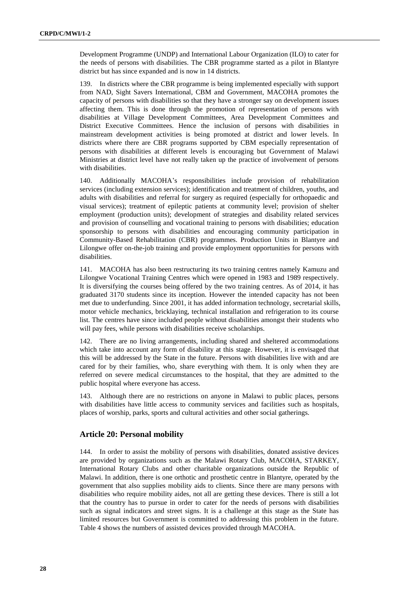Development Programme (UNDP) and International Labour Organization (ILO) to cater for the needs of persons with disabilities. The CBR programme started as a pilot in Blantyre district but has since expanded and is now in 14 districts.

139. In districts where the CBR programme is being implemented especially with support from NAD, Sight Savers International, CBM and Government, MACOHA promotes the capacity of persons with disabilities so that they have a stronger say on development issues affecting them. This is done through the promotion of representation of persons with disabilities at Village Development Committees, Area Development Committees and District Executive Committees. Hence the inclusion of persons with disabilities in mainstream development activities is being promoted at district and lower levels. In districts where there are CBR programs supported by CBM especially representation of persons with disabilities at different levels is encouraging but Government of Malawi Ministries at district level have not really taken up the practice of involvement of persons with disabilities.

140. Additionally MACOHA's responsibilities include provision of rehabilitation services (including extension services); identification and treatment of children, youths, and adults with disabilities and referral for surgery as required (especially for orthopaedic and visual services); treatment of epileptic patients at community level; provision of shelter employment (production units); development of strategies and disability related services and provision of counselling and vocational training to persons with disabilities; education sponsorship to persons with disabilities and encouraging community participation in Community-Based Rehabilitation (CBR) programmes. Production Units in Blantyre and Lilongwe offer on-the-job training and provide employment opportunities for persons with disabilities.

141. MACOHA has also been restructuring its two training centres namely Kamuzu and Lilongwe Vocational Training Centres which were opened in 1983 and 1989 respectively. It is diversifying the courses being offered by the two training centres. As of 2014, it has graduated 3170 students since its inception. However the intended capacity has not been met due to underfunding. Since 2001, it has added information technology, secretarial skills, motor vehicle mechanics, bricklaying, technical installation and refrigeration to its course list. The centres have since included people without disabilities amongst their students who will pay fees, while persons with disabilities receive scholarships.

142. There are no living arrangements, including shared and sheltered accommodations which take into account any form of disability at this stage. However, it is envisaged that this will be addressed by the State in the future. Persons with disabilities live with and are cared for by their families, who, share everything with them. It is only when they are referred on severe medical circumstances to the hospital, that they are admitted to the public hospital where everyone has access.

143. Although there are no restrictions on anyone in Malawi to public places, persons with disabilities have little access to community services and facilities such as hospitals, places of worship, parks, sports and cultural activities and other social gatherings.

## **Article 20: Personal mobility**

144. In order to assist the mobility of persons with disabilities, donated assistive devices are provided by organizations such as the Malawi Rotary Club, MACOHA, STARKEY, International Rotary Clubs and other charitable organizations outside the Republic of Malawi. In addition, there is one orthotic and prosthetic centre in Blantyre, operated by the government that also supplies mobility aids to clients. Since there are many persons with disabilities who require mobility aides, not all are getting these devices. There is still a lot that the country has to pursue in order to cater for the needs of persons with disabilities such as signal indicators and street signs. It is a challenge at this stage as the State has limited resources but Government is committed to addressing this problem in the future. Table 4 shows the numbers of assisted devices provided through MACOHA.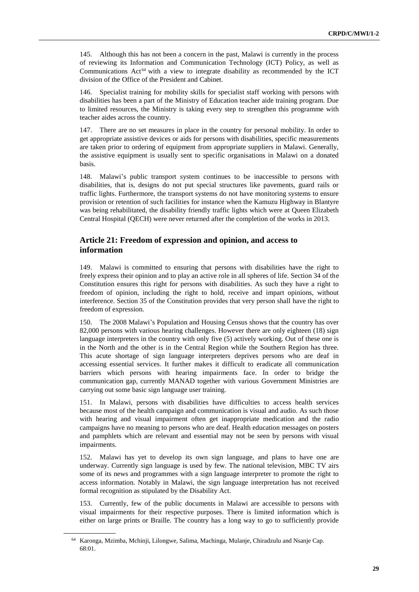145. Although this has not been a concern in the past, Malawi is currently in the process of reviewing its Information and Communication Technology (ICT) Policy, as well as Communications  $Act^{64}$  with a view to integrate disability as recommended by the ICT division of the Office of the President and Cabinet.

146. Specialist training for mobility skills for specialist staff working with persons with disabilities has been a part of the Ministry of Education teacher aide training program. Due to limited resources, the Ministry is taking every step to strengthen this programme with teacher aides across the country.

147. There are no set measures in place in the country for personal mobility. In order to get appropriate assistive devices or aids for persons with disabilities, specific measurements are taken prior to ordering of equipment from appropriate suppliers in Malawi. Generally, the assistive equipment is usually sent to specific organisations in Malawi on a donated basis.

148. Malawi's public transport system continues to be inaccessible to persons with disabilities, that is, designs do not put special structures like pavements, guard rails or traffic lights. Furthermore, the transport systems do not have monitoring systems to ensure provision or retention of such facilities for instance when the Kamuzu Highway in Blantyre was being rehabilitated, the disability friendly traffic lights which were at Queen Elizabeth Central Hospital (QECH) were never returned after the completion of the works in 2013.

## **Article 21: Freedom of expression and opinion, and access to information**

149. Malawi is committed to ensuring that persons with disabilities have the right to freely express their opinion and to play an active role in all spheres of life. Section 34 of the Constitution ensures this right for persons with disabilities. As such they have a right to freedom of opinion, including the right to hold, receive and impart opinions, without interference. Section 35 of the Constitution provides that very person shall have the right to freedom of expression.

150. The 2008 Malawi's Population and Housing Census shows that the country has over 82,000 persons with various hearing challenges. However there are only eighteen (18) sign language interpreters in the country with only five (5) actively working. Out of these one is in the North and the other is in the Central Region while the Southern Region has three. This acute shortage of sign language interpreters deprives persons who are deaf in accessing essential services. It further makes it difficult to eradicate all communication barriers which persons with hearing impairments face. In order to bridge the communication gap, currently MANAD together with various Government Ministries are carrying out some basic sign language user training.

151. In Malawi, persons with disabilities have difficulties to access health services because most of the health campaign and communication is visual and audio. As such those with hearing and visual impairment often get inappropriate medication and the radio campaigns have no meaning to persons who are deaf. Health education messages on posters and pamphlets which are relevant and essential may not be seen by persons with visual impairments.

152. Malawi has yet to develop its own sign language, and plans to have one are underway. Currently sign language is used by few. The national television, MBC TV airs some of its news and programmes with a sign language interpreter to promote the right to access information. Notably in Malawi, the sign language interpretation has not received formal recognition as stipulated by the Disability Act.

153. Currently, few of the public documents in Malawi are accessible to persons with visual impairments for their respective purposes. There is limited information which is either on large prints or Braille. The country has a long way to go to sufficiently provide

<sup>64</sup> Karonga, Mzimba, Mchinji, Lilongwe, Salima, Machinga, Mulanje, Chiradzulu and Nsanje Cap. 68:01.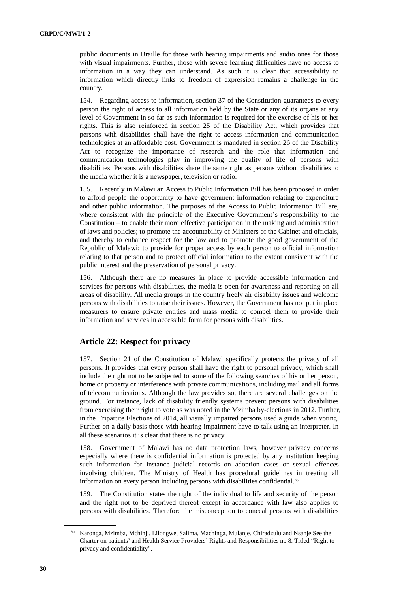public documents in Braille for those with hearing impairments and audio ones for those with visual impairments. Further, those with severe learning difficulties have no access to information in a way they can understand. As such it is clear that accessibility to information which directly links to freedom of expression remains a challenge in the country.

154. Regarding access to information, section 37 of the Constitution guarantees to every person the right of access to all information held by the State or any of its organs at any level of Government in so far as such information is required for the exercise of his or her rights. This is also reinforced in section 25 of the Disability Act, which provides that persons with disabilities shall have the right to access information and communication technologies at an affordable cost. Government is mandated in section 26 of the Disability Act to recognize the importance of research and the role that information and communication technologies play in improving the quality of life of persons with disabilities. Persons with disabilities share the same right as persons without disabilities to the media whether it is a newspaper, television or radio.

155. Recently in Malawi an Access to Public Information Bill has been proposed in order to afford people the opportunity to have government information relating to expenditure and other public information. The purposes of the Access to Public Information Bill are, where consistent with the principle of the Executive Government's responsibility to the Constitution – to enable their more effective participation in the making and administration of laws and policies; to promote the accountability of Ministers of the Cabinet and officials, and thereby to enhance respect for the law and to promote the good government of the Republic of Malawi; to provide for proper access by each person to official information relating to that person and to protect official information to the extent consistent with the public interest and the preservation of personal privacy.

156. Although there are no measures in place to provide accessible information and services for persons with disabilities, the media is open for awareness and reporting on all areas of disability. All media groups in the country freely air disability issues and welcome persons with disabilities to raise their issues. However, the Government has not put in place measurers to ensure private entities and mass media to compel them to provide their information and services in accessible form for persons with disabilities.

## **Article 22: Respect for privacy**

157. Section 21 of the Constitution of Malawi specifically protects the privacy of all persons. It provides that every person shall have the right to personal privacy, which shall include the right not to be subjected to some of the following searches of his or her person, home or property or interference with private communications, including mail and all forms of telecommunications. Although the law provides so, there are several challenges on the ground. For instance, lack of disability friendly systems prevent persons with disabilities from exercising their right to vote as was noted in the Mzimba by-elections in 2012. Further, in the Tripartite Elections of 2014, all visually impaired persons used a guide when voting. Further on a daily basis those with hearing impairment have to talk using an interpreter. In all these scenarios it is clear that there is no privacy.

158. Government of Malawi has no data protection laws, however privacy concerns especially where there is confidential information is protected by any institution keeping such information for instance judicial records on adoption cases or sexual offences involving children. The Ministry of Health has procedural guidelines in treating all information on every person including persons with disabilities confidential.<sup>65</sup>

159. The Constitution states the right of the individual to life and security of the person and the right not to be deprived thereof except in accordance with law also applies to persons with disabilities. Therefore the misconception to conceal persons with disabilities

<sup>65</sup> Karonga, Mzimba, Mchinji, Lilongwe, Salima, Machinga, Mulanje, Chiradzulu and Nsanje See the Charter on patients' and Health Service Providers' Rights and Responsibilities no 8. Titled "Right to privacy and confidentiality".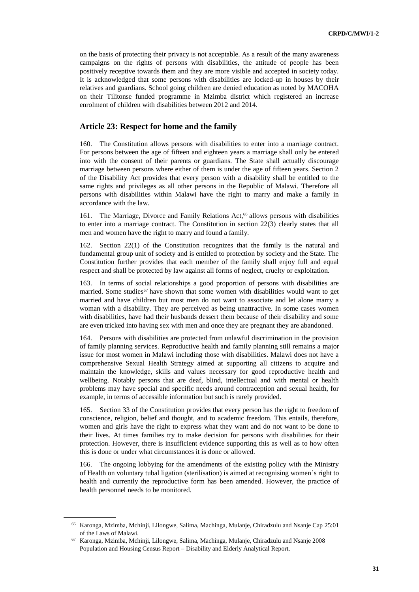on the basis of protecting their privacy is not acceptable. As a result of the many awareness campaigns on the rights of persons with disabilities, the attitude of people has been positively receptive towards them and they are more visible and accepted in society today. It is acknowledged that some persons with disabilities are locked-up in houses by their relatives and guardians. School going children are denied education as noted by MACOHA on their Tilitonse funded programme in Mzimba district which registered an increase enrolment of children with disabilities between 2012 and 2014.

### **Article 23: Respect for home and the family**

160. The Constitution allows persons with disabilities to enter into a marriage contract. For persons between the age of fifteen and eighteen years a marriage shall only be entered into with the consent of their parents or guardians. The State shall actually discourage marriage between persons where either of them is under the age of fifteen years. Section 2 of the Disability Act provides that every person with a disability shall be entitled to the same rights and privileges as all other persons in the Republic of Malawi. Therefore all persons with disabilities within Malawi have the right to marry and make a family in accordance with the law.

161. The Marriage, Divorce and Family Relations Act,<sup>66</sup> allows persons with disabilities to enter into a marriage contract. The Constitution in section 22(3) clearly states that all men and women have the right to marry and found a family.

162. Section 22(1) of the Constitution recognizes that the family is the natural and fundamental group unit of society and is entitled to protection by society and the State. The Constitution further provides that each member of the family shall enjoy full and equal respect and shall be protected by law against all forms of neglect, cruelty or exploitation.

163. In terms of social relationships a good proportion of persons with disabilities are married. Some studies<sup>67</sup> have shown that some women with disabilities would want to get married and have children but most men do not want to associate and let alone marry a woman with a disability. They are perceived as being unattractive. In some cases women with disabilities, have had their husbands dessert them because of their disability and some are even tricked into having sex with men and once they are pregnant they are abandoned.

164. Persons with disabilities are protected from unlawful discrimination in the provision of family planning services. Reproductive health and family planning still remains a major issue for most women in Malawi including those with disabilities. Malawi does not have a comprehensive Sexual Health Strategy aimed at supporting all citizens to acquire and maintain the knowledge, skills and values necessary for good reproductive health and wellbeing. Notably persons that are deaf, blind, intellectual and with mental or health problems may have special and specific needs around contraception and sexual health, for example, in terms of accessible information but such is rarely provided.

Section 33 of the Constitution provides that every person has the right to freedom of conscience, religion, belief and thought, and to academic freedom. This entails, therefore, women and girls have the right to express what they want and do not want to be done to their lives. At times families try to make decision for persons with disabilities for their protection. However, there is insufficient evidence supporting this as well as to how often this is done or under what circumstances it is done or allowed.

166. The ongoing lobbying for the amendments of the existing policy with the Ministry of Health on voluntary tubal ligation (sterilisation) is aimed at recognising women's right to health and currently the reproductive form has been amended. However, the practice of health personnel needs to be monitored.

<sup>66</sup> Karonga, Mzimba, Mchinji, Lilongwe, Salima, Machinga, Mulanje, Chiradzulu and Nsanje Cap 25:01 of the Laws of Malawi.

<sup>67</sup> Karonga, Mzimba, Mchinji, Lilongwe, Salima, Machinga, Mulanje, Chiradzulu and Nsanje 2008 Population and Housing Census Report – Disability and Elderly Analytical Report.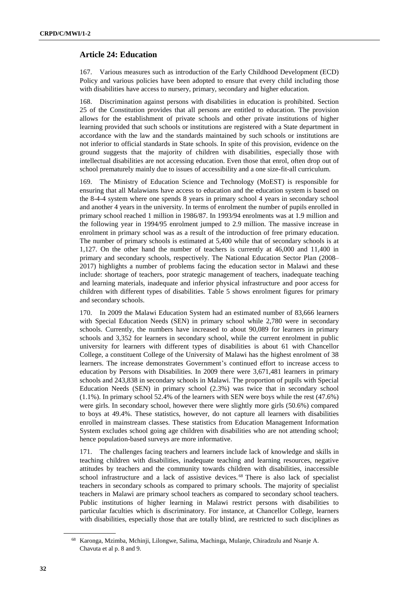## **Article 24: Education**

167. Various measures such as introduction of the Early Childhood Development (ECD) Policy and various policies have been adopted to ensure that every child including those with disabilities have access to nursery, primary, secondary and higher education.

168. Discrimination against persons with disabilities in education is prohibited. Section 25 of the Constitution provides that all persons are entitled to education. The provision allows for the establishment of private schools and other private institutions of higher learning provided that such schools or institutions are registered with a State department in accordance with the law and the standards maintained by such schools or institutions are not inferior to official standards in State schools. In spite of this provision, evidence on the ground suggests that the majority of children with disabilities, especially those with intellectual disabilities are not accessing education. Even those that enrol, often drop out of school prematurely mainly due to issues of accessibility and a one size-fit-all curriculum.

169. The Ministry of Education Science and Technology (MoEST) is responsible for ensuring that all Malawians have access to education and the education system is based on the 8-4-4 system where one spends 8 years in primary school 4 years in secondary school and another 4 years in the university. In terms of enrolment the number of pupils enrolled in primary school reached 1 million in 1986/87. In 1993/94 enrolments was at 1.9 million and the following year in 1994/95 enrolment jumped to 2.9 million. The massive increase in enrolment in primary school was as a result of the introduction of free primary education. The number of primary schools is estimated at 5,400 while that of secondary schools is at 1,127. On the other hand the number of teachers is currently at 46,000 and 11,400 in primary and secondary schools, respectively. The National Education Sector Plan (2008– 2017) highlights a number of problems facing the education sector in Malawi and these include: shortage of teachers, poor strategic management of teachers, inadequate teaching and learning materials, inadequate and inferior physical infrastructure and poor access for children with different types of disabilities. Table 5 shows enrolment figures for primary and secondary schools.

170. In 2009 the Malawi Education System had an estimated number of 83,666 learners with Special Education Needs (SEN) in primary school while 2,780 were in secondary schools. Currently, the numbers have increased to about 90,089 for learners in primary schools and 3,352 for learners in secondary school, while the current enrolment in public university for learners with different types of disabilities is about 61 with Chancellor College, a constituent College of the University of Malawi has the highest enrolment of 38 learners. The increase demonstrates Government's continued effort to increase access to education by Persons with Disabilities. In 2009 there were 3,671,481 learners in primary schools and 243,838 in secondary schools in Malawi. The proportion of pupils with Special Education Needs (SEN) in primary school (2.3%) was twice that in secondary school (1.1%). In primary school 52.4% of the learners with SEN were boys while the rest (47.6%) were girls. In secondary school, however there were slightly more girls (50.6%) compared to boys at 49.4%. These statistics, however, do not capture all learners with disabilities enrolled in mainstream classes. These statistics from Education Management Information System excludes school going age children with disabilities who are not attending school; hence population-based surveys are more informative.

171. The challenges facing teachers and learners include lack of knowledge and skills in teaching children with disabilities, inadequate teaching and learning resources, negative attitudes by teachers and the community towards children with disabilities, inaccessible school infrastructure and a lack of assistive devices. <sup>68</sup> There is also lack of specialist teachers in secondary schools as compared to primary schools. The majority of specialist teachers in Malawi are primary school teachers as compared to secondary school teachers. Public institutions of higher learning in Malawi restrict persons with disabilities to particular faculties which is discriminatory. For instance, at Chancellor College, learners with disabilities, especially those that are totally blind, are restricted to such disciplines as

<sup>68</sup> Karonga, Mzimba, Mchinji, Lilongwe, Salima, Machinga, Mulanje, Chiradzulu and Nsanje A. Chavuta et al p. 8 and 9.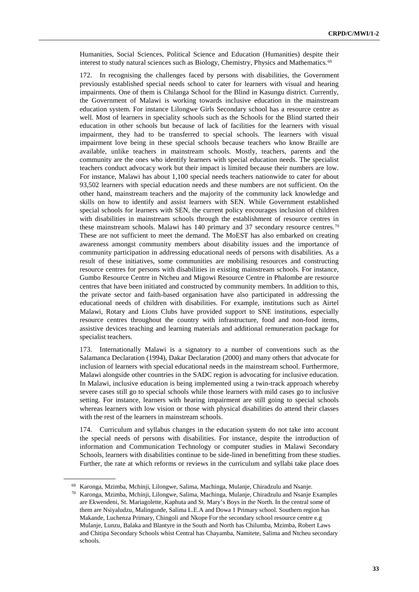Humanities, Social Sciences, Political Science and Education (Humanities) despite their interest to study natural sciences such as Biology, Chemistry, Physics and Mathematics.<sup>69</sup>

172. In recognising the challenges faced by persons with disabilities, the Government previously established special needs school to cater for learners with visual and hearing impairments. One of them is Chilanga School for the Blind in Kasungu district. Currently, the Government of Malawi is working towards inclusive education in the mainstream education system. For instance Lilongwe Girls Secondary school has a resource centre as well. Most of learners in speciality schools such as the Schools for the Blind started their education in other schools but because of lack of facilities for the learners with visual impairment, they had to be transferred to special schools. The learners with visual impairment love being in these special schools because teachers who know Braille are available, unlike teachers in mainstream schools. Mostly, teachers, parents and the community are the ones who identify learners with special education needs. The specialist teachers conduct advocacy work but their impact is limited because their numbers are low. For instance, Malawi has about 1,100 special needs teachers nationwide to cater for about 93,502 learners with special education needs and these numbers are not sufficient. On the other hand, mainstream teachers and the majority of the community lack knowledge and skills on how to identify and assist learners with SEN. While Government established special schools for learners with SEN, the current policy encourages inclusion of children with disabilities in mainstream schools through the establishment of resource centres in these mainstream schools. Malawi has 140 primary and 37 secondary resource centres.<sup>70</sup> These are not sufficient to meet the demand. The MoEST has also embarked on creating awareness amongst community members about disability issues and the importance of community participation in addressing educational needs of persons with disabilities. As a result of these initiatives, some communities are mobilising resources and constructing resource centres for persons with disabilities in existing mainstream schools. For instance, Gumbo Resource Centre in Ntcheu and Migowi Resource Centre in Phalombe are resource centres that have been initiated and constructed by community members. In addition to this, the private sector and faith-based organisation have also participated in addressing the educational needs of children with disabilities. For example, institutions such as Airtel Malawi, Rotary and Lions Clubs have provided support to SNE institutions, especially resource centres throughout the country with infrastructure, food and non-food items, assistive devices teaching and learning materials and additional remuneration package for specialist teachers.

173. Internationally Malawi is a signatory to a number of conventions such as the Salamanca Declaration (1994), Dakar Declaration (2000) and many others that advocate for inclusion of learners with special educational needs in the mainstream school. Furthermore, Malawi alongside other countries in the SADC region is advocating for inclusive education. In Malawi, inclusive education is being implemented using a twin-track approach whereby severe cases still go to special schools while those learners with mild cases go to inclusive setting. For instance, learners with hearing impairment are still going to special schools whereas learners with low vision or those with physical disabilities do attend their classes with the rest of the learners in mainstream schools.

174. Curriculum and syllabus changes in the education system do not take into account the special needs of persons with disabilities. For instance, despite the introduction of information and Communication Technology or computer studies in Malawi Secondary Schools, learners with disabilities continue to be side-lined in benefitting from these studies. Further, the rate at which reforms or reviews in the curriculum and syllabi take place does

<sup>69</sup> Karonga, Mzimba, Mchinji, Lilongwe, Salima, Machinga, Mulanje, Chiradzulu and Nsanje.

<sup>70</sup> Karonga, Mzimba, Mchinji, Lilongwe, Salima, Machinga, Mulanje, Chiradzulu and Nsanje Examples are Ekwendeni, St. Mariagolette, Kaphuta and St. Mary's Boys in the North. In the central some of them are Nsiyaludzu, Malingunde, Salima L.E.A and Dowa 1 Primary school. Southern region has Makande, Luchenza Primary, Chingoli and Nkope For the secondary school resource centre e.g Mulanje, Lunzu, Balaka and Blantyre in the South and North has Chilumba, Mzimba, Robert Laws and Chitipa Secondary Schools whist Central has Chayamba, Namitete, Salima and Ntcheu secondary schools.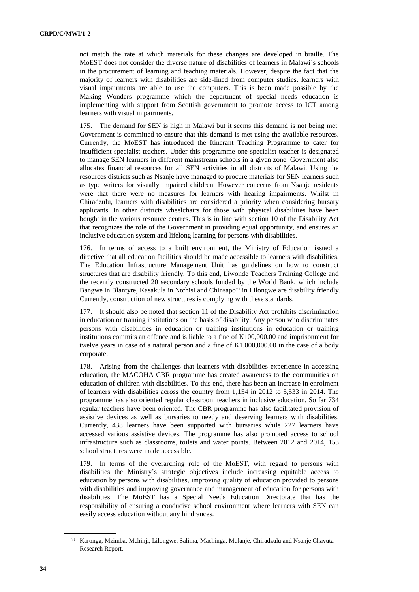not match the rate at which materials for these changes are developed in braille. The MoEST does not consider the diverse nature of disabilities of learners in Malawi's schools in the procurement of learning and teaching materials. However, despite the fact that the majority of learners with disabilities are side-lined from computer studies, learners with visual impairments are able to use the computers. This is been made possible by the Making Wonders programme which the department of special needs education is implementing with support from Scottish government to promote access to ICT among learners with visual impairments.

The demand for SEN is high in Malawi but it seems this demand is not being met. Government is committed to ensure that this demand is met using the available resources. Currently, the MoEST has introduced the Itinerant Teaching Programme to cater for insufficient specialist teachers. Under this programme one specialist teacher is designated to manage SEN learners in different mainstream schools in a given zone. Government also allocates financial resources for all SEN activities in all districts of Malawi. Using the resources districts such as Nsanje have managed to procure materials for SEN learners such as type writers for visually impaired children. However concerns from Nsanje residents were that there were no measures for learners with hearing impairments. Whilst in Chiradzulu, learners with disabilities are considered a priority when considering bursary applicants. In other districts wheelchairs for those with physical disabilities have been bought in the various resource centres. This is in line with section 10 of the Disability Act that recognizes the role of the Government in providing equal opportunity, and ensures an inclusive education system and lifelong learning for persons with disabilities.

176. In terms of access to a built environment, the Ministry of Education issued a directive that all education facilities should be made accessible to learners with disabilities. The Education Infrastructure Management Unit has guidelines on how to construct structures that are disability friendly. To this end, Liwonde Teachers Training College and the recently constructed 20 secondary schools funded by the World Bank, which include Bangwe in Blantyre, Kasakula in Ntchisi and Chinsapo<sup>71</sup> in Lilongwe are disability friendly. Currently, construction of new structures is complying with these standards.

177. It should also be noted that section 11 of the Disability Act prohibits discrimination in education or training institutions on the basis of disability. Any person who discriminates persons with disabilities in education or training institutions in education or training institutions commits an offence and is liable to a fine of K100,000.00 and imprisonment for twelve years in case of a natural person and a fine of K1,000,000.00 in the case of a body corporate.

178. Arising from the challenges that learners with disabilities experience in accessing education, the MACOHA CBR programme has created awareness to the communities on education of children with disabilities. To this end, there has been an increase in enrolment of learners with disabilities across the country from 1,154 in 2012 to 5,533 in 2014. The programme has also oriented regular classroom teachers in inclusive education. So far 734 regular teachers have been oriented. The CBR programme has also facilitated provision of assistive devices as well as bursaries to needy and deserving learners with disabilities. Currently, 438 learners have been supported with bursaries while 227 learners have accessed various assistive devices. The programme has also promoted access to school infrastructure such as classrooms, toilets and water points. Between 2012 and 2014, 153 school structures were made accessible.

179. In terms of the overarching role of the MoEST, with regard to persons with disabilities the Ministry's strategic objectives include increasing equitable access to education by persons with disabilities, improving quality of education provided to persons with disabilities and improving governance and management of education for persons with disabilities. The MoEST has a Special Needs Education Directorate that has the responsibility of ensuring a conducive school environment where learners with SEN can easily access education without any hindrances.

<sup>71</sup> Karonga, Mzimba, Mchinji, Lilongwe, Salima, Machinga, Mulanje, Chiradzulu and Nsanje Chavuta Research Report.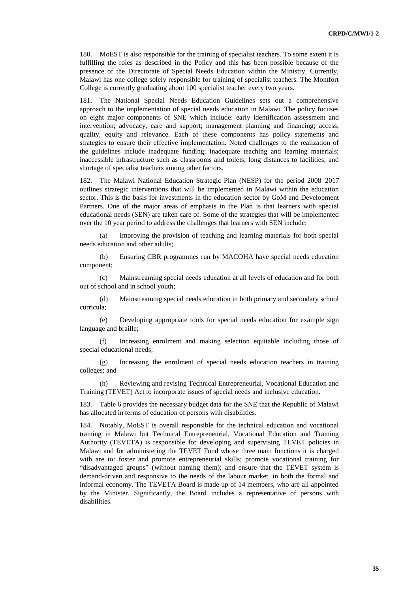180. MoEST is also responsible for the training of specialist teachers. To some extent it is fulfilling the roles as described in the Policy and this has been possible because of the presence of the Directorate of Special Needs Education within the Ministry. Currently, Malawi has one college solely responsible for training of specialist teachers. The Montfort College is currently graduating about 100 specialist teacher every two years.

181. The National Special Needs Education Guidelines sets out a comprehensive approach to the implementation of special needs education in Malawi. The policy focuses on eight major components of SNE which include: early identification assessment and intervention; advocacy, care and support; management planning and financing; access, quality, equity and relevance. Each of these components has policy statements and strategies to ensure their effective implementation. Noted challenges to the realization of the guidelines include inadequate funding; inadequate teaching and learning materials; inaccessible infrastructure such as classrooms and toilets; long distances to facilities; and shortage of specialist teachers among other factors.

182. The Malawi National Education Strategic Plan (NESP) for the period 2008–2017 outlines strategic interventions that will be implemented in Malawi within the education sector. This is the basis for investments in the education sector by GoM and Development Partners. One of the major areas of emphasis in the Plan is that learners with special educational needs (SEN) are taken care of. Some of the strategies that will be implemented over the 10 year period to address the challenges that learners with SEN include:

(a) Improving the provision of teaching and learning materials for both special needs education and other adults;

(b) Ensuring CBR programmes run by MACOHA have special needs education component;

(c) Mainstreaming special needs education at all levels of education and for both out of school and in school youth;

(d) Mainstreaming special needs education in both primary and secondary school curricula;

(e) Developing appropriate tools for special needs education for example sign language and braille;

(f) Increasing enrolment and making selection equitable including those of special educational needs;

(g) Increasing the enrolment of special needs education teachers in training colleges; and

(h) Reviewing and revising Technical Entrepreneurial, Vocational Education and Training (TEVET) Act to incorporate issues of special needs and inclusive education.

183. Table 6 provides the necessary budget data for the SNE that the Republic of Malawi has allocated in terms of education of persons with disabilities.

184. Notably, MoEST is overall responsible for the technical education and vocational training in Malawi but Technical Entrepreneurial, Vocational Education and Training Authority (TEVETA) is responsible for developing and supervising TEVET policies in Malawi and for administering the TEVET Fund whose three main functions it is charged with are to: foster and promote entrepreneurial skills; promote vocational training for "disadvantaged groups" (without naming them); and ensure that the TEVET system is demand-driven and responsive to the needs of the labour market, in both the formal and informal economy. The TEVETA Board is made up of 14 members, who are all appointed by the Minister. Significantly, the Board includes a representative of persons with disabilities.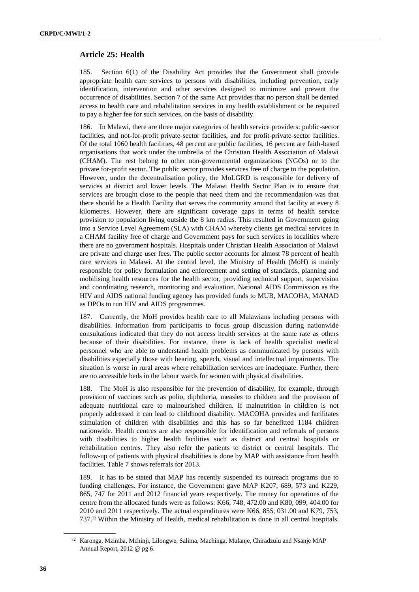## **Article 25: Health**

185. Section 6(1) of the Disability Act provides that the Government shall provide appropriate health care services to persons with disabilities, including prevention, early identification, intervention and other services designed to minimize and prevent the occurrence of disabilities. Section 7 of the same Act provides that no person shall be denied access to health care and rehabilitation services in any health establishment or be required to pay a higher fee for such services, on the basis of disability.

186. In Malawi, there are three major categories of health service providers: public-sector facilities, and not-for-profit private-sector facilities, and for profit-private-sector facilities. Of the total 1060 health facilities, 48 percent are public facilities, 16 percent are faith-based organisations that work under the umbrella of the Christian Health Association of Malawi (CHAM). The rest belong to other non-governmental organizations (NGOs) or to the private for-profit sector. The public sector provides services free of charge to the population. However, under the decentralisation policy, the MoLGRD is responsible for delivery of services at district and lower levels. The Malawi Health Sector Plan is to ensure that services are brought close to the people that need them and the recommendation was that there should be a Health Facility that serves the community around that facility at every 8 kilometres. However, there are significant coverage gaps in terms of health service provision to population living outside the 8 km radius. This resulted in Government going into a Service Level Agreement (SLA) with CHAM whereby clients get medical services in a CHAM facility free of charge and Government pays for such services in localities where there are no government hospitals. Hospitals under Christian Health Association of Malawi are private and charge user fees. The public sector accounts for almost 78 percent of health care services in Malawi. At the central level, the Ministry of Health (MoH) is mainly responsible for policy formulation and enforcement and setting of standards, planning and mobilising health resources for the health sector, providing technical support, supervision and coordinating research, monitoring and evaluation. National AIDS Commission as the HIV and AIDS national funding agency has provided funds to MUB, MACOHA, MANAD as DPOs to run HIV and AIDS programmes.

187. Currently, the MoH provides health care to all Malawians including persons with disabilities. Information from participants to focus group discussion during nationwide consultations indicated that they do not access health services at the same rate as others because of their disabilities. For instance, there is lack of health specialist medical personnel who are able to understand health problems as communicated by persons with disabilities especially those with hearing, speech, visual and intellectual impairments. The situation is worse in rural areas where rehabilitation services are inadequate. Further, there are no accessible beds in the labour wards for women with physical disabilities.

The MoH is also responsible for the prevention of disability, for example, through provision of vaccines such as polio, diphtheria, measles to children and the provision of adequate nutritional care to malnourished children. If malnutrition in children is not properly addressed it can lead to childhood disability. MACOHA provides and facilitates stimulation of children with disabilities and this has so far benefitted 1184 children nationwide. Health centres are also responsible for identification and referrals of persons with disabilities to higher health facilities such as district and central hospitals or rehabilitation centres. They also refer the patients to district or central hospitals. The follow-up of patients with physical disabilities is done by MAP with assistance from health facilities. Table 7 shows referrals for 2013.

189. It has to be stated that MAP has recently suspended its outreach programs due to funding challenges. For instance, the Government gave MAP K207, 689, 573 and K229, 865, 747 for 2011 and 2012 financial years respectively. The money for operations of the centre from the allocated funds were as follows: K66, 748, 472.00 and K80, 099, 404.00 for 2010 and 2011 respectively. The actual expenditures were K66, 855, 031.00 and K79, 753, 737.<sup>72</sup> Within the Ministry of Health, medical rehabilitation is done in all central hospitals.

<sup>72</sup> Karonga, Mzimba, Mchinji, Lilongwe, Salima, Machinga, Mulanje, Chiradzulu and Nsanje MAP Annual Report, 2012 @ pg 6.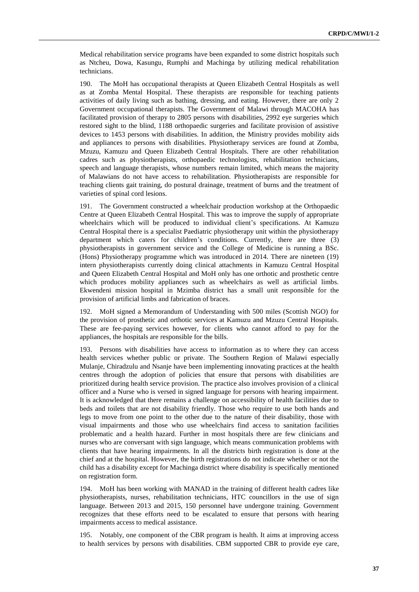Medical rehabilitation service programs have been expanded to some district hospitals such as Ntcheu, Dowa, Kasungu, Rumphi and Machinga by utilizing medical rehabilitation technicians.

190. The MoH has occupational therapists at Queen Elizabeth Central Hospitals as well as at Zomba Mental Hospital. These therapists are responsible for teaching patients activities of daily living such as bathing, dressing, and eating. However, there are only 2 Government occupational therapists. The Government of Malawi through MACOHA has facilitated provision of therapy to 2805 persons with disabilities, 2992 eye surgeries which restored sight to the blind, 1188 orthopaedic surgeries and facilitate provision of assistive devices to 1453 persons with disabilities. In addition, the Ministry provides mobility aids and appliances to persons with disabilities. Physiotherapy services are found at Zomba, Mzuzu, Kamuzu and Queen Elizabeth Central Hospitals. There are other rehabilitation cadres such as physiotherapists, orthopaedic technologists, rehabilitation technicians, speech and language therapists, whose numbers remain limited, which means the majority of Malawians do not have access to rehabilitation. Physiotherapists are responsible for teaching clients gait training, do postural drainage, treatment of burns and the treatment of varieties of spinal cord lesions.

191. The Government constructed a wheelchair production workshop at the Orthopaedic Centre at Queen Elizabeth Central Hospital. This was to improve the supply of appropriate wheelchairs which will be produced to individual client's specifications. At Kamuzu Central Hospital there is a specialist Paediatric physiotherapy unit within the physiotherapy department which caters for children's conditions. Currently, there are three (3) physiotherapists in government service and the College of Medicine is running a BSc. (Hons) Physiotherapy programme which was introduced in 2014. There are nineteen (19) intern physiotherapists currently doing clinical attachments in Kamuzu Central Hospital and Queen Elizabeth Central Hospital and MoH only has one orthotic and prosthetic centre which produces mobility appliances such as wheelchairs as well as artificial limbs. Ekwendeni mission hospital in Mzimba district has a small unit responsible for the provision of artificial limbs and fabrication of braces.

192. MoH signed a Memorandum of Understanding with 500 miles (Scottish NGO) for the provision of prosthetic and orthotic services at Kamuzu and Mzuzu Central Hospitals. These are fee-paying services however, for clients who cannot afford to pay for the appliances, the hospitals are responsible for the bills.

193. Persons with disabilities have access to information as to where they can access health services whether public or private. The Southern Region of Malawi especially Mulanje, Chiradzulu and Nsanje have been implementing innovating practices at the health centres through the adoption of policies that ensure that persons with disabilities are prioritized during health service provision. The practice also involves provision of a clinical officer and a Nurse who is versed in signed language for persons with hearing impairment. It is acknowledged that there remains a challenge on accessibility of health facilities due to beds and toilets that are not disability friendly. Those who require to use both hands and legs to move from one point to the other due to the nature of their disability, those with visual impairments and those who use wheelchairs find access to sanitation facilities problematic and a health hazard. Further in most hospitals there are few clinicians and nurses who are conversant with sign language, which means communication problems with clients that have hearing impairments. In all the districts birth registration is done at the chief and at the hospital. However, the birth registrations do not indicate whether or not the child has a disability except for Machinga district where disability is specifically mentioned on registration form.

MoH has been working with MANAD in the training of different health cadres like physiotherapists, nurses, rehabilitation technicians, HTC councillors in the use of sign language. Between 2013 and 2015, 150 personnel have undergone training. Government recognizes that these efforts need to be escalated to ensure that persons with hearing impairments access to medical assistance.

195. Notably, one component of the CBR program is health. It aims at improving access to health services by persons with disabilities. CBM supported CBR to provide eye care,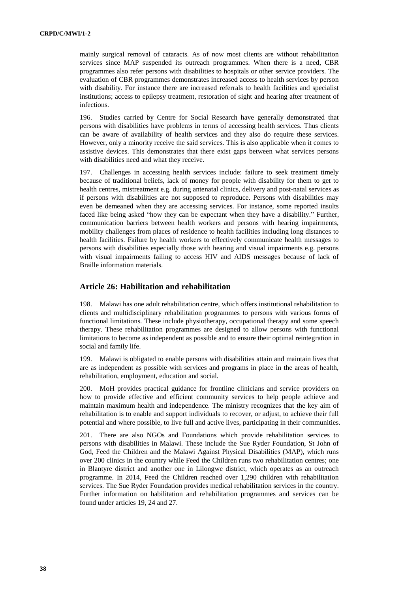mainly surgical removal of cataracts. As of now most clients are without rehabilitation services since MAP suspended its outreach programmes. When there is a need, CBR programmes also refer persons with disabilities to hospitals or other service providers. The evaluation of CBR programmes demonstrates increased access to health services by person with disability. For instance there are increased referrals to health facilities and specialist institutions; access to epilepsy treatment, restoration of sight and hearing after treatment of infections.

196. Studies carried by Centre for Social Research have generally demonstrated that persons with disabilities have problems in terms of accessing health services. Thus clients can be aware of availability of health services and they also do require these services. However, only a minority receive the said services. This is also applicable when it comes to assistive devices. This demonstrates that there exist gaps between what services persons with disabilities need and what they receive.

197. Challenges in accessing health services include: failure to seek treatment timely because of traditional beliefs, lack of money for people with disability for them to get to health centres, mistreatment e.g. during antenatal clinics, delivery and post-natal services as if persons with disabilities are not supposed to reproduce. Persons with disabilities may even be demeaned when they are accessing services. For instance, some reported insults faced like being asked "how they can be expectant when they have a disability." Further, communication barriers between health workers and persons with hearing impairments, mobility challenges from places of residence to health facilities including long distances to health facilities. Failure by health workers to effectively communicate health messages to persons with disabilities especially those with hearing and visual impairments e.g. persons with visual impairments failing to access HIV and AIDS messages because of lack of Braille information materials.

### **Article 26: Habilitation and rehabilitation**

198. Malawi has one adult rehabilitation centre, which offers institutional rehabilitation to clients and multidisciplinary rehabilitation programmes to persons with various forms of functional limitations. These include physiotherapy, occupational therapy and some speech therapy. These rehabilitation programmes are designed to allow persons with functional limitations to become as independent as possible and to ensure their optimal reintegration in social and family life.

199. Malawi is obligated to enable persons with disabilities attain and maintain lives that are as independent as possible with services and programs in place in the areas of health, rehabilitation, employment, education and social.

200. MoH provides practical guidance for frontline clinicians and service providers on how to provide effective and efficient community services to help people achieve and maintain maximum health and independence. The ministry recognizes that the key aim of rehabilitation is to enable and support individuals to recover, or adjust, to achieve their full potential and where possible, to live full and active lives, participating in their communities.

201. There are also NGOs and Foundations which provide rehabilitation services to persons with disabilities in Malawi. These include the Sue Ryder Foundation, St John of God, Feed the Children and the Malawi Against Physical Disabilities (MAP), which runs over 200 clinics in the country while Feed the Children runs two rehabilitation centres; one in Blantyre district and another one in Lilongwe district, which operates as an outreach programme. In 2014, Feed the Children reached over 1,290 children with rehabilitation services. The Sue Ryder Foundation provides medical rehabilitation services in the country. Further information on habilitation and rehabilitation programmes and services can be found under articles 19, 24 and 27.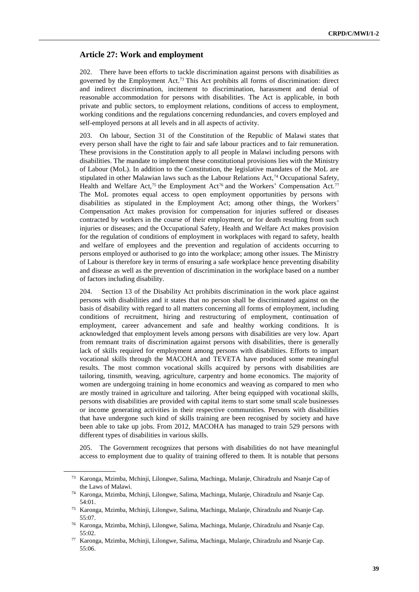#### **Article 27: Work and employment**

202. There have been efforts to tackle discrimination against persons with disabilities as governed by the Employment Act.<sup>73</sup> This Act prohibits all forms of discrimination: direct and indirect discrimination, incitement to discrimination, harassment and denial of reasonable accommodation for persons with disabilities. The Act is applicable, in both private and public sectors, to employment relations, conditions of access to employment, working conditions and the regulations concerning redundancies, and covers employed and self-employed persons at all levels and in all aspects of activity.

203. On labour, Section 31 of the Constitution of the Republic of Malawi states that every person shall have the right to fair and safe labour practices and to fair remuneration. These provisions in the Constitution apply to all people in Malawi including persons with disabilities. The mandate to implement these constitutional provisions lies with the Ministry of Labour (MoL). In addition to the Constitution, the legislative mandates of the MoL are stipulated in other Malawian laws such as the Labour Relations  $Act^{74}$  Occupational Safety, Health and Welfare Act,<sup>75</sup> the Employment Act<sup>76</sup> and the Workers' Compensation Act.<sup>77</sup> The MoL promotes equal access to open employment opportunities by persons with disabilities as stipulated in the Employment Act; among other things, the Workers' Compensation Act makes provision for compensation for injuries suffered or diseases contracted by workers in the course of their employment, or for death resulting from such injuries or diseases; and the Occupational Safety, Health and Welfare Act makes provision for the regulation of conditions of employment in workplaces with regard to safety, health and welfare of employees and the prevention and regulation of accidents occurring to persons employed or authorised to go into the workplace; among other issues. The Ministry of Labour is therefore key in terms of ensuring a safe workplace hence preventing disability and disease as well as the prevention of discrimination in the workplace based on a number of factors including disability.

204. Section 13 of the Disability Act prohibits discrimination in the work place against persons with disabilities and it states that no person shall be discriminated against on the basis of disability with regard to all matters concerning all forms of employment, including conditions of recruitment, hiring and restructuring of employment, continuation of employment, career advancement and safe and healthy working conditions. It is acknowledged that employment levels among persons with disabilities are very low. Apart from remnant traits of discrimination against persons with disabilities, there is generally lack of skills required for employment among persons with disabilities. Efforts to impart vocational skills through the MACOHA and TEVETA have produced some meaningful results. The most common vocational skills acquired by persons with disabilities are tailoring, tinsmith, weaving, agriculture, carpentry and home economics. The majority of women are undergoing training in home economics and weaving as compared to men who are mostly trained in agriculture and tailoring. After being equipped with vocational skills, persons with disabilities are provided with capital items to start some small scale businesses or income generating activities in their respective communities. Persons with disabilities that have undergone such kind of skills training are been recognised by society and have been able to take up jobs. From 2012, MACOHA has managed to train 529 persons with different types of disabilities in various skills.

205. The Government recognizes that persons with disabilities do not have meaningful access to employment due to quality of training offered to them. It is notable that persons

<sup>73</sup> Karonga, Mzimba, Mchinji, Lilongwe, Salima, Machinga, Mulanje, Chiradzulu and Nsanje Cap of the Laws of Malawi.

<sup>74</sup> Karonga, Mzimba, Mchinji, Lilongwe, Salima, Machinga, Mulanje, Chiradzulu and Nsanje Cap. 54:01.

<sup>75</sup> Karonga, Mzimba, Mchinji, Lilongwe, Salima, Machinga, Mulanje, Chiradzulu and Nsanje Cap. 55:07.

<sup>76</sup> Karonga, Mzimba, Mchinji, Lilongwe, Salima, Machinga, Mulanje, Chiradzulu and Nsanje Cap. 55:02.

<sup>77</sup> Karonga, Mzimba, Mchinji, Lilongwe, Salima, Machinga, Mulanje, Chiradzulu and Nsanje Cap. 55:06.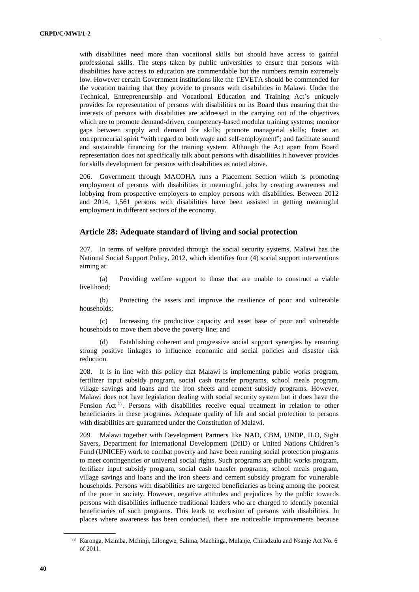with disabilities need more than vocational skills but should have access to gainful professional skills. The steps taken by public universities to ensure that persons with disabilities have access to education are commendable but the numbers remain extremely low. However certain Government institutions like the TEVETA should be commended for the vocation training that they provide to persons with disabilities in Malawi. Under the Technical, Entrepreneurship and Vocational Education and Training Act's uniquely provides for representation of persons with disabilities on its Board thus ensuring that the interests of persons with disabilities are addressed in the carrying out of the objectives which are to promote demand-driven, competency-based modular training systems; monitor gaps between supply and demand for skills; promote managerial skills; foster an entrepreneurial spirit "with regard to both wage and self-employment"; and facilitate sound and sustainable financing for the training system. Although the Act apart from Board representation does not specifically talk about persons with disabilities it however provides for skills development for persons with disabilities as noted above.

206. Government through MACOHA runs a Placement Section which is promoting employment of persons with disabilities in meaningful jobs by creating awareness and lobbying from prospective employers to employ persons with disabilities. Between 2012 and 2014, 1,561 persons with disabilities have been assisted in getting meaningful employment in different sectors of the economy.

#### **Article 28: Adequate standard of living and social protection**

207. In terms of welfare provided through the social security systems, Malawi has the National Social Support Policy, 2012, which identifies four (4) social support interventions aiming at:

(a) Providing welfare support to those that are unable to construct a viable livelihood;

(b) Protecting the assets and improve the resilience of poor and vulnerable households;

(c) Increasing the productive capacity and asset base of poor and vulnerable households to move them above the poverty line; and

(d) Establishing coherent and progressive social support synergies by ensuring strong positive linkages to influence economic and social policies and disaster risk reduction.

208. It is in line with this policy that Malawi is implementing public works program, fertilizer input subsidy program, social cash transfer programs, school meals program, village savings and loans and the iron sheets and cement subsidy programs. However, Malawi does not have legislation dealing with social security system but it does have the Pension Act<sup>78</sup>. Persons with disabilities receive equal treatment in relation to other beneficiaries in these programs. Adequate quality of life and social protection to persons with disabilities are guaranteed under the Constitution of Malawi.

209. Malawi together with Development Partners like NAD, CBM, UNDP, ILO, Sight Savers, Department for International Development (DfID) or United Nations Children's Fund (UNICEF) work to combat poverty and have been running social protection programs to meet contingencies or universal social rights. Such programs are public works program, fertilizer input subsidy program, social cash transfer programs, school meals program, village savings and loans and the iron sheets and cement subsidy program for vulnerable households. Persons with disabilities are targeted beneficiaries as being among the poorest of the poor in society. However, negative attitudes and prejudices by the public towards persons with disabilities influence traditional leaders who are charged to identify potential beneficiaries of such programs. This leads to exclusion of persons with disabilities. In places where awareness has been conducted, there are noticeable improvements because

<sup>78</sup> Karonga, Mzimba, Mchinji, Lilongwe, Salima, Machinga, Mulanje, Chiradzulu and Nsanje Act No. 6 of 2011.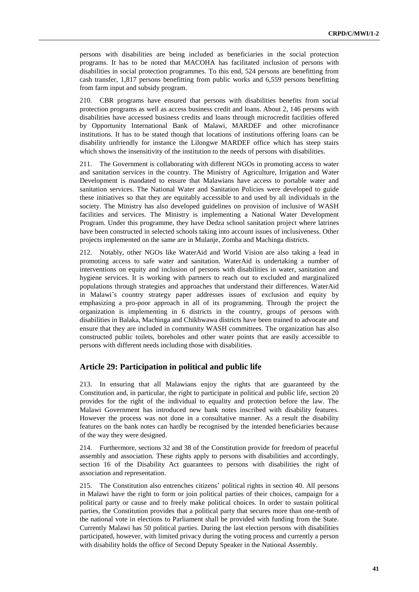persons with disabilities are being included as beneficiaries in the social protection programs. It has to be noted that MACOHA has facilitated inclusion of persons with disabilities in social protection programmes. To this end, 524 persons are benefitting from cash transfer, 1,817 persons benefitting from public works and 6,559 persons benefitting from farm input and subsidy program.

210. CBR programs have ensured that persons with disabilities benefits from social protection programs as well as access business credit and loans. About 2, 146 persons with disabilities have accessed business credits and loans through microcredit facilities offered by Opportunity International Bank of Malawi, MARDEF and other microfinance institutions. It has to be stated though that locations of institutions offering loans can be disability unfriendly for instance the Lilongwe MARDEF office which has steep stairs which shows the insensitivity of the institution to the needs of persons with disabilities.

211. The Government is collaborating with different NGOs in promoting access to water and sanitation services in the country. The Ministry of Agriculture, Irrigation and Water Development is mandated to ensure that Malawians have access to portable water and sanitation services. The National Water and Sanitation Policies were developed to guide these initiatives so that they are equitably accessible to and used by all individuals in the society. The Ministry has also developed guidelines on provision of inclusive of WASH facilities and services. The Ministry is implementing a National Water Development Program. Under this programme, they have Dedza school sanitation project where latrines have been constructed in selected schools taking into account issues of inclusiveness. Other projects implemented on the same are in Mulanje, Zomba and Machinga districts.

212. Notably, other NGOs like WaterAid and World Vision are also taking a lead in promoting access to safe water and sanitation. WaterAid is undertaking a number of interventions on equity and inclusion of persons with disabilities in water, sanitation and hygiene services. It is working with partners to reach out to excluded and marginalized populations through strategies and approaches that understand their differences. WaterAid in Malawi's country strategy paper addresses issues of exclusion and equity by emphasizing a pro-poor approach in all of its programming. Through the project the organization is implementing in 6 districts in the country, groups of persons with disabilities in Balaka, Machinga and Chikhwawa districts have been trained to advocate and ensure that they are included in community WASH committees. The organization has also constructed public toilets, boreholes and other water points that are easily accessible to persons with different needs including those with disabilities.

#### **Article 29: Participation in political and public life**

213. In ensuring that all Malawians enjoy the rights that are guaranteed by the Constitution and, in particular, the right to participate in political and public life, section 20 provides for the right of the individual to equality and protection before the law. The Malawi Government has introduced new bank notes inscribed with disability features. However the process was not done in a consultative manner. As a result the disability features on the bank notes can hardly be recognised by the intended beneficiaries because of the way they were designed.

214. Furthermore, sections 32 and 38 of the Constitution provide for freedom of peaceful assembly and association. These rights apply to persons with disabilities and accordingly, section 16 of the Disability Act guarantees to persons with disabilities the right of association and representation.

215. The Constitution also entrenches citizens' political rights in section 40. All persons in Malawi have the right to form or join political parties of their choices, campaign for a political party or cause and to freely make political choices. In order to sustain political parties, the Constitution provides that a political party that secures more than one-tenth of the national vote in elections to Parliament shall be provided with funding from the State. Currently Malawi has 50 political parties. During the last election persons with disabilities participated, however, with limited privacy during the voting process and currently a person with disability holds the office of Second Deputy Speaker in the National Assembly.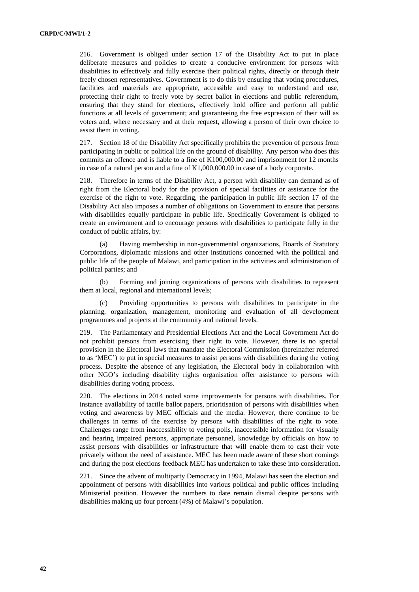216. Government is obliged under section 17 of the Disability Act to put in place deliberate measures and policies to create a conducive environment for persons with disabilities to effectively and fully exercise their political rights, directly or through their freely chosen representatives. Government is to do this by ensuring that voting procedures, facilities and materials are appropriate, accessible and easy to understand and use, protecting their right to freely vote by secret ballot in elections and public referendum, ensuring that they stand for elections, effectively hold office and perform all public functions at all levels of government; and guaranteeing the free expression of their will as voters and, where necessary and at their request, allowing a person of their own choice to assist them in voting.

217. Section 18 of the Disability Act specifically prohibits the prevention of persons from participating in public or political life on the ground of disability. Any person who does this commits an offence and is liable to a fine of K100,000.00 and imprisonment for 12 months in case of a natural person and a fine of K1,000,000.00 in case of a body corporate.

218. Therefore in terms of the Disability Act, a person with disability can demand as of right from the Electoral body for the provision of special facilities or assistance for the exercise of the right to vote. Regarding, the participation in public life section 17 of the Disability Act also imposes a number of obligations on Government to ensure that persons with disabilities equally participate in public life. Specifically Government is obliged to create an environment and to encourage persons with disabilities to participate fully in the conduct of public affairs, by:

(a) Having membership in non-governmental organizations, Boards of Statutory Corporations, diplomatic missions and other institutions concerned with the political and public life of the people of Malawi, and participation in the activities and administration of political parties; and

(b) Forming and joining organizations of persons with disabilities to represent them at local, regional and international levels;

(c) Providing opportunities to persons with disabilities to participate in the planning, organization, management, monitoring and evaluation of all development programmes and projects at the community and national levels.

219. The Parliamentary and Presidential Elections Act and the Local Government Act do not prohibit persons from exercising their right to vote. However, there is no special provision in the Electoral laws that mandate the Electoral Commission (hereinafter referred to as 'MEC') to put in special measures to assist persons with disabilities during the voting process. Despite the absence of any legislation, the Electoral body in collaboration with other NGO's including disability rights organisation offer assistance to persons with disabilities during voting process.

220. The elections in 2014 noted some improvements for persons with disabilities. For instance availability of tactile ballot papers, prioritisation of persons with disabilities when voting and awareness by MEC officials and the media. However, there continue to be challenges in terms of the exercise by persons with disabilities of the right to vote. Challenges range from inaccessibility to voting polls, inaccessible information for visually and hearing impaired persons, appropriate personnel, knowledge by officials on how to assist persons with disabilities or infrastructure that will enable them to cast their vote privately without the need of assistance. MEC has been made aware of these short comings and during the post elections feedback MEC has undertaken to take these into consideration.

221. Since the advent of multiparty Democracy in 1994, Malawi has seen the election and appointment of persons with disabilities into various political and public offices including Ministerial position. However the numbers to date remain dismal despite persons with disabilities making up four percent (4%) of Malawi's population.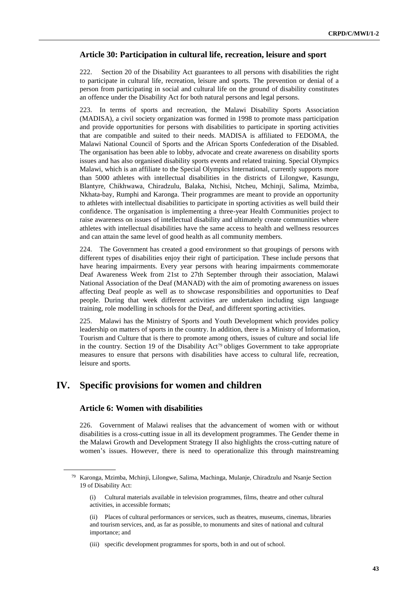#### **Article 30: Participation in cultural life, recreation, leisure and sport**

222. Section 20 of the Disability Act guarantees to all persons with disabilities the right to participate in cultural life, recreation, leisure and sports. The prevention or denial of a person from participating in social and cultural life on the ground of disability constitutes an offence under the Disability Act for both natural persons and legal persons.

223. In terms of sports and recreation, the Malawi Disability Sports Association (MADISA), a civil society organization was formed in 1998 to promote mass participation and provide opportunities for persons with disabilities to participate in sporting activities that are compatible and suited to their needs. MADISA is affiliated to FEDOMA, the Malawi National Council of Sports and the African Sports Confederation of the Disabled. The organisation has been able to lobby, advocate and create awareness on disability sports issues and has also organised disability sports events and related training. Special Olympics Malawi, which is an affiliate to the Special Olympics International, currently supports more than 5000 athletes with intellectual disabilities in the districts of Lilongwe, Kasungu, Blantyre, Chikhwawa, Chiradzulu, Balaka, Ntchisi, Ntcheu, Mchinji, Salima, Mzimba, Nkhata-bay, Rumphi and Karonga. Their programmes are meant to provide an opportunity to athletes with intellectual disabilities to participate in sporting activities as well build their confidence. The organisation is implementing a three-year Health Communities project to raise awareness on issues of intellectual disability and ultimately create communities where athletes with intellectual disabilities have the same access to health and wellness resources and can attain the same level of good health as all community members.

224. The Government has created a good environment so that groupings of persons with different types of disabilities enjoy their right of participation. These include persons that have hearing impairments. Every year persons with hearing impairments commemorate Deaf Awareness Week from 21st to 27th September through their association, Malawi National Association of the Deaf (MANAD) with the aim of promoting awareness on issues affecting Deaf people as well as to showcase responsibilities and opportunities to Deaf people. During that week different activities are undertaken including sign language training, role modelling in schools for the Deaf, and different sporting activities.

225. Malawi has the Ministry of Sports and Youth Development which provides policy leadership on matters of sports in the country. In addition, there is a Ministry of Information, Tourism and Culture that is there to promote among others, issues of culture and social life in the country. Section 19 of the Disability  $Act^{79}$  obliges Government to take appropriate measures to ensure that persons with disabilities have access to cultural life, recreation, leisure and sports.

# **IV. Specific provisions for women and children**

#### **Article 6: Women with disabilities**

226. Government of Malawi realises that the advancement of women with or without disabilities is a cross-cutting issue in all its development programmes. The Gender theme in the Malawi Growth and Development Strategy II also highlights the cross-cutting nature of women's issues. However, there is need to operationalize this through mainstreaming

<sup>79</sup> Karonga, Mzimba, Mchinji, Lilongwe, Salima, Machinga, Mulanje, Chiradzulu and Nsanje Section 19 of Disability Act:

<sup>(</sup>i) Cultural materials available in television programmes, films, theatre and other cultural activities, in accessible formats;

<sup>(</sup>ii) Places of cultural performances or services, such as theatres, museums, cinemas, libraries and tourism services, and, as far as possible, to monuments and sites of national and cultural importance; and

<sup>(</sup>iii) specific development programmes for sports, both in and out of school.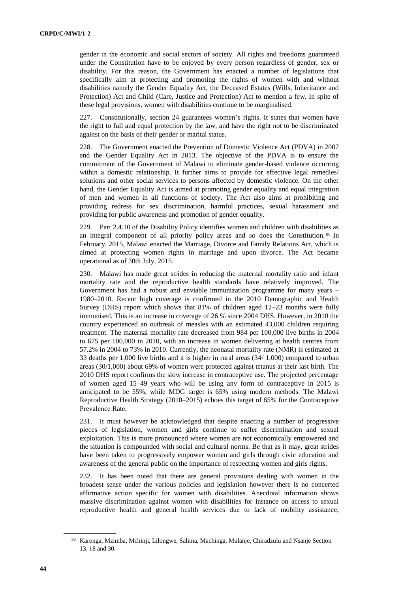gender in the economic and social sectors of society. All rights and freedoms guaranteed under the Constitution have to be enjoyed by every person regardless of gender, sex or disability. For this reason, the Government has enacted a number of legislations that specifically aim at protecting and promoting the rights of women with and without disabilities namely the Gender Equality Act, the Deceased Estates (Wills, Inheritance and Protection) Act and Child (Care, Justice and Protection) Act to mention a few. In spite of these legal provisions, women with disabilities continue to be marginalised.

227. Constitutionally, section 24 guarantees women's rights. It states that women have the right to full and equal protection by the law, and have the right not to be discriminated against on the basis of their gender or marital status.

228. The Government enacted the Prevention of Domestic Violence Act (PDVA) in 2007 and the Gender Equality Act in 2013. The objective of the PDVA is to ensure the commitment of the Government of Malawi to eliminate gender-based violence occurring within a domestic relationship. It further aims to provide for effective legal remedies/ solutions and other social services to persons affected by domestic violence. On the other hand, the Gender Equality Act is aimed at promoting gender equality and equal integration of men and women in all functions of society. The Act also aims at prohibiting and providing redress for sex discrimination, harmful practices, sexual harassment and providing for public awareness and promotion of gender equality.

229. Part 2.4.10 of the Disability Policy identifies women and children with disabilities as an integral component of all priority policy areas and so does the Constitution. <sup>80</sup> In February, 2015, Malawi enacted the Marriage, Divorce and Family Relations Act, which is aimed at protecting women rights in marriage and upon divorce. The Act became operational as of 30th July, 2015.

230. Malawi has made great strides in reducing the maternal mortality ratio and infant mortality rate and the reproductive health standards have relatively improved. The Government has had a robust and enviable immunization programme for many years – 1980–2010. Recent high coverage is confirmed in the 2010 Demographic and Health Survey (DHS) report which shows that 81% of children aged 12–23 months were fully immunised. This is an increase in coverage of 26 % since 2004 DHS. However, in 2010 the country experienced an outbreak of measles with an estimated 43,000 children requiring treatment. The maternal mortality rate decreased from 984 per 100,000 live births in 2004 to 675 per 100,000 in 2010, with an increase in women delivering at health centres from 57.2% in 2004 to 73% in 2010. Currently, the neonatal mortality rate (NMR) is estimated at 33 deaths per 1,000 live births and it is higher in rural areas (34/ 1,000) compared to urban areas (30/1,000) about 69% of women were protected against tetanus at their last birth. The 2010 DHS report confirms the slow increase in contraceptive use. The projected percentage of women aged 15–49 years who will be using any form of contraceptive in 2015 is anticipated to be 55%, while MDG target is 65% using modern methods. The Malawi Reproductive Health Strategy (2010–2015) echoes this target of 65% for the Contraceptive Prevalence Rate.

231. It must however be acknowledged that despite enacting a number of progressive pieces of legislation, women and girls continue to suffer discrimination and sexual exploitation. This is more pronounced where women are not economically empowered and the situation is compounded with social and cultural norms. Be that as it may, great strides have been taken to progressively empower women and girls through civic education and awareness of the general public on the importance of respecting women and girls rights.

232. It has been noted that there are general provisions dealing with women in the broadest sense under the various policies and legislation however there is no concerted affirmative action specific for women with disabilities. Anecdotal information shows massive discrimination against women with disabilities for instance on access to sexual reproductive health and general health services due to lack of mobility assistance,

<sup>80</sup> Karonga, Mzimba, Mchinji, Lilongwe, Salima, Machinga, Mulanje, Chiradzulu and Nsanje Section 13, 18 and 30.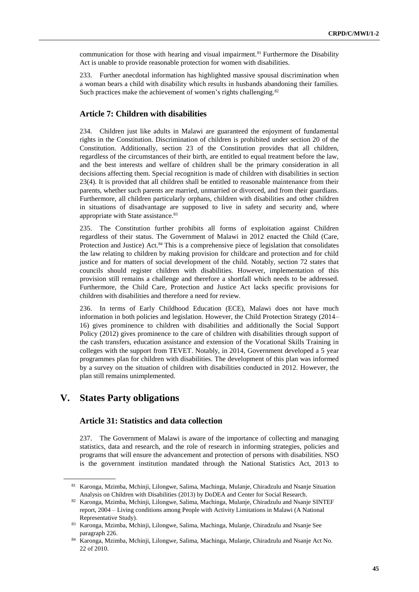communication for those with hearing and visual impairment.<sup>81</sup> Furthermore the Disability Act is unable to provide reasonable protection for women with disabilities.

233. Further anecdotal information has highlighted massive spousal discrimination when a woman bears a child with disability which results in husbands abandoning their families. Such practices make the achievement of women's rights challenging.<sup>82</sup>

#### **Article 7: Children with disabilities**

234. Children just like adults in Malawi are guaranteed the enjoyment of fundamental rights in the Constitution. Discrimination of children is prohibited under section 20 of the Constitution. Additionally, section 23 of the Constitution provides that all children, regardless of the circumstances of their birth, are entitled to equal treatment before the law, and the best interests and welfare of children shall be the primary consideration in all decisions affecting them. Special recognition is made of children with disabilities in section 23(4). It is provided that all children shall be entitled to reasonable maintenance from their parents, whether such parents are married, unmarried or divorced, and from their guardians. Furthermore, all children particularly orphans, children with disabilities and other children in situations of disadvantage are supposed to live in safety and security and, where appropriate with State assistance.<sup>83</sup>

235. The Constitution further prohibits all forms of exploitation against Children regardless of their status. The Government of Malawi in 2012 enacted the Child (Care, Protection and Justice) Act.<sup>84</sup> This is a comprehensive piece of legislation that consolidates the law relating to children by making provision for childcare and protection and for child justice and for matters of social development of the child. Notably, section 72 states that councils should register children with disabilities. However, implementation of this provision still remains a challenge and therefore a shortfall which needs to be addressed. Furthermore, the Child Care, Protection and Justice Act lacks specific provisions for children with disabilities and therefore a need for review.

236. In terms of Early Childhood Education (ECE), Malawi does not have much information in both policies and legislation. However, the Child Protection Strategy (2014– 16) gives prominence to children with disabilities and additionally the Social Support Policy (2012) gives prominence to the care of children with disabilities through support of the cash transfers, education assistance and extension of the Vocational Skills Training in colleges with the support from TEVET. Notably, in 2014, Government developed a 5 year programmes plan for children with disabilities. The development of this plan was informed by a survey on the situation of children with disabilities conducted in 2012. However, the plan still remains unimplemented.

# **V. States Party obligations**

#### **Article 31: Statistics and data collection**

237. The Government of Malawi is aware of the importance of collecting and managing statistics, data and research, and the role of research in informing strategies, policies and programs that will ensure the advancement and protection of persons with disabilities. NSO is the government institution mandated through the National Statistics Act, 2013 to

<sup>81</sup> Karonga, Mzimba, Mchinji, Lilongwe, Salima, Machinga, Mulanje, Chiradzulu and Nsanje Situation Analysis on Children with Disabilities (2013) by DoDEA and Center for Social Research.

<sup>82</sup> Karonga, Mzimba, Mchinji, Lilongwe, Salima, Machinga, Mulanje, Chiradzulu and Nsanje SINTEF report, 2004 – Living conditions among People with Activity Limitations in Malawi (A National Representative Study).

<sup>83</sup> Karonga, Mzimba, Mchinji, Lilongwe, Salima, Machinga, Mulanje, Chiradzulu and Nsanje See paragraph 226.

<sup>84</sup> Karonga, Mzimba, Mchinji, Lilongwe, Salima, Machinga, Mulanje, Chiradzulu and Nsanje Act No. 22 of 2010.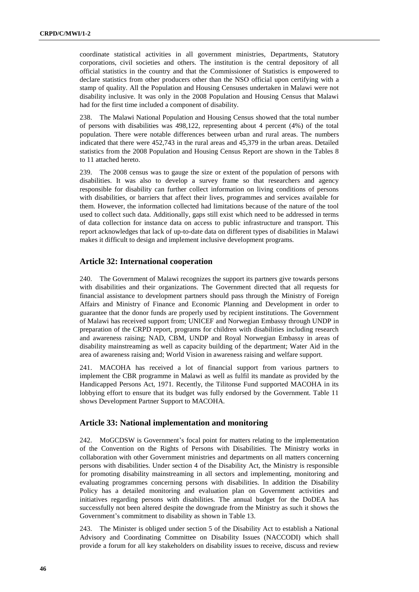coordinate statistical activities in all government ministries, Departments, Statutory corporations, civil societies and others. The institution is the central depository of all official statistics in the country and that the Commissioner of Statistics is empowered to declare statistics from other producers other than the NSO official upon certifying with a stamp of quality. All the Population and Housing Censuses undertaken in Malawi were not disability inclusive. It was only in the 2008 Population and Housing Census that Malawi had for the first time included a component of disability.

238. The Malawi National Population and Housing Census showed that the total number of persons with disabilities was 498,122, representing about 4 percent (4%) of the total population. There were notable differences between urban and rural areas. The numbers indicated that there were 452,743 in the rural areas and 45,379 in the urban areas. Detailed statistics from the 2008 Population and Housing Census Report are shown in the Tables 8 to 11 attached hereto.

239. The 2008 census was to gauge the size or extent of the population of persons with disabilities. It was also to develop a survey frame so that researchers and agency responsible for disability can further collect information on living conditions of persons with disabilities, or barriers that affect their lives, programmes and services available for them. However, the information collected had limitations because of the nature of the tool used to collect such data. Additionally, gaps still exist which need to be addressed in terms of data collection for instance data on access to public infrastructure and transport. This report acknowledges that lack of up-to-date data on different types of disabilities in Malawi makes it difficult to design and implement inclusive development programs.

#### **Article 32: International cooperation**

240. The Government of Malawi recognizes the support its partners give towards persons with disabilities and their organizations. The Government directed that all requests for financial assistance to development partners should pass through the Ministry of Foreign Affairs and Ministry of Finance and Economic Planning and Development in order to guarantee that the donor funds are properly used by recipient institutions. The Government of Malawi has received support from; UNICEF and Norwegian Embassy through UNDP in preparation of the CRPD report, programs for children with disabilities including research and awareness raising; NAD, CBM, UNDP and Royal Norwegian Embassy in areas of disability mainstreaming as well as capacity building of the department; Water Aid in the area of awareness raising and; World Vision in awareness raising and welfare support.

241. MACOHA has received a lot of financial support from various partners to implement the CBR programme in Malawi as well as fulfil its mandate as provided by the Handicapped Persons Act, 1971. Recently, the Tilitonse Fund supported MACOHA in its lobbying effort to ensure that its budget was fully endorsed by the Government. Table 11 shows Development Partner Support to MACOHA.

#### **Article 33: National implementation and monitoring**

242. MoGCDSW is Government's focal point for matters relating to the implementation of the Convention on the Rights of Persons with Disabilities. The Ministry works in collaboration with other Government ministries and departments on all matters concerning persons with disabilities. Under section 4 of the Disability Act, the Ministry is responsible for promoting disability mainstreaming in all sectors and implementing, monitoring and evaluating programmes concerning persons with disabilities. In addition the Disability Policy has a detailed monitoring and evaluation plan on Government activities and initiatives regarding persons with disabilities. The annual budget for the DoDEA has successfully not been altered despite the downgrade from the Ministry as such it shows the Government's commitment to disability as shown in Table 13.

243. The Minister is obliged under section 5 of the Disability Act to establish a National Advisory and Coordinating Committee on Disability Issues (NACCODI) which shall provide a forum for all key stakeholders on disability issues to receive, discuss and review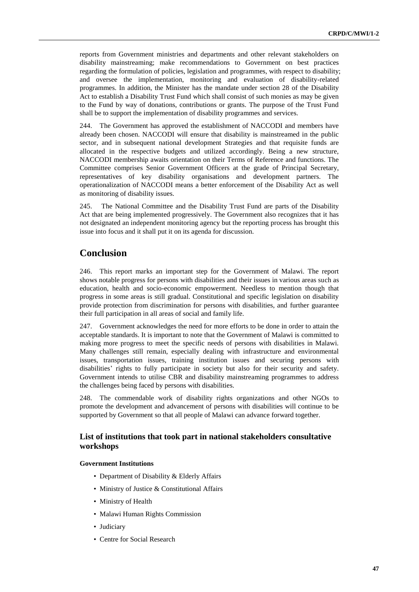reports from Government ministries and departments and other relevant stakeholders on disability mainstreaming; make recommendations to Government on best practices regarding the formulation of policies, legislation and programmes, with respect to disability; and oversee the implementation, monitoring and evaluation of disability-related programmes. In addition, the Minister has the mandate under section 28 of the Disability Act to establish a Disability Trust Fund which shall consist of such monies as may be given to the Fund by way of donations, contributions or grants. The purpose of the Trust Fund shall be to support the implementation of disability programmes and services.

244. The Government has approved the establishment of NACCODI and members have already been chosen. NACCODI will ensure that disability is mainstreamed in the public sector, and in subsequent national development Strategies and that requisite funds are allocated in the respective budgets and utilized accordingly. Being a new structure, NACCODI membership awaits orientation on their Terms of Reference and functions. The Committee comprises Senior Government Officers at the grade of Principal Secretary, representatives of key disability organisations and development partners. The operationalization of NACCODI means a better enforcement of the Disability Act as well as monitoring of disability issues.

245. The National Committee and the Disability Trust Fund are parts of the Disability Act that are being implemented progressively. The Government also recognizes that it has not designated an independent monitoring agency but the reporting process has brought this issue into focus and it shall put it on its agenda for discussion.

# **Conclusion**

246. This report marks an important step for the Government of Malawi. The report shows notable progress for persons with disabilities and their issues in various areas such as education, health and socio-economic empowerment. Needless to mention though that progress in some areas is still gradual. Constitutional and specific legislation on disability provide protection from discrimination for persons with disabilities, and further guarantee their full participation in all areas of social and family life.

247. Government acknowledges the need for more efforts to be done in order to attain the acceptable standards. It is important to note that the Government of Malawi is committed to making more progress to meet the specific needs of persons with disabilities in Malawi. Many challenges still remain, especially dealing with infrastructure and environmental issues, transportation issues, training institution issues and securing persons with disabilities' rights to fully participate in society but also for their security and safety. Government intends to utilise CBR and disability mainstreaming programmes to address the challenges being faced by persons with disabilities.

248. The commendable work of disability rights organizations and other NGOs to promote the development and advancement of persons with disabilities will continue to be supported by Government so that all people of Malawi can advance forward together.

#### **List of institutions that took part in national stakeholders consultative workshops**

#### **Government Institutions**

- Department of Disability & Elderly Affairs
- Ministry of Justice & Constitutional Affairs
- Ministry of Health
- Malawi Human Rights Commission
- Judiciary
- Centre for Social Research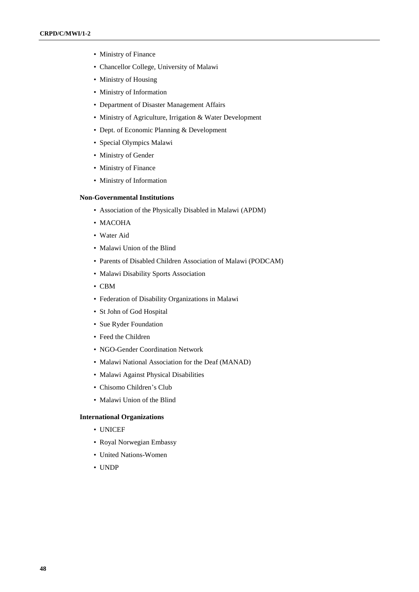- Ministry of Finance
- Chancellor College, University of Malawi
- Ministry of Housing
- Ministry of Information
- Department of Disaster Management Affairs
- Ministry of Agriculture, Irrigation & Water Development
- Dept. of Economic Planning & Development
- Special Olympics Malawi
- Ministry of Gender
- Ministry of Finance
- Ministry of Information

#### **Non-Governmental Institutions**

- Association of the Physically Disabled in Malawi (APDM)
- MACOHA
- Water Aid
- Malawi Union of the Blind
- Parents of Disabled Children Association of Malawi (PODCAM)
- Malawi Disability Sports Association
- CBM
- Federation of Disability Organizations in Malawi
- St John of God Hospital
- Sue Ryder Foundation
- Feed the Children
- NGO-Gender Coordination Network
- Malawi National Association for the Deaf (MANAD)
- Malawi Against Physical Disabilities
- Chisomo Children's Club
- Malawi Union of the Blind

#### **International Organizations**

- UNICEF
- Royal Norwegian Embassy
- United Nations-Women
- UNDP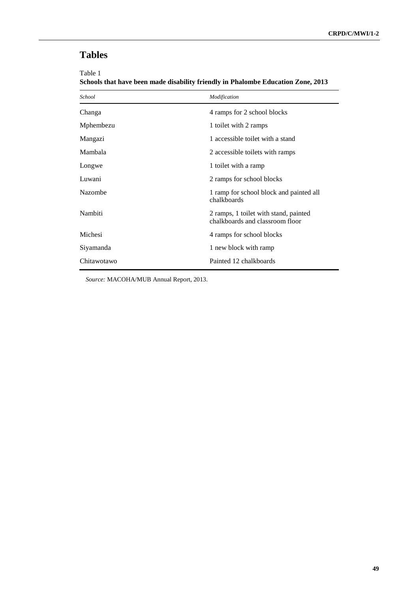# **Tables**

Table 1

**Schools that have been made disability friendly in Phalombe Education Zone, 2013**

| School         | Modification                                                             |
|----------------|--------------------------------------------------------------------------|
| Changa         | 4 ramps for 2 school blocks                                              |
| Mphembezu      | 1 toilet with 2 ramps                                                    |
| Mangazi        | 1 accessible toilet with a stand                                         |
| Mambala        | 2 accessible toilets with ramps                                          |
| Longwe         | 1 toilet with a ramp                                                     |
| Luwani         | 2 ramps for school blocks                                                |
| <b>Nazombe</b> | 1 ramp for school block and painted all<br>chalkboards                   |
| Nambiti        | 2 ramps, 1 toilet with stand, painted<br>chalkboards and classroom floor |
| Michesi        | 4 ramps for school blocks                                                |
| Siyamanda      | 1 new block with ramp                                                    |
| Chitawotawo    | Painted 12 chalkboards                                                   |

*Source:* MACOHA/MUB Annual Report, 2013.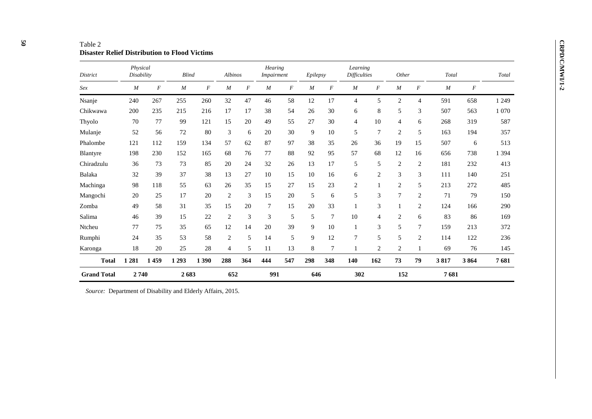| Table 2                                              |
|------------------------------------------------------|
| <b>Disaster Relief Distribution to Flood Victims</b> |

| District           | Physical<br>Disability |                  | <b>Blind</b> |                  | Albinos        |     | Hearing<br><b>Impairment</b> |     | Epilepsy |                | Learning<br><b>Difficulties</b> |                  | Other            |                | Total            |          | Total   |
|--------------------|------------------------|------------------|--------------|------------------|----------------|-----|------------------------------|-----|----------|----------------|---------------------------------|------------------|------------------|----------------|------------------|----------|---------|
| Sex                | $\boldsymbol{M}$       | $\boldsymbol{F}$ | M            | $\boldsymbol{F}$ | M              | F   | M                            | F   | M        | F              | $\boldsymbol{M}$                | $\boldsymbol{F}$ | $\boldsymbol{M}$ | F              | $\boldsymbol{M}$ | $\cal F$ |         |
| Nsanje             | 240                    | 267              | 255          | 260              | 32             | 47  | 46                           | 58  | 12       | 17             | 4                               | 5                | $\mathbf{2}$     | 4              | 591              | 658      | 1 2 4 9 |
| Chikwawa           | 200                    | 235              | 215          | 216              | 17             | 17  | 38                           | 54  | 26       | 30             | 6                               | 8                | 5                | 3              | 507              | 563      | 1 0 7 0 |
| Thyolo             | 70                     | 77               | 99           | 121              | 15             | 20  | 49                           | 55  | 27       | 30             | $\overline{4}$                  | 10               | 4                | 6              | 268              | 319      | 587     |
| Mulanje            | 52                     | 56               | 72           | 80               | 3              | 6   | 20                           | 30  | 9        | 10             | 5                               | $\overline{7}$   | $\overline{2}$   | 5              | 163              | 194      | 357     |
| Phalombe           | 121                    | 112              | 159          | 134              | 57             | 62  | 87                           | 97  | 38       | 35             | 26                              | 36               | 19               | 15             | 507              | 6        | 513     |
| <b>Blantyre</b>    | 198                    | 230              | 152          | 165              | 68             | 76  | 77                           | 88  | 92       | 95             | 57                              | 68               | 12               | 16             | 656              | 738      | 1 3 9 4 |
| Chiradzulu         | 36                     | 73               | 73           | 85               | 20             | 24  | 32                           | 26  | 13       | 17             | 5                               | 5                | 2                | $\overline{2}$ | 181              | 232      | 413     |
| Balaka             | 32                     | 39               | 37           | 38               | 13             | 27  | 10                           | 15  | 10       | 16             | 6                               | $\overline{2}$   | 3                | 3              | 111              | 140      | 251     |
| Machinga           | 98                     | 118              | 55           | 63               | 26             | 35  | 15                           | 27  | 15       | 23             | $\overline{2}$                  | 1                | 2                | 5              | 213              | 272      | 485     |
| Mangochi           | 20                     | 25               | 17           | 20               | 2              | 3   | 15                           | 20  | 5        | 6              | 5                               | 3                | 7                | $\overline{2}$ | 71               | 79       | 150     |
| Zomba              | 49                     | 58               | 31           | 35               | 15             | 20  | $\overline{7}$               | 15  | 20       | 33             | 1                               | 3                |                  | $\overline{c}$ | 124              | 166      | 290     |
| Salima             | 46                     | 39               | 15           | 22               | 2              | 3   | 3                            | 5   | 5        | $\overline{7}$ | 10                              | 4                | 2                | 6              | 83               | 86       | 169     |
| Ntcheu             | 77                     | 75               | 35           | 65               | 12             | 14  | 20                           | 39  | 9        | 10             | $\mathbf{1}$                    | 3                | 5                | $\overline{7}$ | 159              | 213      | 372     |
| Rumphi             | 24                     | 35               | 53           | 58               | $\overline{c}$ | 5   | 14                           | 5   | 9        | 12             | 7                               | 5                | 5                | $\overline{2}$ | 114              | 122      | 236     |
| Karonga            | 18                     | 20               | 25           | 28               | 4              | 5   | 11                           | 13  | 8        | $\overline{7}$ |                                 | $\overline{2}$   | $\overline{2}$   |                | 69               | 76       | 145     |
| <b>Total</b>       | 1 2 8 1                | 1459             | 1 2 9 3      | 1 390            | 288            | 364 | 444                          | 547 | 298      | 348            | 140                             | 162              | 73               | 79             | 3817             | 3864     | 7681    |
| <b>Grand Total</b> | 2740                   |                  | 2683         |                  | 652            |     | 991                          |     | 646      |                | 302                             |                  | 152              |                | 7681             |          |         |

*Source:* Department of Disability and Elderly Affairs, 2015.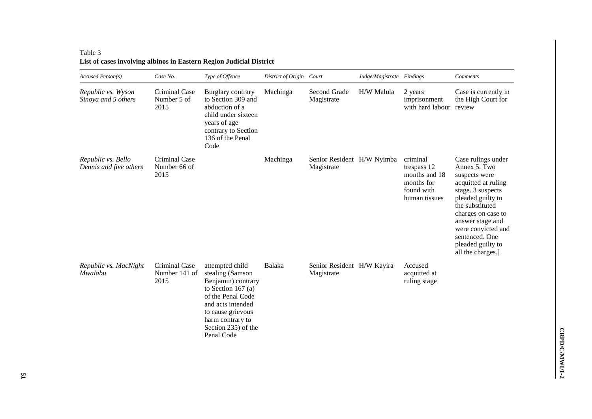| Accused Person(s)                            | Case No.                               | Type of Offence                                                                                                                                                                             | District of Origin Court |                                          | Judge/Magistrate Findings |                                                                                       | Comments                                                                                                                                                                                                                                                            |
|----------------------------------------------|----------------------------------------|---------------------------------------------------------------------------------------------------------------------------------------------------------------------------------------------|--------------------------|------------------------------------------|---------------------------|---------------------------------------------------------------------------------------|---------------------------------------------------------------------------------------------------------------------------------------------------------------------------------------------------------------------------------------------------------------------|
| Republic vs. Wyson<br>Sinoya and 5 others    | Criminal Case<br>Number 5 of<br>2015   | Burglary contrary<br>to Section 309 and<br>abduction of a<br>child under sixteen<br>years of age<br>contrary to Section<br>136 of the Penal<br>Code                                         | Machinga                 | Second Grade<br>Magistrate               | H/W Malula                | 2 years<br>imprisonment<br>with hard labour review                                    | Case is currently in<br>the High Court for                                                                                                                                                                                                                          |
| Republic vs. Bello<br>Dennis and five others | Criminal Case<br>Number 66 of<br>2015  |                                                                                                                                                                                             | Machinga                 | Senior Resident H/W Nyimba<br>Magistrate |                           | criminal<br>trespass 12<br>months and 18<br>months for<br>found with<br>human tissues | Case rulings under<br>Annex 5. Two<br>suspects were<br>acquitted at ruling<br>stage. 3 suspects<br>pleaded guilty to<br>the substituted<br>charges on case to<br>answer stage and<br>were convicted and<br>sentenced. One<br>pleaded guilty to<br>all the charges.] |
| Republic vs. MacNight<br>Mwalabu             | Criminal Case<br>Number 141 of<br>2015 | attempted child<br>stealing (Samson<br>Benjamin) contrary<br>to Section 167 $(a)$<br>of the Penal Code<br>and acts intended<br>to cause grievous<br>harm contrary to<br>Section 235) of the | Balaka                   | Senior Resident H/W Kayira<br>Magistrate |                           | Accused<br>acquitted at<br>ruling stage                                               |                                                                                                                                                                                                                                                                     |

Penal Code<sup>7</sup>

# Table 3 **List of cases involving albinos in Eastern Region Judicial District**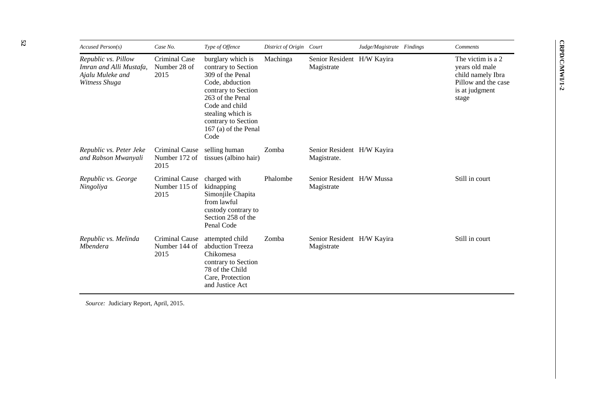| Accused Person(s)                                                                   | Case No.                                | Type of Offence                                                                                                                                                                                                          | District of Origin Court |                                           | Judge/Magistrate Findings | Comments                                                                                                   |
|-------------------------------------------------------------------------------------|-----------------------------------------|--------------------------------------------------------------------------------------------------------------------------------------------------------------------------------------------------------------------------|--------------------------|-------------------------------------------|---------------------------|------------------------------------------------------------------------------------------------------------|
| Republic vs. Pillow<br>Imran and Alli Mustafa,<br>Ajalu Muleke and<br>Witness Shuga | Criminal Case<br>Number 28 of<br>2015   | burglary which is<br>contrary to Section<br>309 of the Penal<br>Code, abduction<br>contrary to Section<br>263 of the Penal<br>Code and child<br>stealing which is<br>contrary to Section<br>167 (a) of the Penal<br>Code | Machinga                 | Senior Resident H/W Kayira<br>Magistrate  |                           | The victim is a 2<br>years old male<br>child namely Ibra<br>Pillow and the case<br>is at judgment<br>stage |
| Republic vs. Peter Jeke<br>and Rabson Mwanyali                                      | Criminal Cause<br>Number 172 of<br>2015 | selling human<br>tissues (albino hair)                                                                                                                                                                                   | Zomba                    | Senior Resident H/W Kayira<br>Magistrate. |                           |                                                                                                            |
| Republic vs. George<br>Ningoliya                                                    | Criminal Cause<br>Number 115 of<br>2015 | charged with<br>kidnapping<br>Simonjile Chapita<br>from lawful<br>custody contrary to<br>Section 258 of the<br>Penal Code                                                                                                | Phalombe                 | Senior Resident H/W Mussa<br>Magistrate   |                           | Still in court                                                                                             |
| Republic vs. Melinda<br><i>Mbendera</i>                                             | Criminal Cause<br>Number 144 of<br>2015 | attempted child<br>abduction Treeza<br>Chikomesa<br>contrary to Section<br>78 of the Child<br>Care, Protection<br>and Justice Act                                                                                        | Zomba                    | Senior Resident H/W Kayira<br>Magistrate  |                           | Still in court                                                                                             |

*Source:* Judiciary Report, April, 2015 .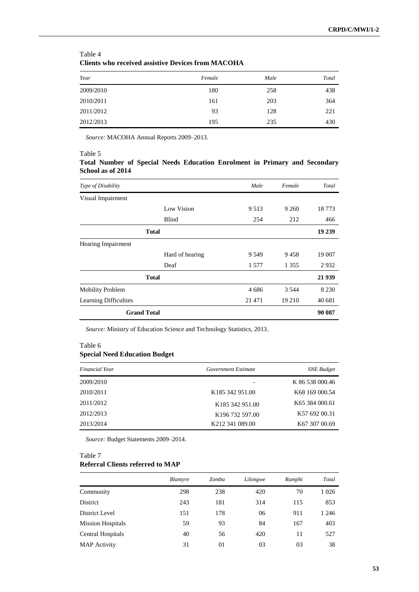| Clients who received assistive Devices from MACOHA |        |      |       |  |  |  |
|----------------------------------------------------|--------|------|-------|--|--|--|
| Year                                               | Female | Male | Total |  |  |  |
| 2009/2010                                          | 180    | 258  | 438   |  |  |  |
| 2010/2011                                          | 161    | 203  | 364   |  |  |  |
| 2011/2012                                          | 93     | 128  | 221   |  |  |  |
| 2012/2013                                          | 195    | 235  | 430   |  |  |  |

## Table 4 **Clients who received assistive Devices from MACOHA**

*Source:* MACOHA Annual Reports 2009–2013.

#### Table 5

### **Total Number of Special Needs Education Enrolment in Primary and Secondary School as of 2014**

| Type of Disability           |                 | Male    | Female  | Total   |
|------------------------------|-----------------|---------|---------|---------|
| Visual Impairment            |                 |         |         |         |
|                              | Low Vision      | 9 5 1 3 | 9 2 6 0 | 18 7 73 |
|                              | Blind           | 254     | 212     | 466     |
|                              | <b>Total</b>    |         |         | 19 239  |
| <b>Hearing Impairment</b>    |                 |         |         |         |
|                              | Hard of hearing | 9 5 4 9 | 9458    | 19 007  |
|                              | Deaf            | 1 577   | 1 3 5 5 | 2932    |
|                              | <b>Total</b>    |         |         | 21 939  |
| <b>Mobility Problem</b>      |                 | 4686    | 3 5 4 4 | 8 2 3 0 |
| <b>Learning Difficulties</b> |                 | 21 471  | 19 210  | 40 681  |
| <b>Grand Total</b>           |                 |         |         | 90 087  |

*Source:* Ministry of Education Science and Technology Statistics, 2013.

#### Table 6

## **Special Need Education Budget**

| Financial Year | Government Estimate          | <b>SNE</b> Budget          |
|----------------|------------------------------|----------------------------|
| 2009/2010      |                              | K 86 538 000.46            |
| 2010/2011      | K185 342 951.00              | K68 169 000.54             |
| 2011/2012      | K185 342 951.00              | K <sub>65</sub> 384 000.61 |
| 2012/2013      | K196 732 597.00              | K57 692 00.31              |
| 2013/2014      | K <sub>2</sub> 12 341 089.00 | K67 307 00.69              |

*Source:* Budget Statements 2009–2014.

# Table 7

# **Referral Clients referred to MAP**

|                          | <b>Blantyre</b> | Zomba | Lilongwe | Rumphi | Total   |
|--------------------------|-----------------|-------|----------|--------|---------|
| Community                | 298             | 238   | 420      | 70     | 1 0 2 6 |
| District                 | 243             | 181   | 314      | 115    | 853     |
| District Level           | 151             | 178   | 06       | 911    | 1 2 4 6 |
| <b>Mission Hospitals</b> | 59              | 93    | 84       | 167    | 403     |
| Central Hospitals        | 40              | 56    | 420      | 11     | 527     |
| <b>MAP</b> Activity      | 31              | 01    | 03       | 03     | 38      |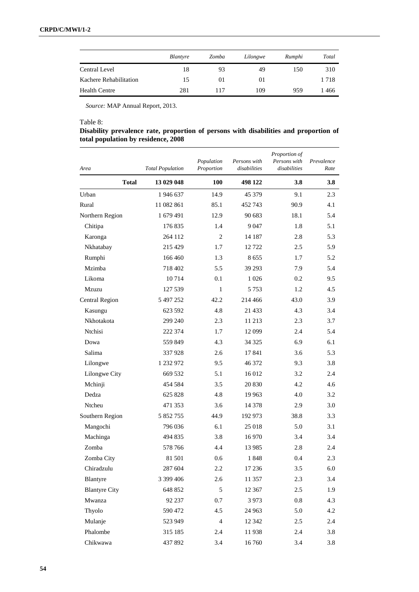|                        | <i>Blantyre</i> | Zomba | Lilongwe | Rumphi | Total |
|------------------------|-----------------|-------|----------|--------|-------|
| Central Level          | 18              | 93    | 49       | 150    | 310   |
| Kachere Rehabilitation | 15              | 01    | $_{01}$  |        | 1718  |
| <b>Health Centre</b>   | 281             | 117   | 109      | 959    | 1 466 |

*Source:* MAP Annual Report, 2013.

#### Table 8:

## **Disability prevalence rate, proportion of persons with disabilities and proportion of total population by residence, 2008**

| Area                  | <b>Total Population</b> | Population<br>Proportion | Persons with<br>disabilities | Proportion of<br>Persons with<br>disabilities | Prevalence<br>Rate |
|-----------------------|-------------------------|--------------------------|------------------------------|-----------------------------------------------|--------------------|
| <b>Total</b>          | 13 029 048              | 100                      | 498 122                      | 3.8                                           | 3.8                |
| Urban                 | 1946 637                | 14.9                     | 45 379                       | 9.1                                           | 2.3                |
| Rural                 | 11 082 861              | 85.1                     | 452 743                      | 90.9                                          | 4.1                |
| Northern Region       | 1 679 491               | 12.9                     | 90 683                       | 18.1                                          | 5.4                |
| Chitipa               | 176835                  | 1.4                      | 9047                         | 1.8                                           | 5.1                |
| Karonga               | 264 112                 | 2                        | 14 187                       | 2.8                                           | 5.3                |
| Nkhatabay             | 215 429                 | 1.7                      | 12722                        | 2.5                                           | 5.9                |
| Rumphi                | 166 460                 | 1.3                      | 8655                         | 1.7                                           | 5.2                |
| Mzimba                | 718 402                 | 5.5                      | 39 29 3                      | 7.9                                           | 5.4                |
| Likoma                | 10714                   | 0.1                      | 1 0 2 6                      | 0.2                                           | 9.5                |
| Mzuzu                 | 127 539                 | 1                        | 5 7 5 3                      | 1.2                                           | 4.5                |
| <b>Central Region</b> | 5 497 252               | 42.2                     | 214 466                      | 43.0                                          | 3.9                |
| Kasungu               | 623 592                 | 4.8                      | 21 433                       | 4.3                                           | 3.4                |
| Nkhotakota            | 299 240                 | 2.3                      | 11 213                       | 2.3                                           | 3.7                |
| Ntchisi               | 222 374                 | 1.7                      | 12 099                       | 2.4                                           | 5.4                |
| Dowa                  | 559 849                 | 4.3                      | 34 325                       | 6.9                                           | 6.1                |
| Salima                | 337928                  | 2.6                      | 17841                        | 3.6                                           | 5.3                |
| Lilongwe              | 1 232 972               | 9.5                      | 46 372                       | 9.3                                           | 3.8                |
| Lilongwe City         | 669 532                 | 5.1                      | 16 012                       | 3.2                                           | 2.4                |
| Mchinji               | 454 584                 | 3.5                      | 20 830                       | 4.2                                           | 4.6                |
| Dedza                 | 625 828                 | 4.8                      | 19 963                       | 4.0                                           | 3.2                |
| Ntcheu                | 471 353                 | 3.6                      | 14 378                       | 2.9                                           | 3.0                |
| Southern Region       | 5 852 755               | 44.9                     | 192 973                      | 38.8                                          | 3.3                |
| Mangochi              | 796 036                 | 6.1                      | 25 018                       | 5.0                                           | 3.1                |
| Machinga              | 494 835                 | 3.8                      | 16 970                       | 3.4                                           | 3.4                |
| Zomba                 | 578 766                 | 4.4                      | 13 9 85                      | 2.8                                           | 2.4                |
| Zomba City            | 81 501                  | 0.6                      | 1848                         | 0.4                                           | 2.3                |
| Chiradzulu            | 287 604                 | 2.2                      | 17 236                       | 3.5                                           | 6.0                |
| Blantyre              | 3 399 406               | 2.6                      | 11 357                       | 2.3                                           | 3.4                |
| <b>Blantyre City</b>  | 648 852                 | 5                        | 12 3 67                      | 2.5                                           | 1.9                |
| Mwanza                | 92 237                  | 0.7                      | 3973                         | 0.8                                           | 4.3                |
| Thyolo                | 590 472                 | 4.5                      | 24 963                       | 5.0                                           | 4.2                |
| Mulanje               | 523 949                 | $\overline{4}$           | 12 342                       | 2.5                                           | 2.4                |
| Phalombe              | 315 185                 | $2.4\phantom{0}$         | 11938                        | 2.4                                           | 3.8                |
| Chikwawa              | 437 892                 | 3.4                      | 16 760                       | 3.4                                           | 3.8                |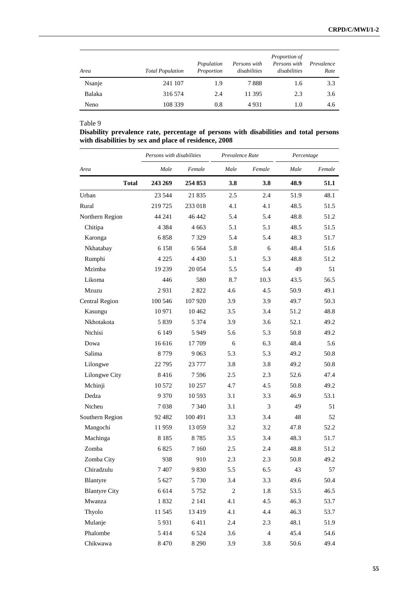| Area   | <b>Total Population</b> | Population<br>Proportion | Persons with<br>disabilities | <i>Proportion of</i><br>Persons with<br>disabilities | Prevalence<br>Rate |
|--------|-------------------------|--------------------------|------------------------------|------------------------------------------------------|--------------------|
| Nsanje | 241 107                 | 1.9                      | 7888                         | 1.6                                                  | 3.3                |
| Balaka | 316 574                 | 2.4                      | 11 395                       | 2.3                                                  | 3.6                |
| Neno   | 108 339                 | 0.8                      | 4931                         | 1.0                                                  | 4.6                |

#### Table 9

**Disability prevalence rate, percentage of persons with disabilities and total persons with disabilities by sex and place of residence, 2008** 

|                       | Persons with disabilities |         | Prevalence Rate |                | Percentage |        |
|-----------------------|---------------------------|---------|-----------------|----------------|------------|--------|
| Area                  | Male                      | Female  | Male            | Female         | Male       | Female |
| <b>Total</b>          | 243 269                   | 254 853 | 3.8             | 3.8            | 48.9       | 51.1   |
| Urban                 | 23 5 44                   | 21 835  | 2.5             | 2.4            | 51.9       | 48.1   |
| Rural                 | 219725                    | 233 018 | 4.1             | 4.1            | 48.5       | 51.5   |
| Northern Region       | 44 241                    | 46 442  | 5.4             | 5.4            | 48.8       | 51.2   |
| Chitipa               | 4 3 8 4                   | 4 663   | 5.1             | 5.1            | 48.5       | 51.5   |
| Karonga               | 6858                      | 7 3 2 9 | 5.4             | 5.4            | 48.3       | 51.7   |
| Nkhatabay             | 6 1 5 8                   | 6 5 6 4 | 5.8             | 6              | 48.4       | 51.6   |
| Rumphi                | 4 2 2 5                   | 4 4 3 0 | 5.1             | 5.3            | 48.8       | 51.2   |
| Mzimba                | 19 239                    | 20 054  | 5.5             | 5.4            | 49         | 51     |
| Likoma                | 446                       | 580     | 8.7             | 10.3           | 43.5       | 56.5   |
| Mzuzu                 | 2931                      | 2822    | 4.6             | 4.5            | 50.9       | 49.1   |
| <b>Central Region</b> | 100 546                   | 107 920 | 3.9             | 3.9            | 49.7       | 50.3   |
| Kasungu               | 10971                     | 10462   | 3.5             | 3.4            | 51.2       | 48.8   |
| Nkhotakota            | 5839                      | 5 3 7 4 | 3.9             | 3.6            | 52.1       | 49.2   |
| Ntchisi               | 6 1 4 9                   | 5 9 4 9 | 5.6             | 5.3            | 50.8       | 49.2   |
| Dowa                  | 16 616                    | 17 709  | 6               | 6.3            | 48.4       | 5.6    |
| Salima                | 8779                      | 9 0 63  | 5.3             | 5.3            | 49.2       | 50.8   |
| Lilongwe              | 22795                     | 23 777  | 3.8             | 3.8            | 49.2       | 50.8   |
| Lilongwe City         | 8416                      | 7596    | 2.5             | 2.3            | 52.6       | 47.4   |
| Mchinji               | 10 572                    | 10 257  | 4.7             | 4.5            | 50.8       | 49.2   |
| Dedza                 | 9 3 7 0                   | 10 593  | 3.1             | 3.3            | 46.9       | 53.1   |
| Ntcheu                | 7038                      | 7 3 4 0 | 3.1             | 3              | 49         | 51     |
| Southern Region       | 92 4 82                   | 100 491 | 3.3             | 3.4            | 48         | 52     |
| Mangochi              | 11959                     | 13 0 59 | 3.2             | 3.2            | 47.8       | 52.2   |
| Machinga              | 8 1 8 5                   | 8785    | 3.5             | 3.4            | 48.3       | 51.7   |
| Zomba                 | 6825                      | 7 1 6 0 | 2.5             | 2.4            | 48.8       | 51.2   |
| Zomba City            | 938                       | 910     | 2.3             | 2.3            | 50.8       | 49.2   |
| Chiradzulu            | 7407                      | 9830    | 5.5             | 6.5            | 43         | 57     |
| Blantyre              | 5 6 27                    | 5 7 3 0 | 3.4             | 3.3            | 49.6       | 50.4   |
| <b>Blantyre City</b>  | 6 6 14                    | 5 7 5 2 | $\sqrt{2}$      | 1.8            | 53.5       | 46.5   |
| Mwanza                | 1832                      | 2 141   | 4.1             | 4.5            | 46.3       | 53.7   |
| Thyolo                | 11545                     | 13419   | 4.1             | 4.4            | 46.3       | 53.7   |
| Mulanje               | 5931                      | 6411    | 2.4             | 2.3            | 48.1       | 51.9   |
| Phalombe              | 5414                      | 6 5 24  | 3.6             | $\overline{4}$ | 45.4       | 54.6   |
| Chikwawa              | 8 4 7 0                   | 8 2 9 0 | 3.9             | 3.8            | 50.6       | 49.4   |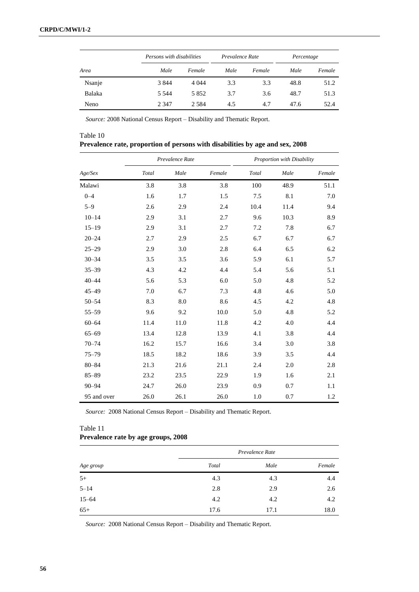|        | Persons with disabilities |         | Prevalence Rate |        | Percentage |        |
|--------|---------------------------|---------|-----------------|--------|------------|--------|
| Area   | Male                      | Female  | Male            | Female | Male       | Female |
| Nsanje | 3844                      | 4 0 4 4 | 3.3             | 3.3    | 48.8       | 51.2   |
| Balaka | 5 5 4 4                   | 5 8 5 2 | 3.7             | 3.6    | 48.7       | 51.3   |
| Neno   | 2 3 4 7                   | 2 5 8 4 | 4.5             | 4.7    | 47.6       | 52.4   |

*Source:* 2008 National Census Report – Disability and Thematic Report.

| Table 10                                                                      |  |
|-------------------------------------------------------------------------------|--|
| Prevalence rate, proportion of persons with disabilities by age and sex, 2008 |  |

|             |       | Prevalence Rate |        |       | Proportion with Disability |        |
|-------------|-------|-----------------|--------|-------|----------------------------|--------|
| Age/Sex     | Total | Male            | Female | Total | Male                       | Female |
| Malawi      | 3.8   | 3.8             | 3.8    | 100   | 48.9                       | 51.1   |
| $0 - 4$     | 1.6   | 1.7             | 1.5    | 7.5   | 8.1                        | 7.0    |
| $5 - 9$     | 2.6   | 2.9             | 2.4    | 10.4  | 11.4                       | 9.4    |
| $10 - 14$   | 2.9   | 3.1             | 2.7    | 9.6   | 10.3                       | 8.9    |
| $15 - 19$   | 2.9   | 3.1             | 2.7    | 7.2   | 7.8                        | 6.7    |
| $20 - 24$   | 2.7   | 2.9             | 2.5    | 6.7   | 6.7                        | 6.7    |
| $25 - 29$   | 2.9   | 3.0             | 2.8    | 6.4   | 6.5                        | 6.2    |
| $30 - 34$   | 3.5   | 3.5             | 3.6    | 5.9   | 6.1                        | 5.7    |
| $35 - 39$   | 4.3   | 4.2             | 4.4    | 5.4   | 5.6                        | 5.1    |
| $40 - 44$   | 5.6   | 5.3             | 6.0    | 5.0   | 4.8                        | 5.2    |
| 45-49       | 7.0   | 6.7             | 7.3    | 4.8   | 4.6                        | 5.0    |
| $50 - 54$   | 8.3   | 8.0             | 8.6    | 4.5   | 4.2                        | 4.8    |
| $55 - 59$   | 9.6   | 9.2             | 10.0   | 5.0   | 4.8                        | 5.2    |
| $60 - 64$   | 11.4  | 11.0            | 11.8   | 4.2   | 4.0                        | 4.4    |
| $65 - 69$   | 13.4  | 12.8            | 13.9   | 4.1   | 3.8                        | 4.4    |
| $70 - 74$   | 16.2  | 15.7            | 16.6   | 3.4   | 3.0                        | 3.8    |
| $75 - 79$   | 18.5  | 18.2            | 18.6   | 3.9   | 3.5                        | 4.4    |
| $80 - 84$   | 21.3  | 21.6            | 21.1   | 2.4   | 2.0                        | 2.8    |
| $85 - 89$   | 23.2  | 23.5            | 22.9   | 1.9   | 1.6                        | 2.1    |
| $90 - 94$   | 24.7  | 26.0            | 23.9   | 0.9   | 0.7                        | 1.1    |
| 95 and over | 26.0  | 26.1            | 26.0   | 1.0   | 0.7                        | 1.2    |

*Source:* 2008 National Census Report – Disability and Thematic Report.

## Table 11 **Prevalence rate by age groups, 2008**

|           | Prevalence Rate |      |        |  |
|-----------|-----------------|------|--------|--|
| Age group | Total           | Male | Female |  |
| $5+$      | 4.3             | 4.3  | 4.4    |  |
| $5 - 14$  | 2.8             | 2.9  | 2.6    |  |
| $15 - 64$ | 4.2             | 4.2  | 4.2    |  |
| $65+$     | 17.6            | 17.1 | 18.0   |  |

*Source:* 2008 National Census Report – Disability and Thematic Report.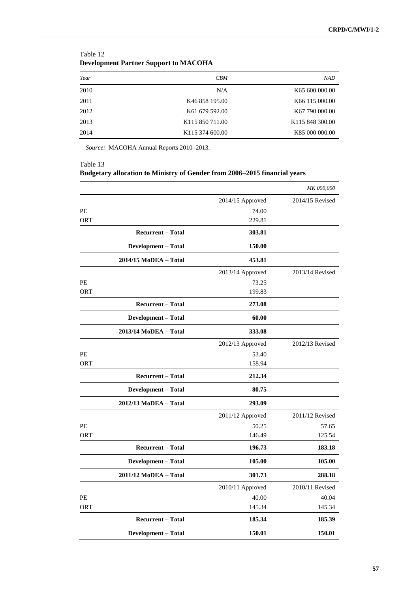| beveropment I alther pupport to mirrogram |                             |                             |  |  |
|-------------------------------------------|-----------------------------|-----------------------------|--|--|
| Year                                      | CBM                         | <b>NAD</b>                  |  |  |
| 2010                                      | N/A                         | K65 600 000.00              |  |  |
| 2011                                      | K46 858 195.00              | K <sub>66</sub> 115 000.00  |  |  |
| 2012                                      | K61 679 592.00              | K <sub>67</sub> 790 000.00  |  |  |
| 2013                                      | K <sub>115</sub> 850 711.00 | K <sub>115</sub> 848 300.00 |  |  |
| 2014                                      | K <sub>115</sub> 374 600.00 | K85 000 000.00              |  |  |

| Table 12                                     |
|----------------------------------------------|
| <b>Development Partner Support to MACOHA</b> |

*Source:* MACOHA Annual Reports 2010–2013.

## Table 13 **Budgetary allocation to Ministry of Gender from 2006–2015 financial years**

|            |                          |                    | <b>MK 000,000</b> |
|------------|--------------------------|--------------------|-------------------|
|            |                          | $2014/15$ Approved | 2014/15 Revised   |
| PE         |                          | 74.00              |                   |
| ORT        |                          | 229.81             |                   |
|            | <b>Recurrent - Total</b> | 303.81             |                   |
|            | Development - Total      | 150.00             |                   |
|            | 2014/15 MoDEA - Total    | 453.81             |                   |
|            |                          | 2013/14 Approved   | 2013/14 Revised   |
| PE         |                          | 73.25              |                   |
| <b>ORT</b> |                          | 199.83             |                   |
|            | <b>Recurrent - Total</b> | 273.08             |                   |
|            | Development - Total      | 60.00              |                   |
|            | 2013/14 MoDEA - Total    | 333.08             |                   |
|            |                          | 2012/13 Approved   | 2012/13 Revised   |
| PE         |                          | 53.40              |                   |
| ORT        |                          | 158.94             |                   |
|            | <b>Recurrent - Total</b> | 212.34             |                   |
|            | Development - Total      | 80.75              |                   |
|            | 2012/13 MoDEA - Total    | 293.09             |                   |
|            |                          | 2011/12 Approved   | 2011/12 Revised   |
| PE         |                          | 50.25              | 57.65             |
| <b>ORT</b> |                          | 146.49             | 125.54            |
|            | <b>Recurrent – Total</b> | 196.73             | 183.18            |
|            | Development - Total      | 105.00             | 105.00            |
|            | 2011/12 MoDEA - Total    | 301.73             | 288.18            |
|            |                          | 2010/11 Approved   | 2010/11 Revised   |
| PE         |                          | 40.00              | 40.04             |
| ORT        |                          | 145.34             | 145.34            |
|            | <b>Recurrent – Total</b> | 185.34             | 185.39            |
|            | Development - Total      | 150.01             | 150.01            |